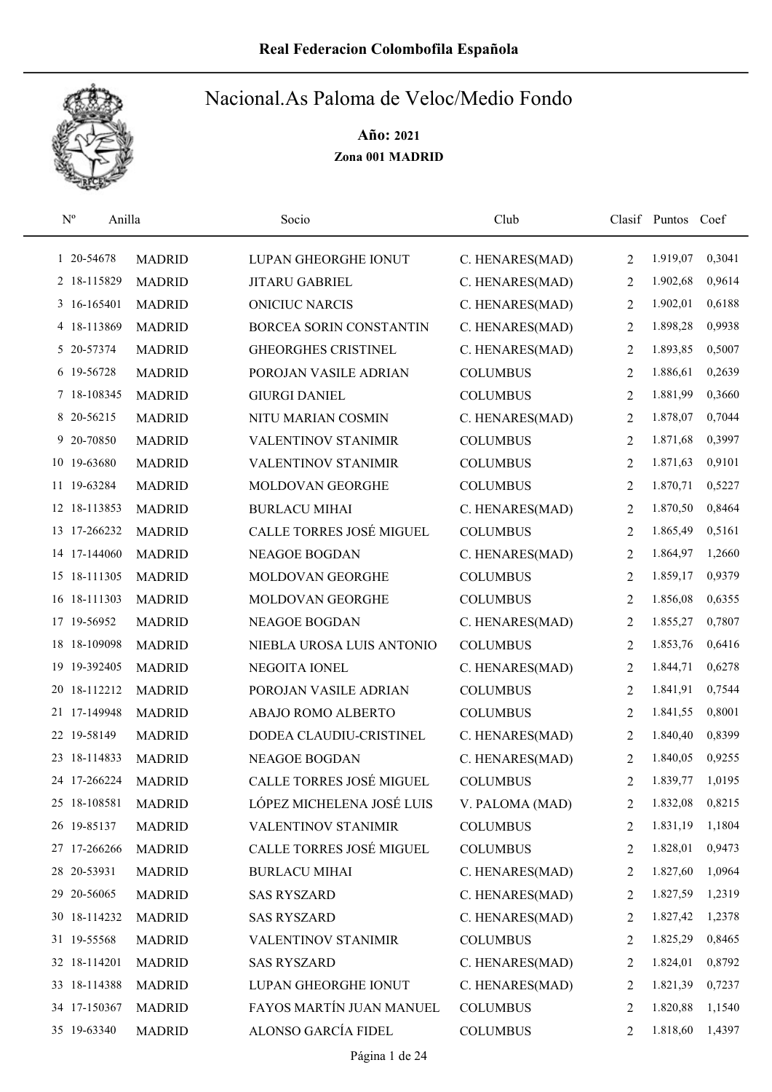

| $\mathbf{N}^{\text{o}}$<br>Anilla |               | Socio                      | Club            |                | Clasif Puntos Coef |        |
|-----------------------------------|---------------|----------------------------|-----------------|----------------|--------------------|--------|
| 1 20-54678                        | <b>MADRID</b> | LUPAN GHEORGHE IONUT       | C. HENARES(MAD) | 2              | 1.919,07           | 0,3041 |
| 2 18-115829                       | <b>MADRID</b> | <b>JITARU GABRIEL</b>      | C. HENARES(MAD) | 2              | 1.902,68           | 0,9614 |
| 3 16-165401                       | <b>MADRID</b> | <b>ONICIUC NARCIS</b>      | C. HENARES(MAD) | 2              | 1.902,01           | 0,6188 |
| 4 18-113869                       | <b>MADRID</b> | BORCEA SORIN CONSTANTIN    | C. HENARES(MAD) | 2              | 1.898,28           | 0,9938 |
| 5 20-57374                        | <b>MADRID</b> | <b>GHEORGHES CRISTINEL</b> | C. HENARES(MAD) | 2              | 1.893,85           | 0,5007 |
| 6 19-56728                        | <b>MADRID</b> | POROJAN VASILE ADRIAN      | <b>COLUMBUS</b> | $\overline{2}$ | 1.886,61           | 0,2639 |
| 7 18-108345                       | <b>MADRID</b> | <b>GIURGI DANIEL</b>       | <b>COLUMBUS</b> | 2              | 1.881,99           | 0,3660 |
| 8 20-56215                        | <b>MADRID</b> | NITU MARIAN COSMIN         | C. HENARES(MAD) | $\overline{2}$ | 1.878,07           | 0,7044 |
| 9 20-70850                        | <b>MADRID</b> | <b>VALENTINOV STANIMIR</b> | <b>COLUMBUS</b> | $\overline{2}$ | 1.871,68           | 0,3997 |
| 10 19-63680                       | <b>MADRID</b> | <b>VALENTINOV STANIMIR</b> | <b>COLUMBUS</b> | 2              | 1.871,63           | 0,9101 |
| 11 19-63284                       | <b>MADRID</b> | MOLDOVAN GEORGHE           | <b>COLUMBUS</b> | $\overline{2}$ | 1.870,71           | 0,5227 |
| 12 18-113853                      | <b>MADRID</b> | <b>BURLACU MIHAI</b>       | C. HENARES(MAD) | $\overline{2}$ | 1.870,50           | 0,8464 |
| 13 17-266232                      | <b>MADRID</b> | CALLE TORRES JOSÉ MIGUEL   | <b>COLUMBUS</b> | $\overline{2}$ | 1.865,49           | 0,5161 |
| 14 17-144060                      | <b>MADRID</b> | <b>NEAGOE BOGDAN</b>       | C. HENARES(MAD) | $\overline{2}$ | 1.864,97           | 1,2660 |
| 15 18-111305                      | <b>MADRID</b> | MOLDOVAN GEORGHE           | <b>COLUMBUS</b> | $\overline{2}$ | 1.859,17           | 0,9379 |
| 16 18-111303                      | <b>MADRID</b> | MOLDOVAN GEORGHE           | <b>COLUMBUS</b> | 2              | 1.856,08           | 0,6355 |
| 17 19-56952                       | <b>MADRID</b> | NEAGOE BOGDAN              | C. HENARES(MAD) | 2              | 1.855,27           | 0,7807 |
| 18 18-109098                      | <b>MADRID</b> | NIEBLA UROSA LUIS ANTONIO  | <b>COLUMBUS</b> | $\overline{2}$ | 1.853,76           | 0,6416 |
| 19 19-392405                      | <b>MADRID</b> | NEGOITA IONEL              | C. HENARES(MAD) | 2              | 1.844,71           | 0,6278 |
| 20 18-112212                      | <b>MADRID</b> | POROJAN VASILE ADRIAN      | <b>COLUMBUS</b> | $\overline{2}$ | 1.841,91           | 0,7544 |
| 21 17-149948                      | <b>MADRID</b> | ABAJO ROMO ALBERTO         | <b>COLUMBUS</b> | 2              | 1.841,55           | 0,8001 |
| 22 19-58149                       | <b>MADRID</b> | DODEA CLAUDIU-CRISTINEL    | C. HENARES(MAD) | 2              | 1.840,40           | 0,8399 |
| 23 18-114833                      | <b>MADRID</b> | NEAGOE BOGDAN              | C. HENARES(MAD) | 2              | 1.840,05           | 0,9255 |
| 24 17-266224                      | <b>MADRID</b> | CALLE TORRES JOSÉ MIGUEL   | <b>COLUMBUS</b> | $\overline{2}$ | 1.839,77           | 1,0195 |
| 25 18-108581                      | <b>MADRID</b> | LÓPEZ MICHELENA JOSÉ LUIS  | V. PALOMA (MAD) | 2              | 1.832,08           | 0,8215 |
| 26 19-85137                       | <b>MADRID</b> | VALENTINOV STANIMIR        | <b>COLUMBUS</b> | 2              | 1.831,19           | 1,1804 |
| 27 17-266266                      | <b>MADRID</b> | CALLE TORRES JOSÉ MIGUEL   | <b>COLUMBUS</b> | 2              | 1.828,01           | 0,9473 |
| 28 20-53931                       | <b>MADRID</b> | <b>BURLACU MIHAI</b>       | C. HENARES(MAD) | 2              | 1.827,60           | 1,0964 |
| 29 20-56065                       | <b>MADRID</b> | <b>SAS RYSZARD</b>         | C. HENARES(MAD) | 2              | 1.827,59           | 1,2319 |
| 30 18-114232                      | <b>MADRID</b> | <b>SAS RYSZARD</b>         | C. HENARES(MAD) | 2              | 1.827,42           | 1,2378 |
| 31 19-55568                       | <b>MADRID</b> | VALENTINOV STANIMIR        | <b>COLUMBUS</b> | 2              | 1.825,29           | 0,8465 |
| 32 18-114201                      | <b>MADRID</b> | <b>SAS RYSZARD</b>         | C. HENARES(MAD) | 2              | 1.824,01           | 0,8792 |
| 33 18-114388                      | <b>MADRID</b> | LUPAN GHEORGHE IONUT       | C. HENARES(MAD) | 2              | 1.821,39           | 0,7237 |
| 34 17-150367                      | <b>MADRID</b> | FAYOS MARTÍN JUAN MANUEL   | <b>COLUMBUS</b> | 2              | 1.820,88           | 1,1540 |
| 35 19-63340                       | <b>MADRID</b> | ALONSO GARCÍA FIDEL        | <b>COLUMBUS</b> | 2              | 1.818,60           | 1,4397 |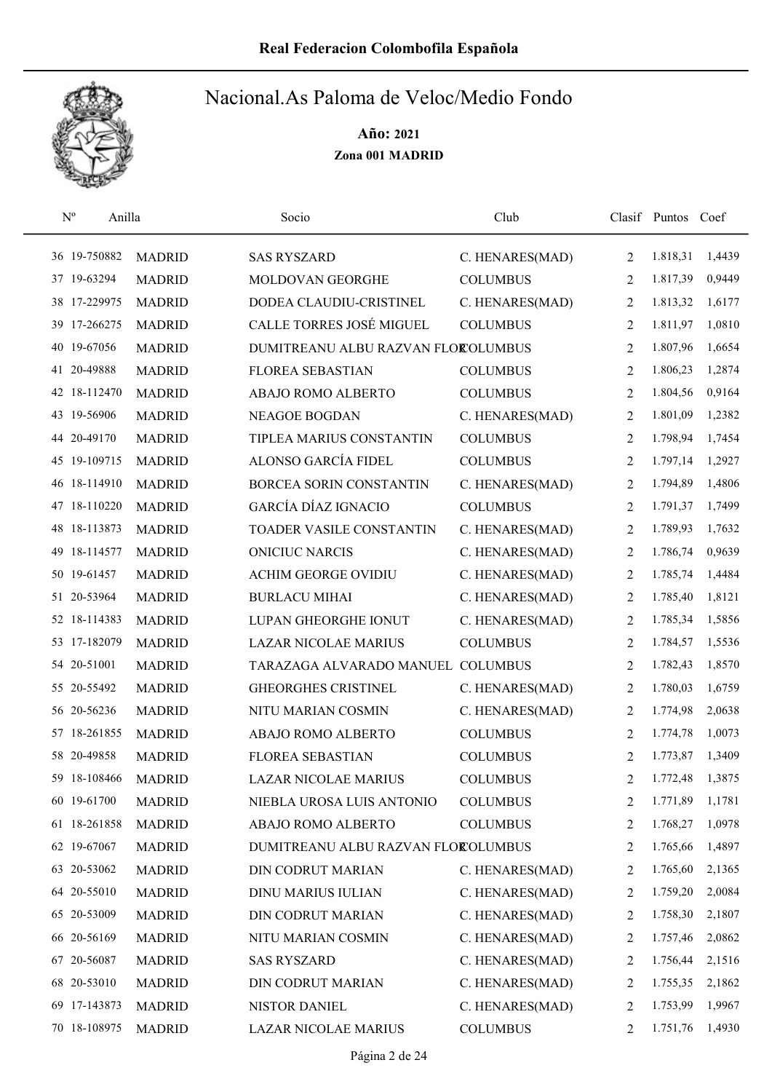

| $\mathbf{N}^{\text{o}}$ | Anilla        | Socio                              | Club            |                | Clasif Puntos Coef |        |
|-------------------------|---------------|------------------------------------|-----------------|----------------|--------------------|--------|
| 36 19-750882            | <b>MADRID</b> | <b>SAS RYSZARD</b>                 | C. HENARES(MAD) | 2              | 1.818,31           | 1,4439 |
| 37 19-63294             | <b>MADRID</b> | MOLDOVAN GEORGHE                   | <b>COLUMBUS</b> | $\overline{2}$ | 1.817,39           | 0,9449 |
| 38 17-229975            | <b>MADRID</b> | DODEA CLAUDIU-CRISTINEL            | C. HENARES(MAD) | 2              | 1.813,32           | 1,6177 |
| 39 17-266275            | <b>MADRID</b> | CALLE TORRES JOSÉ MIGUEL           | <b>COLUMBUS</b> | 2              | 1.811,97           | 1,0810 |
| 19-67056<br>40          | <b>MADRID</b> | DUMITREANU ALBU RAZVAN FLOROLUMBUS |                 | 2              | 1.807,96           | 1,6654 |
| 20-49888<br>41          | <b>MADRID</b> | <b>FLOREA SEBASTIAN</b>            | <b>COLUMBUS</b> | 2              | 1.806,23           | 1,2874 |
| 42 18-112470            | <b>MADRID</b> | ABAJO ROMO ALBERTO                 | <b>COLUMBUS</b> | 2              | 1.804,56           | 0,9164 |
| 43 19-56906             | <b>MADRID</b> | <b>NEAGOE BOGDAN</b>               | C. HENARES(MAD) | 2              | 1.801,09           | 1,2382 |
| 44 20-49170             | <b>MADRID</b> | TIPLEA MARIUS CONSTANTIN           | <b>COLUMBUS</b> | 2              | 1.798,94           | 1,7454 |
| 45 19-109715            | <b>MADRID</b> | ALONSO GARCÍA FIDEL                | <b>COLUMBUS</b> | 2              | 1.797,14           | 1,2927 |
| 46 18-114910            | <b>MADRID</b> | BORCEA SORIN CONSTANTIN            | C. HENARES(MAD) | 2              | 1.794,89           | 1,4806 |
| 47 18-110220            | <b>MADRID</b> | GARCÍA DÍAZ IGNACIO                | <b>COLUMBUS</b> | 2              | 1.791,37           | 1,7499 |
| 48 18-113873            | <b>MADRID</b> | TOADER VASILE CONSTANTIN           | C. HENARES(MAD) | $\overline{2}$ | 1.789,93           | 1,7632 |
| 49 18-114577            | <b>MADRID</b> | <b>ONICIUC NARCIS</b>              | C. HENARES(MAD) | 2              | 1.786,74           | 0,9639 |
| 50 19-61457             | <b>MADRID</b> | <b>ACHIM GEORGE OVIDIU</b>         | C. HENARES(MAD) | $\overline{2}$ | 1.785,74           | 1,4484 |
| 51 20-53964             | <b>MADRID</b> | <b>BURLACU MIHAI</b>               | C. HENARES(MAD) | 2              | 1.785,40           | 1,8121 |
| 52 18-114383            | <b>MADRID</b> | LUPAN GHEORGHE IONUT               | C. HENARES(MAD) | 2              | 1.785,34           | 1,5856 |
| 53 17-182079            | <b>MADRID</b> | <b>LAZAR NICOLAE MARIUS</b>        | <b>COLUMBUS</b> | 2              | 1.784,57           | 1,5536 |
| 54 20-51001             | <b>MADRID</b> | TARAZAGA ALVARADO MANUEL COLUMBUS  |                 | 2              | 1.782,43           | 1,8570 |
| 55 20-55492             | <b>MADRID</b> | <b>GHEORGHES CRISTINEL</b>         | C. HENARES(MAD) | 2              | 1.780,03           | 1,6759 |
| 56 20-56236             | <b>MADRID</b> | NITU MARIAN COSMIN                 | C. HENARES(MAD) | 2              | 1.774,98           | 2,0638 |
| 57 18-261855            | <b>MADRID</b> | ABAJO ROMO ALBERTO                 | <b>COLUMBUS</b> | 2              | 1.774,78           | 1,0073 |
| 58 20-49858             | <b>MADRID</b> | <b>FLOREA SEBASTIAN</b>            | <b>COLUMBUS</b> | 2              | 1.773,87           | 1,3409 |
| 59 18-108466            | <b>MADRID</b> | <b>LAZAR NICOLAE MARIUS</b>        | <b>COLUMBUS</b> | $\overline{2}$ | 1.772,48           | 1,3875 |
| 60 19-61700             | <b>MADRID</b> | NIEBLA UROSA LUIS ANTONIO          | <b>COLUMBUS</b> | 2              | 1.771,89           | 1,1781 |
| 61 18-261858            | <b>MADRID</b> | ABAJO ROMO ALBERTO                 | <b>COLUMBUS</b> | 2              | 1.768,27           | 1,0978 |
| 62 19-67067             | <b>MADRID</b> | DUMITREANU ALBU RAZVAN FLOROLUMBUS |                 | 2              | 1.765,66           | 1,4897 |
| 63 20-53062             | <b>MADRID</b> | <b>DIN CODRUT MARIAN</b>           | C. HENARES(MAD) | 2              | 1.765,60           | 2,1365 |
| 64 20-55010             | <b>MADRID</b> | <b>DINU MARIUS IULIAN</b>          | C. HENARES(MAD) | 2              | 1.759,20           | 2,0084 |
| 65 20-53009             | <b>MADRID</b> | DIN CODRUT MARIAN                  | C. HENARES(MAD) | 2              | 1.758,30           | 2,1807 |
| 66 20-56169             | <b>MADRID</b> | NITU MARIAN COSMIN                 | C. HENARES(MAD) | 2              | 1.757,46           | 2,0862 |
| 67 20-56087             | <b>MADRID</b> | <b>SAS RYSZARD</b>                 | C. HENARES(MAD) | 2              | 1.756,44           | 2,1516 |
| 68 20-53010             | <b>MADRID</b> | DIN CODRUT MARIAN                  | C. HENARES(MAD) | 2              | 1.755,35           | 2,1862 |
| 69 17-143873            | <b>MADRID</b> | NISTOR DANIEL                      | C. HENARES(MAD) | 2              | 1.753,99           | 1,9967 |
| 70 18-108975            | <b>MADRID</b> | LAZAR NICOLAE MARIUS               | <b>COLUMBUS</b> | 2              | 1.751,76           | 1,4930 |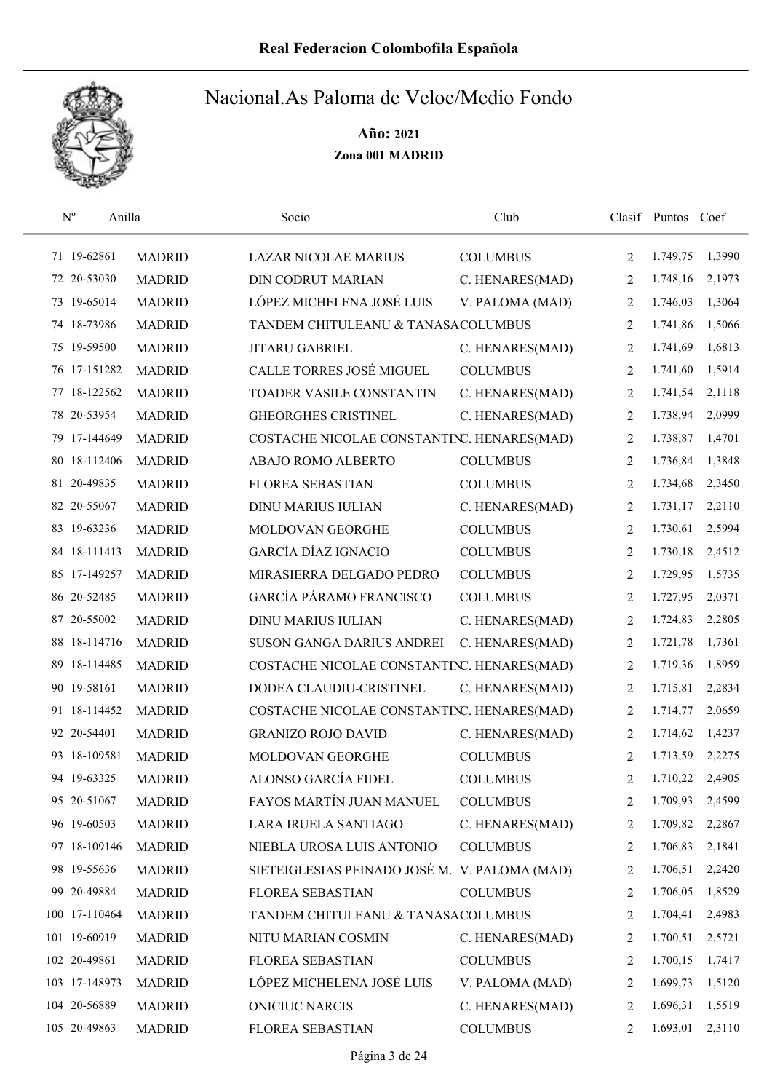

|     | $N^{o}$<br>Anilla |               | Socio                                         | Club            |                | Clasif Puntos Coef |        |
|-----|-------------------|---------------|-----------------------------------------------|-----------------|----------------|--------------------|--------|
|     | 71 19-62861       | <b>MADRID</b> | <b>LAZAR NICOLAE MARIUS</b>                   | <b>COLUMBUS</b> | 2              | 1.749,75           | 1,3990 |
|     | 72 20-53030       | <b>MADRID</b> | <b>DIN CODRUT MARIAN</b>                      | C. HENARES(MAD) | 2              | 1.748,16           | 2,1973 |
|     | 73 19-65014       | <b>MADRID</b> | LÓPEZ MICHELENA JOSÉ LUIS                     | V. PALOMA (MAD) | 2              | 1.746,03           | 1,3064 |
|     | 74 18-73986       | <b>MADRID</b> | TANDEM CHITULEANU & TANASACOLUMBUS            |                 | 2              | 1.741,86           | 1,5066 |
|     | 75 19-59500       | <b>MADRID</b> | <b>JITARU GABRIEL</b>                         | C. HENARES(MAD) | 2              | 1.741,69           | 1,6813 |
|     | 76 17-151282      | <b>MADRID</b> | CALLE TORRES JOSÉ MIGUEL                      | <b>COLUMBUS</b> | 2              | 1.741,60           | 1,5914 |
|     | 77 18-122562      | <b>MADRID</b> | TOADER VASILE CONSTANTIN                      | C. HENARES(MAD) | 2              | 1.741,54           | 2,1118 |
|     | 78 20-53954       | <b>MADRID</b> | <b>GHEORGHES CRISTINEL</b>                    | C. HENARES(MAD) | 2              | 1.738,94           | 2,0999 |
|     | 79 17-144649      | <b>MADRID</b> | COSTACHE NICOLAE CONSTANTINC. HENARES(MAD)    |                 | 2              | 1.738,87           | 1,4701 |
|     | 80 18-112406      | <b>MADRID</b> | ABAJO ROMO ALBERTO                            | <b>COLUMBUS</b> | 2              | 1.736,84           | 1,3848 |
|     | 81 20-49835       | <b>MADRID</b> | <b>FLOREA SEBASTIAN</b>                       | <b>COLUMBUS</b> | 2              | 1.734,68           | 2,3450 |
|     | 82 20-55067       | <b>MADRID</b> | <b>DINU MARIUS IULIAN</b>                     | C. HENARES(MAD) | 2              | 1.731,17           | 2,2110 |
|     | 83 19-63236       | <b>MADRID</b> | MOLDOVAN GEORGHE                              | <b>COLUMBUS</b> | 2              | 1.730,61           | 2,5994 |
|     | 84 18-111413      | <b>MADRID</b> | <b>GARCÍA DÍAZ IGNACIO</b>                    | <b>COLUMBUS</b> | $\overline{2}$ | 1.730,18           | 2,4512 |
|     | 85 17-149257      | <b>MADRID</b> | MIRASIERRA DELGADO PEDRO                      | <b>COLUMBUS</b> | $\overline{2}$ | 1.729,95           | 1,5735 |
|     | 86 20-52485       | <b>MADRID</b> | GARCÍA PÁRAMO FRANCISCO                       | <b>COLUMBUS</b> | 2              | 1.727,95           | 2,0371 |
|     | 87 20-55002       | <b>MADRID</b> | <b>DINU MARIUS IULIAN</b>                     | C. HENARES(MAD) | 2              | 1.724,83           | 2,2805 |
|     | 88 18-114716      | <b>MADRID</b> | SUSON GANGA DARIUS ANDREI                     | C. HENARES(MAD) | 2              | 1.721,78           | 1,7361 |
| 89. | 18-114485         | <b>MADRID</b> | COSTACHE NICOLAE CONSTANTINC. HENARES(MAD)    |                 | 2              | 1.719,36           | 1,8959 |
|     | 90 19-58161       | <b>MADRID</b> | DODEA CLAUDIU-CRISTINEL                       | C. HENARES(MAD) | 2              | 1.715,81           | 2,2834 |
|     | 91 18-114452      | <b>MADRID</b> | COSTACHE NICOLAE CONSTANTINC. HENARES(MAD)    |                 | 2              | 1.714,77           | 2,0659 |
|     | 92 20-54401       | <b>MADRID</b> | <b>GRANIZO ROJO DAVID</b>                     | C. HENARES(MAD) | 2              | 1.714,62           | 1,4237 |
|     | 93 18-109581      | <b>MADRID</b> | MOLDOVAN GEORGHE                              | <b>COLUMBUS</b> | 2              | 1.713,59           | 2,2275 |
|     | 94 19-63325       | <b>MADRID</b> | ALONSO GARCÍA FIDEL                           | <b>COLUMBUS</b> | $\overline{2}$ | 1.710,22           | 2,4905 |
|     | 95 20-51067       | <b>MADRID</b> | FAYOS MARTÍN JUAN MANUEL                      | <b>COLUMBUS</b> | 2              | 1.709,93           | 2,4599 |
|     | 96 19-60503       | <b>MADRID</b> | LARA IRUELA SANTIAGO                          | C. HENARES(MAD) | 2              | 1.709,82           | 2,2867 |
|     | 97 18-109146      | <b>MADRID</b> | NIEBLA UROSA LUIS ANTONIO                     | <b>COLUMBUS</b> | 2              | 1.706,83           | 2,1841 |
|     | 98 19-55636       | <b>MADRID</b> | SIETEIGLESIAS PEINADO JOSÉ M. V. PALOMA (MAD) |                 | 2              | 1.706,51           | 2,2420 |
|     | 99 20-49884       | <b>MADRID</b> | FLOREA SEBASTIAN                              | <b>COLUMBUS</b> | 2              | 1.706,05           | 1,8529 |
|     | 100 17-110464     | <b>MADRID</b> | TANDEM CHITULEANU & TANASACOLUMBUS            |                 | 2              | 1.704,41           | 2,4983 |
|     | 101 19-60919      | <b>MADRID</b> | NITU MARIAN COSMIN                            | C. HENARES(MAD) | 2              | 1.700,51           | 2,5721 |
|     | 102 20-49861      | <b>MADRID</b> | FLOREA SEBASTIAN                              | <b>COLUMBUS</b> | 2              | 1.700,15           | 1,7417 |
|     | 103 17-148973     | <b>MADRID</b> | LÓPEZ MICHELENA JOSÉ LUIS                     | V. PALOMA (MAD) | 2              | 1.699,73           | 1,5120 |
|     | 104 20-56889      | <b>MADRID</b> | <b>ONICIUC NARCIS</b>                         | C. HENARES(MAD) | 2              | 1.696,31           | 1,5519 |
|     | 105 20-49863      | <b>MADRID</b> | FLOREA SEBASTIAN                              | <b>COLUMBUS</b> | 2              | 1.693,01           | 2,3110 |
|     |                   |               |                                               |                 |                |                    |        |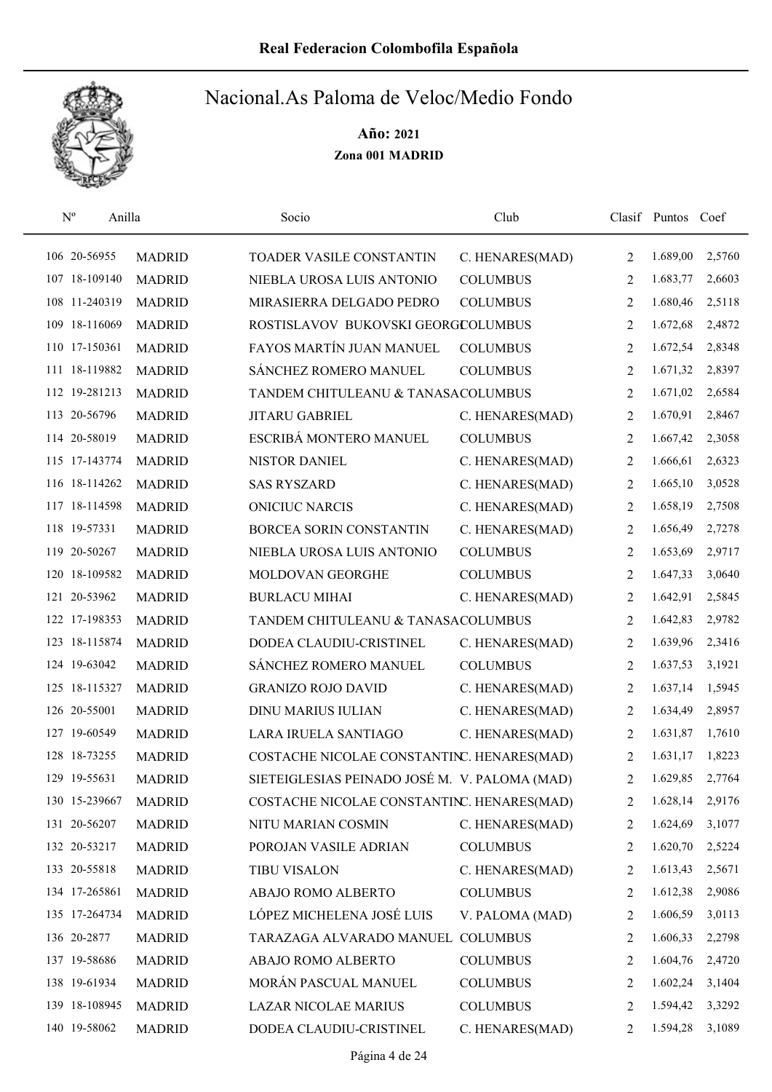

| $N^{\rm o}$   | Anilla        | Socio                                         | Club            |                | Clasif Puntos Coef |        |
|---------------|---------------|-----------------------------------------------|-----------------|----------------|--------------------|--------|
| 106 20-56955  | <b>MADRID</b> | TOADER VASILE CONSTANTIN                      | C. HENARES(MAD) | 2              | 1.689,00           | 2,5760 |
| 107 18-109140 | <b>MADRID</b> | NIEBLA UROSA LUIS ANTONIO                     | <b>COLUMBUS</b> | 2              | 1.683,77           | 2,6603 |
| 108 11-240319 | <b>MADRID</b> | MIRASIERRA DELGADO PEDRO                      | <b>COLUMBUS</b> | 2              | 1.680,46           | 2,5118 |
| 109 18-116069 | <b>MADRID</b> | ROSTISLAVOV BUKOVSKI GEORGCOLUMBUS            |                 | 2              | 1.672,68           | 2,4872 |
| 110 17-150361 | <b>MADRID</b> | FAYOS MARTÍN JUAN MANUEL                      | <b>COLUMBUS</b> | 2              | 1.672,54           | 2,8348 |
| 111 18-119882 | <b>MADRID</b> | SÁNCHEZ ROMERO MANUEL                         | <b>COLUMBUS</b> | 2              | 1.671,32           | 2,8397 |
| 112 19-281213 | <b>MADRID</b> | TANDEM CHITULEANU & TANASACOLUMBUS            |                 | 2              | 1.671,02           | 2,6584 |
| 113 20-56796  | <b>MADRID</b> | <b>JITARU GABRIEL</b>                         | C. HENARES(MAD) | $\overline{2}$ | 1.670,91           | 2,8467 |
| 114 20-58019  | <b>MADRID</b> | ESCRIBÁ MONTERO MANUEL                        | <b>COLUMBUS</b> | 2              | 1.667,42           | 2,3058 |
| 115 17-143774 | <b>MADRID</b> | NISTOR DANIEL                                 | C. HENARES(MAD) | 2              | 1.666,61           | 2,6323 |
| 116 18-114262 | <b>MADRID</b> | <b>SAS RYSZARD</b>                            | C. HENARES(MAD) | 2              | 1.665,10           | 3,0528 |
| 117 18-114598 | <b>MADRID</b> | <b>ONICIUC NARCIS</b>                         | C. HENARES(MAD) | 2              | 1.658,19           | 2,7508 |
| 118 19-57331  | <b>MADRID</b> | BORCEA SORIN CONSTANTIN                       | C. HENARES(MAD) | 2              | 1.656,49           | 2,7278 |
| 119 20-50267  | <b>MADRID</b> | NIEBLA UROSA LUIS ANTONIO                     | <b>COLUMBUS</b> | 2              | 1.653,69           | 2,9717 |
| 120 18-109582 | <b>MADRID</b> | MOLDOVAN GEORGHE                              | <b>COLUMBUS</b> | 2              | 1.647,33           | 3,0640 |
| 121 20-53962  | <b>MADRID</b> | <b>BURLACU MIHAI</b>                          | C. HENARES(MAD) | 2              | 1.642,91           | 2,5845 |
| 122 17-198353 | <b>MADRID</b> | TANDEM CHITULEANU & TANASACOLUMBUS            |                 | 2              | 1.642,83           | 2,9782 |
| 123 18-115874 | <b>MADRID</b> | DODEA CLAUDIU-CRISTINEL                       | C. HENARES(MAD) | 2              | 1.639,96           | 2,3416 |
| 124 19-63042  | <b>MADRID</b> | SÁNCHEZ ROMERO MANUEL                         | <b>COLUMBUS</b> | 2              | 1.637,53           | 3,1921 |
| 125 18-115327 | <b>MADRID</b> | <b>GRANIZO ROJO DAVID</b>                     | C. HENARES(MAD) | 2              | 1.637,14           | 1,5945 |
| 126 20-55001  | <b>MADRID</b> | <b>DINU MARIUS IULIAN</b>                     | C. HENARES(MAD) | 2              | 1.634,49           | 2,8957 |
| 127 19-60549  | <b>MADRID</b> | LARA IRUELA SANTIAGO                          | C. HENARES(MAD) | 2              | 1.631,87           | 1,7610 |
| 128 18-73255  | <b>MADRID</b> | COSTACHE NICOLAE CONSTANTINC. HENARES(MAD)    |                 | 2              | 1.631,17           | 1,8223 |
| 129 19-55631  | <b>MADRID</b> | SIETEIGLESIAS PEINADO JOSÉ M. V. PALOMA (MAD) |                 | $\overline{2}$ | 1.629,85           | 2,7764 |
| 130 15-239667 | <b>MADRID</b> | COSTACHE NICOLAE CONSTANTINC. HENARES(MAD)    |                 | 2              | 1.628,14           | 2,9176 |
| 131 20-56207  | <b>MADRID</b> | NITU MARIAN COSMIN                            | C. HENARES(MAD) | 2              | 1.624,69           | 3,1077 |
| 132 20-53217  | <b>MADRID</b> | POROJAN VASILE ADRIAN                         | <b>COLUMBUS</b> | 2              | 1.620,70           | 2,5224 |
| 133 20-55818  | <b>MADRID</b> | <b>TIBU VISALON</b>                           | C. HENARES(MAD) | 2              | 1.613,43           | 2,5671 |
| 134 17-265861 | <b>MADRID</b> | ABAJO ROMO ALBERTO                            | <b>COLUMBUS</b> | 2              | 1.612,38           | 2,9086 |
| 135 17-264734 | <b>MADRID</b> | LÓPEZ MICHELENA JOSÉ LUIS                     | V. PALOMA (MAD) | 2              | 1.606,59           | 3,0113 |
| 136 20-2877   | <b>MADRID</b> | TARAZAGA ALVARADO MANUEL COLUMBUS             |                 | 2              | 1.606,33           | 2,2798 |
| 137 19-58686  | <b>MADRID</b> | ABAJO ROMO ALBERTO                            | <b>COLUMBUS</b> | 2              | 1.604,76           | 2,4720 |
| 138 19-61934  | <b>MADRID</b> | MORÁN PASCUAL MANUEL                          | <b>COLUMBUS</b> | 2              | 1.602,24           | 3,1404 |
| 139 18-108945 | <b>MADRID</b> | <b>LAZAR NICOLAE MARIUS</b>                   | <b>COLUMBUS</b> | 2              | 1.594,42           | 3,3292 |
| 140 19-58062  | <b>MADRID</b> | DODEA CLAUDIU-CRISTINEL                       | C. HENARES(MAD) | 2              | 1.594,28           | 3,1089 |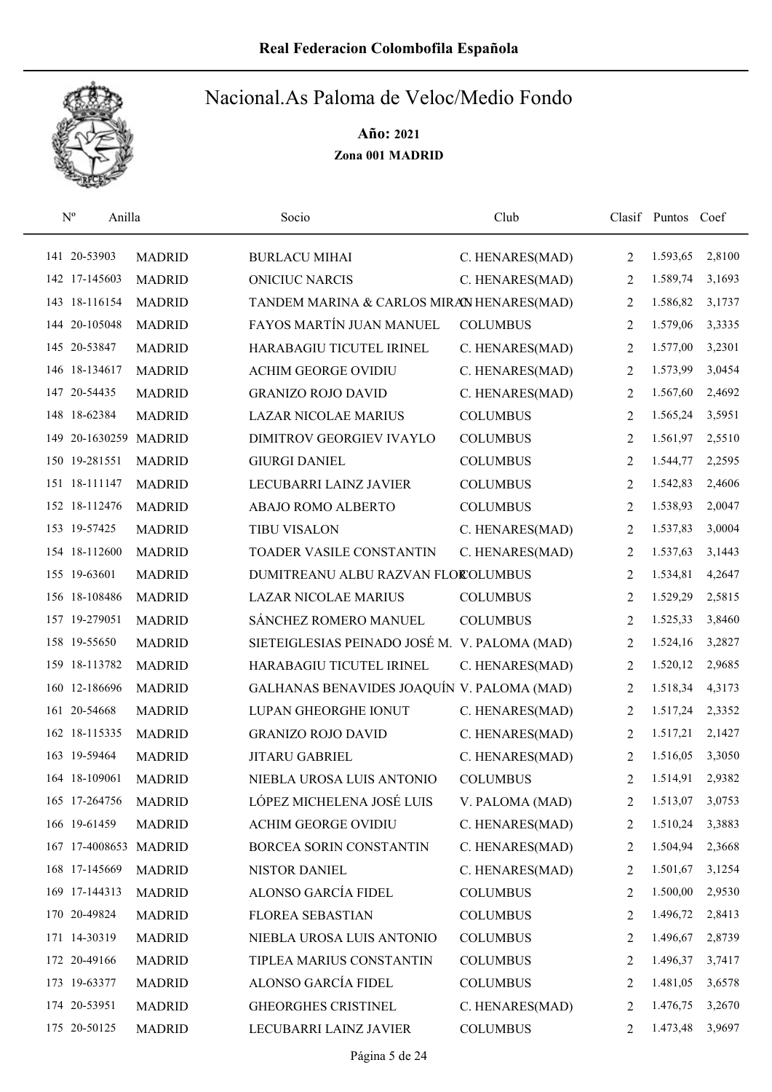

| $\mathrm{N}^{\rm o}$<br>Anilla |               | Socio                                         | Club            |                | Clasif Puntos | Coef   |
|--------------------------------|---------------|-----------------------------------------------|-----------------|----------------|---------------|--------|
| 141 20-53903                   | <b>MADRID</b> | <b>BURLACU MIHAI</b>                          | C. HENARES(MAD) | 2              | 1.593,65      | 2,8100 |
| 142 17-145603                  | <b>MADRID</b> | <b>ONICIUC NARCIS</b>                         | C. HENARES(MAD) | 2              | 1.589,74      | 3,1693 |
| 143 18-116154                  | <b>MADRID</b> | TANDEM MARINA & CARLOS MIRAN HENARES(MAD)     |                 | 2              | 1.586,82      | 3,1737 |
| 144 20-105048                  | <b>MADRID</b> | FAYOS MARTÍN JUAN MANUEL                      | <b>COLUMBUS</b> | 2              | 1.579,06      | 3,3335 |
| 145 20-53847                   | <b>MADRID</b> | HARABAGIU TICUTEL IRINEL                      | C. HENARES(MAD) | 2              | 1.577,00      | 3,2301 |
| 146 18-134617                  | <b>MADRID</b> | ACHIM GEORGE OVIDIU                           | C. HENARES(MAD) | 2              | 1.573,99      | 3,0454 |
| 147 20-54435                   | <b>MADRID</b> | <b>GRANIZO ROJO DAVID</b>                     | C. HENARES(MAD) | 2              | 1.567,60      | 2,4692 |
| 148 18-62384                   | <b>MADRID</b> | <b>LAZAR NICOLAE MARIUS</b>                   | <b>COLUMBUS</b> | 2              | 1.565,24      | 3,5951 |
| 149 20-1630259 MADRID          |               | DIMITROV GEORGIEV IVAYLO                      | <b>COLUMBUS</b> | 2              | 1.561,97      | 2,5510 |
| 150 19-281551                  | <b>MADRID</b> | <b>GIURGI DANIEL</b>                          | <b>COLUMBUS</b> | 2              | 1.544,77      | 2,2595 |
| 151 18-111147                  | <b>MADRID</b> | LECUBARRI LAINZ JAVIER                        | <b>COLUMBUS</b> | 2              | 1.542,83      | 2,4606 |
| 152 18-112476                  | <b>MADRID</b> | ABAJO ROMO ALBERTO                            | <b>COLUMBUS</b> | 2              | 1.538,93      | 2,0047 |
| 153 19-57425                   | <b>MADRID</b> | <b>TIBU VISALON</b>                           | C. HENARES(MAD) | 2              | 1.537,83      | 3,0004 |
| 154 18-112600                  | <b>MADRID</b> | TOADER VASILE CONSTANTIN                      | C. HENARES(MAD) | 2              | 1.537,63      | 3,1443 |
| 155 19-63601                   | <b>MADRID</b> | DUMITREANU ALBU RAZVAN FLOROLUMBUS            |                 | $\overline{2}$ | 1.534,81      | 4,2647 |
| 156 18-108486                  | <b>MADRID</b> | <b>LAZAR NICOLAE MARIUS</b>                   | <b>COLUMBUS</b> | 2              | 1.529,29      | 2,5815 |
| 157 19-279051                  | <b>MADRID</b> | SÁNCHEZ ROMERO MANUEL                         | <b>COLUMBUS</b> | 2              | 1.525,33      | 3,8460 |
| 158 19-55650                   | <b>MADRID</b> | SIETEIGLESIAS PEINADO JOSÉ M. V. PALOMA (MAD) |                 | 2              | 1.524,16      | 3,2827 |
| 159 18-113782                  | <b>MADRID</b> | HARABAGIU TICUTEL IRINEL                      | C. HENARES(MAD) | 2              | 1.520,12      | 2,9685 |
| 160 12-186696                  | <b>MADRID</b> | GALHANAS BENAVIDES JOAQUÍN V. PALOMA (MAD)    |                 | 2              | 1.518,34      | 4,3173 |
| 161 20-54668                   | <b>MADRID</b> | LUPAN GHEORGHE IONUT                          | C. HENARES(MAD) | 2              | 1.517,24      | 2,3352 |
| 162 18-115335                  | <b>MADRID</b> | <b>GRANIZO ROJO DAVID</b>                     | C. HENARES(MAD) | 2              | 1.517,21      | 2,1427 |
| 163 19-59464                   | <b>MADRID</b> | <b>JITARU GABRIEL</b>                         | C. HENARES(MAD) | 2              | 1.516,05      | 3,3050 |
| 164 18-109061                  | <b>MADRID</b> | NIEBLA UROSA LUIS ANTONIO                     | <b>COLUMBUS</b> | $\overline{2}$ | 1.514,91      | 2,9382 |
| 165 17-264756                  | <b>MADRID</b> | LÓPEZ MICHELENA JOSÉ LUIS                     | V. PALOMA (MAD) | 2              | 1.513,07      | 3,0753 |
| 166 19-61459                   | <b>MADRID</b> | <b>ACHIM GEORGE OVIDIU</b>                    | C. HENARES(MAD) | 2              | 1.510,24      | 3,3883 |
| 167 17-4008653 MADRID          |               | BORCEA SORIN CONSTANTIN                       | C. HENARES(MAD) | 2              | 1.504,94      | 2,3668 |
| 168 17-145669                  | <b>MADRID</b> | NISTOR DANIEL                                 | C. HENARES(MAD) | 2              | 1.501,67      | 3,1254 |
| 169 17-144313                  | <b>MADRID</b> | ALONSO GARCÍA FIDEL                           | <b>COLUMBUS</b> | 2              | 1.500,00      | 2,9530 |
| 170 20-49824                   | <b>MADRID</b> | <b>FLOREA SEBASTIAN</b>                       | <b>COLUMBUS</b> | 2              | 1.496,72      | 2,8413 |
| 171 14-30319                   | <b>MADRID</b> | NIEBLA UROSA LUIS ANTONIO                     | <b>COLUMBUS</b> | 2              | 1.496,67      | 2,8739 |
| 172 20-49166                   | <b>MADRID</b> | TIPLEA MARIUS CONSTANTIN                      | <b>COLUMBUS</b> | 2              | 1.496,37      | 3,7417 |
| 173 19-63377                   | <b>MADRID</b> | ALONSO GARCÍA FIDEL                           | <b>COLUMBUS</b> | 2              | 1.481,05      | 3,6578 |
| 174 20-53951                   | <b>MADRID</b> | GHEORGHES CRISTINEL                           | C. HENARES(MAD) | 2              | 1.476,75      | 3,2670 |
| 175 20-50125                   | <b>MADRID</b> | LECUBARRI LAINZ JAVIER                        | <b>COLUMBUS</b> | 2              | 1.473,48      | 3,9697 |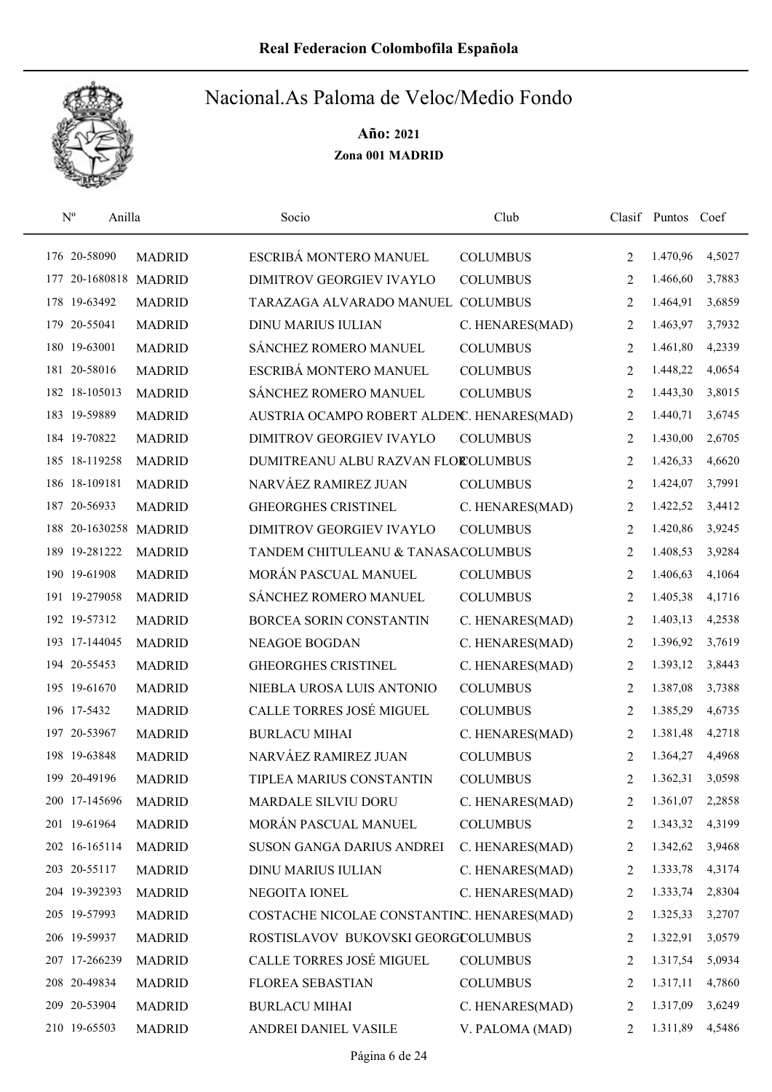

| $\mathrm{N}^{\rm o}$ | Anilla                |               | Socio                                      | Club            |                | Clasif Puntos | Coef   |
|----------------------|-----------------------|---------------|--------------------------------------------|-----------------|----------------|---------------|--------|
|                      | 176 20-58090          | <b>MADRID</b> | ESCRIBÁ MONTERO MANUEL                     | <b>COLUMBUS</b> | 2              | 1.470,96      | 4,5027 |
| 177                  | 20-1680818 MADRID     |               | DIMITROV GEORGIEV IVAYLO                   | <b>COLUMBUS</b> | $\overline{2}$ | 1.466,60      | 3,7883 |
|                      | 178 19-63492          | <b>MADRID</b> | TARAZAGA ALVARADO MANUEL COLUMBUS          |                 | 2              | 1.464,91      | 3,6859 |
| 179                  | 20-55041              | <b>MADRID</b> | <b>DINU MARIUS IULIAN</b>                  | C. HENARES(MAD) | 2              | 1.463,97      | 3,7932 |
|                      | 180 19-63001          | <b>MADRID</b> | SÁNCHEZ ROMERO MANUEL                      | <b>COLUMBUS</b> | 2              | 1.461,80      | 4,2339 |
|                      | 181 20-58016          | <b>MADRID</b> | ESCRIBÁ MONTERO MANUEL                     | <b>COLUMBUS</b> | 2              | 1.448,22      | 4,0654 |
|                      | 182 18-105013         | <b>MADRID</b> | SÁNCHEZ ROMERO MANUEL                      | <b>COLUMBUS</b> | 2              | 1.443,30      | 3,8015 |
|                      | 183 19-59889          | <b>MADRID</b> | AUSTRIA OCAMPO ROBERT ALDENC. HENARES(MAD) |                 | $\overline{2}$ | 1.440,71      | 3,6745 |
|                      | 184 19-70822          | <b>MADRID</b> | DIMITROV GEORGIEV IVAYLO                   | <b>COLUMBUS</b> | 2              | 1.430,00      | 2,6705 |
|                      | 185 18-119258         | <b>MADRID</b> | DUMITREANU ALBU RAZVAN FLOROLUMBUS         |                 | 2              | 1.426,33      | 4,6620 |
|                      | 186 18-109181         | <b>MADRID</b> | NARVÁEZ RAMIREZ JUAN                       | <b>COLUMBUS</b> | 2              | 1.424,07      | 3,7991 |
|                      | 187 20-56933          | <b>MADRID</b> | <b>GHEORGHES CRISTINEL</b>                 | C. HENARES(MAD) | 2              | 1.422,52      | 3,4412 |
|                      | 188 20-1630258 MADRID |               | <b>DIMITROV GEORGIEV IVAYLO</b>            | <b>COLUMBUS</b> | 2              | 1.420,86      | 3,9245 |
|                      | 189 19-281222         | <b>MADRID</b> | TANDEM CHITULEANU & TANASACOLUMBUS         |                 | 2              | 1.408,53      | 3,9284 |
|                      | 190 19-61908          | <b>MADRID</b> | MORÁN PASCUAL MANUEL                       | <b>COLUMBUS</b> | $\overline{2}$ | 1.406,63      | 4,1064 |
|                      | 191 19-279058         | <b>MADRID</b> | SÁNCHEZ ROMERO MANUEL                      | <b>COLUMBUS</b> | 2              | 1.405,38      | 4,1716 |
|                      | 192 19-57312          | <b>MADRID</b> | BORCEA SORIN CONSTANTIN                    | C. HENARES(MAD) | 2              | 1.403,13      | 4,2538 |
|                      | 193 17-144045         | <b>MADRID</b> | <b>NEAGOE BOGDAN</b>                       | C. HENARES(MAD) | 2              | 1.396,92      | 3,7619 |
|                      | 194 20-55453          | <b>MADRID</b> | <b>GHEORGHES CRISTINEL</b>                 | C. HENARES(MAD) | 2              | 1.393,12      | 3,8443 |
|                      | 195 19-61670          | <b>MADRID</b> | NIEBLA UROSA LUIS ANTONIO                  | <b>COLUMBUS</b> | 2              | 1.387,08      | 3,7388 |
|                      | 196 17-5432           | <b>MADRID</b> | CALLE TORRES JOSÉ MIGUEL                   | <b>COLUMBUS</b> | 2              | 1.385,29      | 4,6735 |
|                      | 197 20-53967          | <b>MADRID</b> | <b>BURLACU MIHAI</b>                       | C. HENARES(MAD) | 2              | 1.381,48      | 4,2718 |
|                      | 198 19-63848          | <b>MADRID</b> | NARVÁEZ RAMIREZ JUAN                       | <b>COLUMBUS</b> | 2              | 1.364,27      | 4,4968 |
|                      | 199 20-49196          | <b>MADRID</b> | TIPLEA MARIUS CONSTANTIN                   | <b>COLUMBUS</b> | $\overline{2}$ | 1.362,31      | 3,0598 |
|                      | 200 17-145696         | <b>MADRID</b> | MARDALE SILVIU DORU                        | C. HENARES(MAD) | 2              | 1.361,07      | 2,2858 |
|                      | 201 19-61964          | <b>MADRID</b> | MORÁN PASCUAL MANUEL                       | <b>COLUMBUS</b> | 2              | 1.343,32      | 4,3199 |
|                      | 202 16-165114         | <b>MADRID</b> | SUSON GANGA DARIUS ANDREI                  | C. HENARES(MAD) | 2              | 1.342,62      | 3,9468 |
|                      | 203 20-55117          | <b>MADRID</b> | DINU MARIUS IULIAN                         | C. HENARES(MAD) | 2              | 1.333,78      | 4,3174 |
|                      | 204 19-392393         | <b>MADRID</b> | NEGOITA IONEL                              | C. HENARES(MAD) | 2              | 1.333,74      | 2,8304 |
|                      | 205 19-57993          | <b>MADRID</b> | COSTACHE NICOLAE CONSTANTINC. HENARES(MAD) |                 | 2              | 1.325,33      | 3,2707 |
|                      | 206 19-59937          | <b>MADRID</b> | ROSTISLAVOV BUKOVSKI GEORGCOLUMBUS         |                 | 2              | 1.322,91      | 3,0579 |
|                      | 207 17-266239         | <b>MADRID</b> | CALLE TORRES JOSÉ MIGUEL                   | <b>COLUMBUS</b> | 2              | 1.317,54      | 5,0934 |
|                      | 208 20-49834          | <b>MADRID</b> | FLOREA SEBASTIAN                           | <b>COLUMBUS</b> | 2              | 1.317,11      | 4,7860 |
|                      | 209 20-53904          | <b>MADRID</b> | <b>BURLACU MIHAI</b>                       | C. HENARES(MAD) | 2              | 1.317,09      | 3,6249 |
|                      | 210 19-65503          | <b>MADRID</b> | ANDREI DANIEL VASILE                       | V. PALOMA (MAD) | 2              | 1.311,89      | 4,5486 |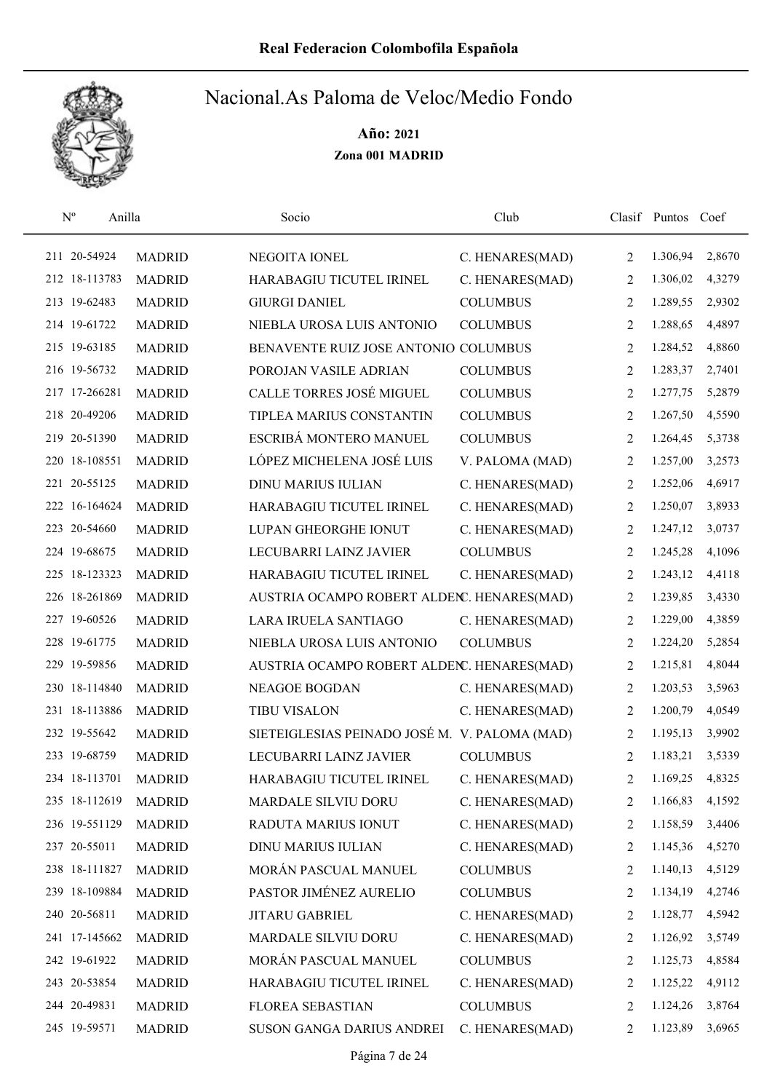

| $\mathbf{N}^{\text{o}}$ | Anilla |               | Socio                                         | Club            |                | Clasif Puntos | Coef   |
|-------------------------|--------|---------------|-----------------------------------------------|-----------------|----------------|---------------|--------|
| 211 20-54924            |        | <b>MADRID</b> | NEGOITA IONEL                                 | C. HENARES(MAD) | 2              | 1.306,94      | 2,8670 |
| 212 18-113783           |        | <b>MADRID</b> | HARABAGIU TICUTEL IRINEL                      | C. HENARES(MAD) | 2              | 1.306,02      | 4,3279 |
| 213 19-62483            |        | <b>MADRID</b> | <b>GIURGI DANIEL</b>                          | <b>COLUMBUS</b> | 2              | 1.289,55      | 2,9302 |
| 214 19-61722            |        | <b>MADRID</b> | NIEBLA UROSA LUIS ANTONIO                     | <b>COLUMBUS</b> | 2              | 1.288,65      | 4,4897 |
| 215 19-63185            |        | <b>MADRID</b> | BENAVENTE RUIZ JOSE ANTONIO COLUMBUS          |                 | 2              | 1.284,52      | 4,8860 |
| 216 19-56732            |        | <b>MADRID</b> | POROJAN VASILE ADRIAN                         | <b>COLUMBUS</b> | 2              | 1.283,37      | 2,7401 |
| 217 17-266281           |        | <b>MADRID</b> | CALLE TORRES JOSÉ MIGUEL                      | <b>COLUMBUS</b> | 2              | 1.277,75      | 5,2879 |
| 218 20-49206            |        | <b>MADRID</b> | TIPLEA MARIUS CONSTANTIN                      | <b>COLUMBUS</b> | 2              | 1.267,50      | 4,5590 |
| 219 20-51390            |        | <b>MADRID</b> | ESCRIBÁ MONTERO MANUEL                        | <b>COLUMBUS</b> | 2              | 1.264,45      | 5,3738 |
| 220 18-108551           |        | <b>MADRID</b> | LÓPEZ MICHELENA JOSÉ LUIS                     | V. PALOMA (MAD) | 2              | 1.257,00      | 3,2573 |
| 221 20-55125            |        | <b>MADRID</b> | <b>DINU MARIUS IULIAN</b>                     | C. HENARES(MAD) | 2              | 1.252,06      | 4,6917 |
| 222 16-164624           |        | <b>MADRID</b> | HARABAGIU TICUTEL IRINEL                      | C. HENARES(MAD) | 2              | 1.250,07      | 3,8933 |
| 223 20-54660            |        | <b>MADRID</b> | LUPAN GHEORGHE IONUT                          | C. HENARES(MAD) | 2              | 1.247,12      | 3,0737 |
| 224 19-68675            |        | <b>MADRID</b> | LECUBARRI LAINZ JAVIER                        | <b>COLUMBUS</b> | 2              | 1.245,28      | 4,1096 |
| 225 18-123323           |        | <b>MADRID</b> | HARABAGIU TICUTEL IRINEL                      | C. HENARES(MAD) | $\overline{2}$ | 1.243,12      | 4,4118 |
| 226 18-261869           |        | <b>MADRID</b> | AUSTRIA OCAMPO ROBERT ALDEN. HENARES(MAD)     |                 | 2              | 1.239,85      | 3,4330 |
| 227 19-60526            |        | <b>MADRID</b> | LARA IRUELA SANTIAGO                          | C. HENARES(MAD) | 2              | 1.229,00      | 4,3859 |
| 228 19-61775            |        | <b>MADRID</b> | NIEBLA UROSA LUIS ANTONIO                     | <b>COLUMBUS</b> | 2              | 1.224,20      | 5,2854 |
| 229 19-59856            |        | <b>MADRID</b> | AUSTRIA OCAMPO ROBERT ALDENC. HENARES(MAD)    |                 | 2              | 1.215,81      | 4,8044 |
| 230 18-114840           |        | <b>MADRID</b> | <b>NEAGOE BOGDAN</b>                          | C. HENARES(MAD) | 2              | 1.203,53      | 3,5963 |
| 231 18-113886           |        | <b>MADRID</b> | <b>TIBU VISALON</b>                           | C. HENARES(MAD) | 2              | 1.200,79      | 4,0549 |
| 232 19-55642            |        | <b>MADRID</b> | SIETEIGLESIAS PEINADO JOSÉ M. V. PALOMA (MAD) |                 | 2              | 1.195,13      | 3,9902 |
| 233 19-68759            |        | <b>MADRID</b> | LECUBARRI LAINZ JAVIER                        | <b>COLUMBUS</b> | 2              | 1.183,21      | 3,5339 |
| 234 18-113701           |        | <b>MADRID</b> | HARABAGIU TICUTEL IRINEL                      | C. HENARES(MAD) | $\overline{2}$ | 1.169,25      | 4,8325 |
| 235 18-112619           |        | <b>MADRID</b> | MARDALE SILVIU DORU                           | C. HENARES(MAD) | 2              | 1.166,83      | 4,1592 |
| 236 19-551129           |        | <b>MADRID</b> | RADUTA MARIUS IONUT                           | C. HENARES(MAD) | 2              | 1.158,59      | 3,4406 |
| 237 20-55011            |        | <b>MADRID</b> | <b>DINU MARIUS IULIAN</b>                     | C. HENARES(MAD) | 2              | 1.145,36      | 4,5270 |
| 238 18-111827           |        | <b>MADRID</b> | MORÁN PASCUAL MANUEL                          | <b>COLUMBUS</b> | 2              | 1.140,13      | 4,5129 |
| 239 18-109884           |        | <b>MADRID</b> | PASTOR JIMÉNEZ AURELIO                        | <b>COLUMBUS</b> | 2              | 1.134,19      | 4,2746 |
| 240 20-56811            |        | <b>MADRID</b> | <b>JITARU GABRIEL</b>                         | C. HENARES(MAD) | 2              | 1.128,77      | 4,5942 |
| 241 17-145662           |        | <b>MADRID</b> | MARDALE SILVIU DORU                           | C. HENARES(MAD) | 2              | 1.126,92      | 3,5749 |
| 242 19-61922            |        | <b>MADRID</b> | MORÁN PASCUAL MANUEL                          | <b>COLUMBUS</b> | 2              | 1.125,73      | 4,8584 |
| 243 20-53854            |        | <b>MADRID</b> | HARABAGIU TICUTEL IRINEL                      | C. HENARES(MAD) | 2              | 1.125,22      | 4,9112 |
| 244 20-49831            |        | <b>MADRID</b> | FLOREA SEBASTIAN                              | <b>COLUMBUS</b> | 2              | 1.124,26      | 3,8764 |
| 245 19-59571            |        | <b>MADRID</b> | SUSON GANGA DARIUS ANDREI                     | C. HENARES(MAD) | 2              | 1.123,89      | 3,6965 |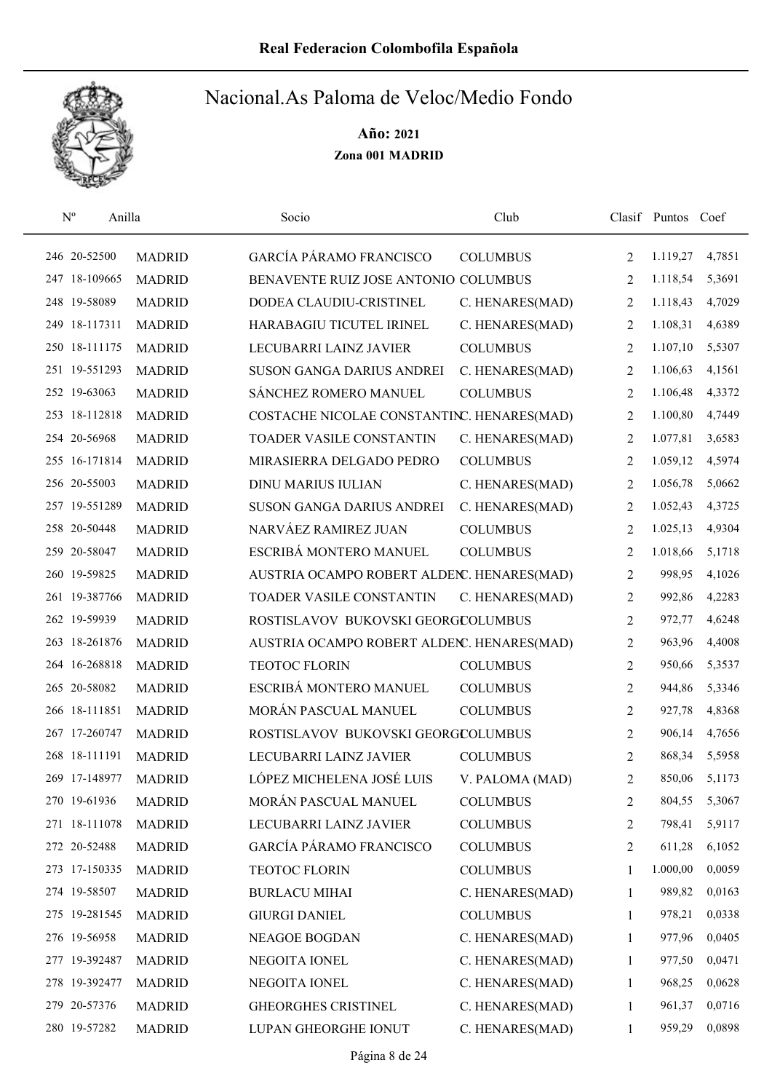

| $\mathbf{N}^{\text{o}}$<br>Anilla |               | Socio                                      | Club            |                | Clasif Puntos Coef |        |
|-----------------------------------|---------------|--------------------------------------------|-----------------|----------------|--------------------|--------|
| 246 20-52500                      | <b>MADRID</b> | GARCÍA PÁRAMO FRANCISCO                    | <b>COLUMBUS</b> | 2              | 1.119,27           | 4,7851 |
| 247 18-109665                     | <b>MADRID</b> | BENAVENTE RUIZ JOSE ANTONIO COLUMBUS       |                 | $\overline{2}$ | 1.118,54           | 5,3691 |
| 248 19-58089                      | <b>MADRID</b> | DODEA CLAUDIU-CRISTINEL                    | C. HENARES(MAD) | 2              | 1.118,43           | 4,7029 |
| 249 18-117311                     | <b>MADRID</b> | HARABAGIU TICUTEL IRINEL                   | C. HENARES(MAD) | 2              | 1.108,31           | 4,6389 |
| 250 18-111175                     | <b>MADRID</b> | LECUBARRI LAINZ JAVIER                     | <b>COLUMBUS</b> | 2              | 1.107,10           | 5,5307 |
| 251 19-551293                     | <b>MADRID</b> | SUSON GANGA DARIUS ANDREI                  | C. HENARES(MAD) | 2              | 1.106,63           | 4,1561 |
| 252 19-63063                      | <b>MADRID</b> | SÁNCHEZ ROMERO MANUEL                      | <b>COLUMBUS</b> | 2              | 1.106,48           | 4,3372 |
| 253 18-112818                     | <b>MADRID</b> | COSTACHE NICOLAE CONSTANTINC. HENARES(MAD) |                 | 2              | 1.100,80           | 4,7449 |
| 254 20-56968                      | <b>MADRID</b> | TOADER VASILE CONSTANTIN                   | C. HENARES(MAD) | 2              | 1.077,81           | 3,6583 |
| 255 16-171814                     | <b>MADRID</b> | MIRASIERRA DELGADO PEDRO                   | <b>COLUMBUS</b> | 2              | 1.059,12           | 4,5974 |
| 256 20-55003                      | <b>MADRID</b> | <b>DINU MARIUS IULIAN</b>                  | C. HENARES(MAD) | 2              | 1.056,78           | 5,0662 |
| 257 19-551289                     | <b>MADRID</b> | <b>SUSON GANGA DARIUS ANDREI</b>           | C. HENARES(MAD) | 2              | 1.052,43           | 4,3725 |
| 258 20-50448                      | <b>MADRID</b> | NARVÁEZ RAMIREZ JUAN                       | <b>COLUMBUS</b> | 2              | 1.025,13           | 4,9304 |
| 259 20-58047                      | <b>MADRID</b> | ESCRIBÁ MONTERO MANUEL                     | <b>COLUMBUS</b> | 2              | 1.018,66           | 5,1718 |
| 260 19-59825                      | <b>MADRID</b> | AUSTRIA OCAMPO ROBERT ALDENC. HENARES(MAD) |                 | 2              | 998,95             | 4,1026 |
| 261 19-387766                     | <b>MADRID</b> | TOADER VASILE CONSTANTIN                   | C. HENARES(MAD) | 2              | 992,86             | 4,2283 |
| 262 19-59939                      | <b>MADRID</b> | ROSTISLAVOV BUKOVSKI GEORGCOLUMBUS         |                 | 2              | 972,77             | 4,6248 |
| 263 18-261876                     | <b>MADRID</b> | AUSTRIA OCAMPO ROBERT ALDENC. HENARES(MAD) |                 | 2              | 963,96             | 4,4008 |
| 16-268818<br>264                  | <b>MADRID</b> | <b>TEOTOC FLORIN</b>                       | <b>COLUMBUS</b> | 2              | 950,66             | 5,3537 |
| 265 20-58082                      | <b>MADRID</b> | ESCRIBÁ MONTERO MANUEL                     | <b>COLUMBUS</b> | 2              | 944,86             | 5,3346 |
| 266 18-111851                     | <b>MADRID</b> | MORÁN PASCUAL MANUEL                       | <b>COLUMBUS</b> | 2              | 927,78             | 4,8368 |
| 267 17-260747                     | <b>MADRID</b> | ROSTISLAVOV BUKOVSKI GEORGCOLUMBUS         |                 | 2              | 906,14             | 4,7656 |
| 268 18-111191                     | <b>MADRID</b> | LECUBARRI LAINZ JAVIER                     | <b>COLUMBUS</b> | 2              | 868,34             | 5,5958 |
| 269 17-148977                     | <b>MADRID</b> | LÓPEZ MICHELENA JOSÉ LUIS                  | V. PALOMA (MAD) | $\overline{2}$ | 850,06             | 5,1173 |
| 270 19-61936                      | <b>MADRID</b> | MORÁN PASCUAL MANUEL                       | <b>COLUMBUS</b> | 2              | 804,55             | 5,3067 |
| 271 18-111078                     | <b>MADRID</b> | LECUBARRI LAINZ JAVIER                     | <b>COLUMBUS</b> | 2              | 798,41             | 5,9117 |
| 272 20-52488                      | <b>MADRID</b> | GARCÍA PÁRAMO FRANCISCO                    | <b>COLUMBUS</b> | 2              | 611,28             | 6,1052 |
| 273 17-150335                     | <b>MADRID</b> | <b>TEOTOC FLORIN</b>                       | <b>COLUMBUS</b> | 1              | 1.000,00           | 0,0059 |
| 274 19-58507                      | <b>MADRID</b> | <b>BURLACU MIHAI</b>                       | C. HENARES(MAD) | 1              | 989,82             | 0,0163 |
| 275 19-281545                     | <b>MADRID</b> | <b>GIURGI DANIEL</b>                       | <b>COLUMBUS</b> | 1              | 978,21             | 0,0338 |
| 276 19-56958                      | <b>MADRID</b> | NEAGOE BOGDAN                              | C. HENARES(MAD) | 1              | 977,96             | 0,0405 |
| 277 19-392487                     | <b>MADRID</b> | NEGOITA IONEL                              | C. HENARES(MAD) | 1              | 977,50             | 0,0471 |
| 278 19-392477                     | <b>MADRID</b> | NEGOITA IONEL                              | C. HENARES(MAD) | 1              | 968,25             | 0,0628 |
| 279 20-57376                      | <b>MADRID</b> | <b>GHEORGHES CRISTINEL</b>                 | C. HENARES(MAD) | 1              | 961,37             | 0,0716 |
| 280 19-57282                      | <b>MADRID</b> | LUPAN GHEORGHE IONUT                       | C. HENARES(MAD) | 1              | 959,29             | 0,0898 |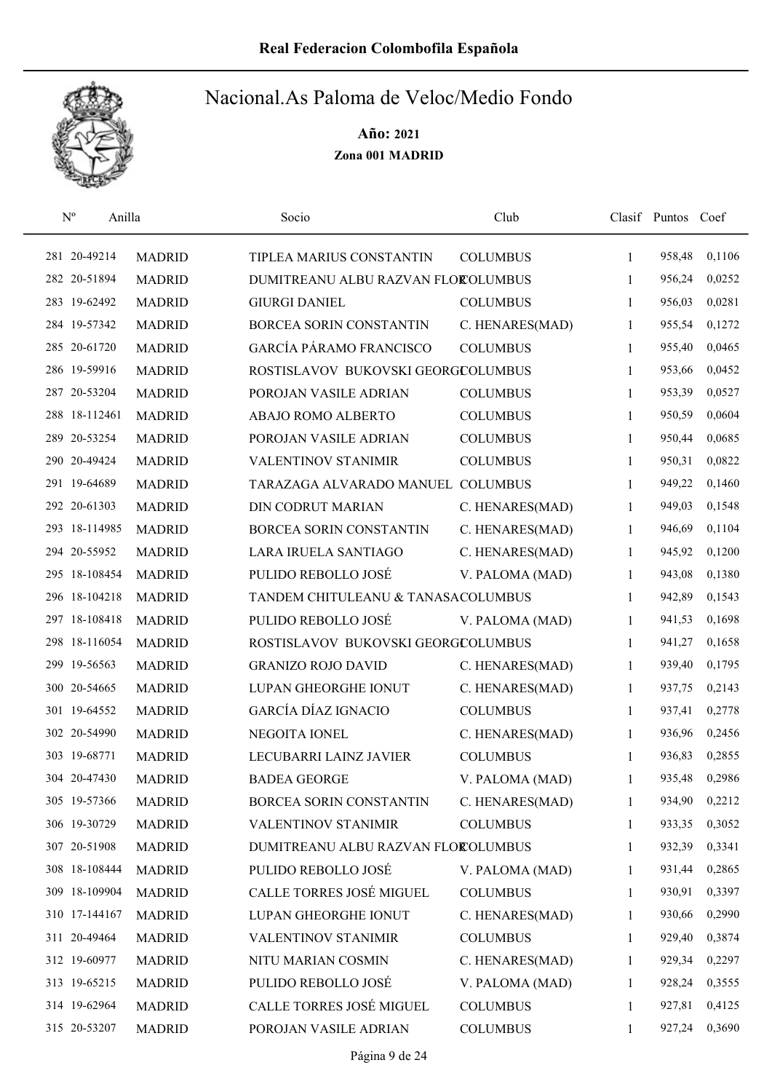

| $\mathbf{N}^{\text{o}}$<br>Anilla |               | Socio                              | Club            |              | Clasif Puntos Coef |        |
|-----------------------------------|---------------|------------------------------------|-----------------|--------------|--------------------|--------|
| 281 20-49214                      | <b>MADRID</b> | TIPLEA MARIUS CONSTANTIN           | <b>COLUMBUS</b> | 1            | 958,48             | 0,1106 |
| 282 20-51894                      | <b>MADRID</b> | DUMITREANU ALBU RAZVAN FLOROLUMBUS |                 | 1            | 956,24             | 0,0252 |
| 283 19-62492                      | <b>MADRID</b> | <b>GIURGI DANIEL</b>               | <b>COLUMBUS</b> | $\mathbf{1}$ | 956,03             | 0,0281 |
| 284 19-57342                      | <b>MADRID</b> | BORCEA SORIN CONSTANTIN            | C. HENARES(MAD) | 1            | 955,54             | 0,1272 |
| 285 20-61720                      | <b>MADRID</b> | GARCÍA PÁRAMO FRANCISCO            | <b>COLUMBUS</b> | $\mathbf{1}$ | 955,40             | 0,0465 |
| 286 19-59916                      | <b>MADRID</b> | ROSTISLAVOV BUKOVSKI GEORGCOLUMBUS |                 | $\mathbf{1}$ | 953,66             | 0,0452 |
| 287 20-53204                      | <b>MADRID</b> | POROJAN VASILE ADRIAN              | <b>COLUMBUS</b> | $\mathbf{1}$ | 953,39             | 0,0527 |
| 288 18-112461                     | <b>MADRID</b> | ABAJO ROMO ALBERTO                 | <b>COLUMBUS</b> | $\mathbf{1}$ | 950,59             | 0,0604 |
| 289 20-53254                      | <b>MADRID</b> | POROJAN VASILE ADRIAN              | <b>COLUMBUS</b> | 1            | 950,44             | 0,0685 |
| 290 20-49424                      | <b>MADRID</b> | <b>VALENTINOV STANIMIR</b>         | <b>COLUMBUS</b> | 1            | 950,31             | 0,0822 |
| 291 19-64689                      | <b>MADRID</b> | TARAZAGA ALVARADO MANUEL COLUMBUS  |                 | 1            | 949,22             | 0,1460 |
| 292 20-61303                      | <b>MADRID</b> | DIN CODRUT MARIAN                  | C. HENARES(MAD) | 1            | 949,03             | 0,1548 |
| 293 18-114985                     | <b>MADRID</b> | BORCEA SORIN CONSTANTIN            | C. HENARES(MAD) | 1            | 946,69             | 0,1104 |
| 294 20-55952                      | <b>MADRID</b> | LARA IRUELA SANTIAGO               | C. HENARES(MAD) | 1            | 945,92             | 0,1200 |
| 295 18-108454                     | <b>MADRID</b> | PULIDO REBOLLO JOSÉ                | V. PALOMA (MAD) | 1            | 943,08             | 0,1380 |
| 296 18-104218                     | <b>MADRID</b> | TANDEM CHITULEANU & TANASACOLUMBUS |                 | 1            | 942,89             | 0,1543 |
| 297 18-108418                     | <b>MADRID</b> | PULIDO REBOLLO JOSÉ                | V. PALOMA (MAD) | 1            | 941,53             | 0,1698 |
| 298 18-116054                     | <b>MADRID</b> | ROSTISLAVOV BUKOVSKI GEORGCOLUMBUS |                 | $\mathbf{1}$ | 941,27             | 0,1658 |
| 299 19-56563                      | <b>MADRID</b> | <b>GRANIZO ROJO DAVID</b>          | C. HENARES(MAD) | $\mathbf{1}$ | 939,40             | 0,1795 |
| 300 20-54665                      | <b>MADRID</b> | LUPAN GHEORGHE IONUT               | C. HENARES(MAD) | 1            | 937,75             | 0,2143 |
| 301 19-64552                      | <b>MADRID</b> | <b>GARCÍA DÍAZ IGNACIO</b>         | <b>COLUMBUS</b> | $\mathbf{1}$ | 937,41             | 0,2778 |
| 302 20-54990                      | <b>MADRID</b> | NEGOITA IONEL                      | C. HENARES(MAD) | 1            | 936,96             | 0,2456 |
| 303 19-68771                      | <b>MADRID</b> | LECUBARRI LAINZ JAVIER             | <b>COLUMBUS</b> | 1            | 936,83             | 0,2855 |
| 304 20-47430                      | <b>MADRID</b> | <b>BADEA GEORGE</b>                | V. PALOMA (MAD) | 1            | 935,48             | 0,2986 |
| 305 19-57366                      | <b>MADRID</b> | BORCEA SORIN CONSTANTIN            | C. HENARES(MAD) | 1            | 934,90             | 0,2212 |
| 306 19-30729                      | <b>MADRID</b> | VALENTINOV STANIMIR                | <b>COLUMBUS</b> | 1            | 933,35             | 0,3052 |
| 307 20-51908                      | <b>MADRID</b> | DUMITREANU ALBU RAZVAN FLOROLUMBUS |                 | 1            | 932,39             | 0,3341 |
| 308 18-108444                     | <b>MADRID</b> | PULIDO REBOLLO JOSÉ                | V. PALOMA (MAD) | 1            | 931,44             | 0,2865 |
| 309 18-109904                     | <b>MADRID</b> | CALLE TORRES JOSÉ MIGUEL           | <b>COLUMBUS</b> | 1            | 930,91             | 0,3397 |
| 310 17-144167                     | <b>MADRID</b> | LUPAN GHEORGHE IONUT               | C. HENARES(MAD) | 1            | 930,66             | 0,2990 |
| 311 20-49464                      | <b>MADRID</b> | <b>VALENTINOV STANIMIR</b>         | <b>COLUMBUS</b> | 1            | 929,40             | 0,3874 |
| 312 19-60977                      | <b>MADRID</b> | NITU MARIAN COSMIN                 | C. HENARES(MAD) | 1            | 929,34             | 0,2297 |
| 313 19-65215                      | <b>MADRID</b> | PULIDO REBOLLO JOSÉ                | V. PALOMA (MAD) | 1            | 928,24             | 0,3555 |
| 314 19-62964                      | <b>MADRID</b> | CALLE TORRES JOSÉ MIGUEL           | <b>COLUMBUS</b> | 1            | 927,81             | 0,4125 |
| 315 20-53207                      | <b>MADRID</b> | POROJAN VASILE ADRIAN              | <b>COLUMBUS</b> | 1            | 927,24             | 0,3690 |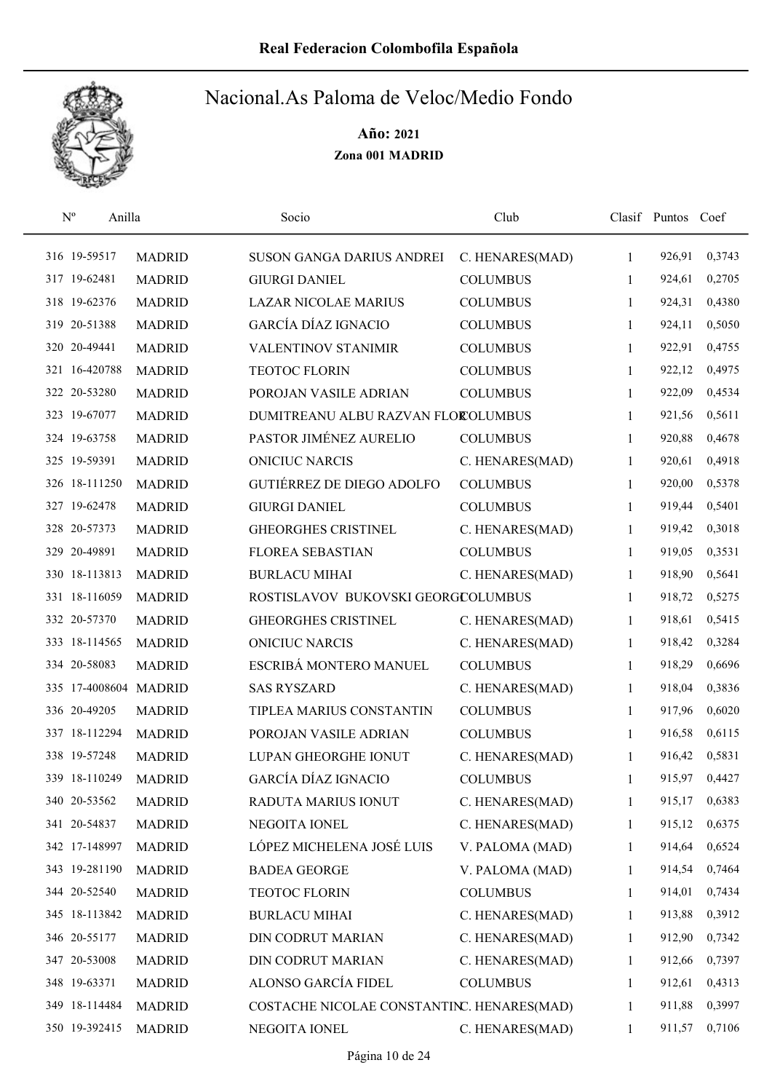

|  | $\mathbf{N}^{\text{o}}$<br>Anilla |               | Socio                                      | Club            |              | Clasif Puntos Coef |        |
|--|-----------------------------------|---------------|--------------------------------------------|-----------------|--------------|--------------------|--------|
|  | 316 19-59517                      | <b>MADRID</b> | SUSON GANGA DARIUS ANDREI                  | C. HENARES(MAD) | $\mathbf{1}$ | 926,91             | 0,3743 |
|  | 317 19-62481                      | <b>MADRID</b> | <b>GIURGI DANIEL</b>                       | <b>COLUMBUS</b> | 1            | 924,61             | 0,2705 |
|  | 318 19-62376                      | <b>MADRID</b> | <b>LAZAR NICOLAE MARIUS</b>                | <b>COLUMBUS</b> | $\mathbf{1}$ | 924,31             | 0,4380 |
|  | 319 20-51388                      | <b>MADRID</b> | GARCÍA DÍAZ IGNACIO                        | <b>COLUMBUS</b> | 1            | 924,11             | 0,5050 |
|  | 320 20-49441                      | <b>MADRID</b> | <b>VALENTINOV STANIMIR</b>                 | <b>COLUMBUS</b> | 1            | 922,91             | 0,4755 |
|  | 321 16-420788                     | <b>MADRID</b> | <b>TEOTOC FLORIN</b>                       | <b>COLUMBUS</b> | $\mathbf{1}$ | 922,12             | 0,4975 |
|  | 322 20-53280                      | <b>MADRID</b> | POROJAN VASILE ADRIAN                      | <b>COLUMBUS</b> | 1            | 922,09             | 0,4534 |
|  | 323 19-67077                      | <b>MADRID</b> | DUMITREANU ALBU RAZVAN FLOROLUMBUS         |                 | 1            | 921,56             | 0,5611 |
|  | 324 19-63758                      | <b>MADRID</b> | PASTOR JIMÉNEZ AURELIO                     | <b>COLUMBUS</b> | 1            | 920,88             | 0,4678 |
|  | 325 19-59391                      | <b>MADRID</b> | <b>ONICIUC NARCIS</b>                      | C. HENARES(MAD) | 1            | 920,61             | 0,4918 |
|  | 326 18-111250                     | <b>MADRID</b> | <b>GUTIÉRREZ DE DIEGO ADOLFO</b>           | <b>COLUMBUS</b> | 1            | 920,00             | 0,5378 |
|  | 327 19-62478                      | <b>MADRID</b> | <b>GIURGI DANIEL</b>                       | <b>COLUMBUS</b> | 1            | 919,44             | 0,5401 |
|  | 328 20-57373                      | <b>MADRID</b> | GHEORGHES CRISTINEL                        | C. HENARES(MAD) | 1            | 919,42             | 0,3018 |
|  | 329 20-49891                      | <b>MADRID</b> | <b>FLOREA SEBASTIAN</b>                    | <b>COLUMBUS</b> | 1            | 919,05             | 0,3531 |
|  | 330 18-113813                     | <b>MADRID</b> | <b>BURLACU MIHAI</b>                       | C. HENARES(MAD) | 1            | 918,90             | 0,5641 |
|  | 331 18-116059                     | <b>MADRID</b> | ROSTISLAVOV BUKOVSKI GEORGCOLUMBUS         |                 | 1            | 918,72             | 0,5275 |
|  | 332 20-57370                      | <b>MADRID</b> | <b>GHEORGHES CRISTINEL</b>                 | C. HENARES(MAD) | 1            | 918,61             | 0,5415 |
|  | 333 18-114565                     | <b>MADRID</b> | <b>ONICIUC NARCIS</b>                      | C. HENARES(MAD) | 1            | 918,42             | 0,3284 |
|  | 334 20-58083                      | <b>MADRID</b> | ESCRIBÁ MONTERO MANUEL                     | <b>COLUMBUS</b> | 1            | 918,29             | 0,6696 |
|  | 335 17-4008604 MADRID             |               | <b>SAS RYSZARD</b>                         | C. HENARES(MAD) | 1            | 918,04             | 0,3836 |
|  | 336 20-49205                      | <b>MADRID</b> | TIPLEA MARIUS CONSTANTIN                   | <b>COLUMBUS</b> | 1            | 917,96             | 0,6020 |
|  | 337 18-112294                     | <b>MADRID</b> | POROJAN VASILE ADRIAN                      | <b>COLUMBUS</b> | 1            | 916,58             | 0,6115 |
|  | 338 19-57248                      | <b>MADRID</b> | LUPAN GHEORGHE IONUT                       | C. HENARES(MAD) | 1            | 916,42             | 0,5831 |
|  | 339 18-110249                     | <b>MADRID</b> | <b>GARCÍA DÍAZ IGNACIO</b>                 | <b>COLUMBUS</b> | 1            | 915,97             | 0,4427 |
|  | 340 20-53562                      | <b>MADRID</b> | RADUTA MARIUS IONUT                        | C. HENARES(MAD) | 1            | 915,17             | 0,6383 |
|  | 341 20-54837                      | <b>MADRID</b> | NEGOITA IONEL                              | C. HENARES(MAD) | 1            | 915,12             | 0,6375 |
|  | 342 17-148997                     | <b>MADRID</b> | LÓPEZ MICHELENA JOSÉ LUIS                  | V. PALOMA (MAD) | 1            | 914,64             | 0,6524 |
|  | 343 19-281190                     | <b>MADRID</b> | <b>BADEA GEORGE</b>                        | V. PALOMA (MAD) | 1            | 914,54             | 0,7464 |
|  | 344 20-52540                      | <b>MADRID</b> | TEOTOC FLORIN                              | <b>COLUMBUS</b> | 1            | 914,01             | 0,7434 |
|  | 345 18-113842                     | <b>MADRID</b> | <b>BURLACU MIHAI</b>                       | C. HENARES(MAD) | $\mathbf{1}$ | 913,88             | 0,3912 |
|  | 346 20-55177                      | <b>MADRID</b> | DIN CODRUT MARIAN                          | C. HENARES(MAD) | $\mathbf{1}$ | 912,90             | 0,7342 |
|  | 347 20-53008                      | <b>MADRID</b> | DIN CODRUT MARIAN                          | C. HENARES(MAD) | 1            | 912,66             | 0,7397 |
|  | 348 19-63371                      | <b>MADRID</b> | ALONSO GARCÍA FIDEL                        | <b>COLUMBUS</b> | 1            | 912,61             | 0,4313 |
|  | 349 18-114484                     | <b>MADRID</b> | COSTACHE NICOLAE CONSTANTINC. HENARES(MAD) |                 | 1            | 911,88             | 0,3997 |
|  | 350 19-392415                     | <b>MADRID</b> | NEGOITA IONEL                              | C. HENARES(MAD) | $\mathbf{1}$ | 911,57             | 0,7106 |
|  |                                   |               |                                            |                 |              |                    |        |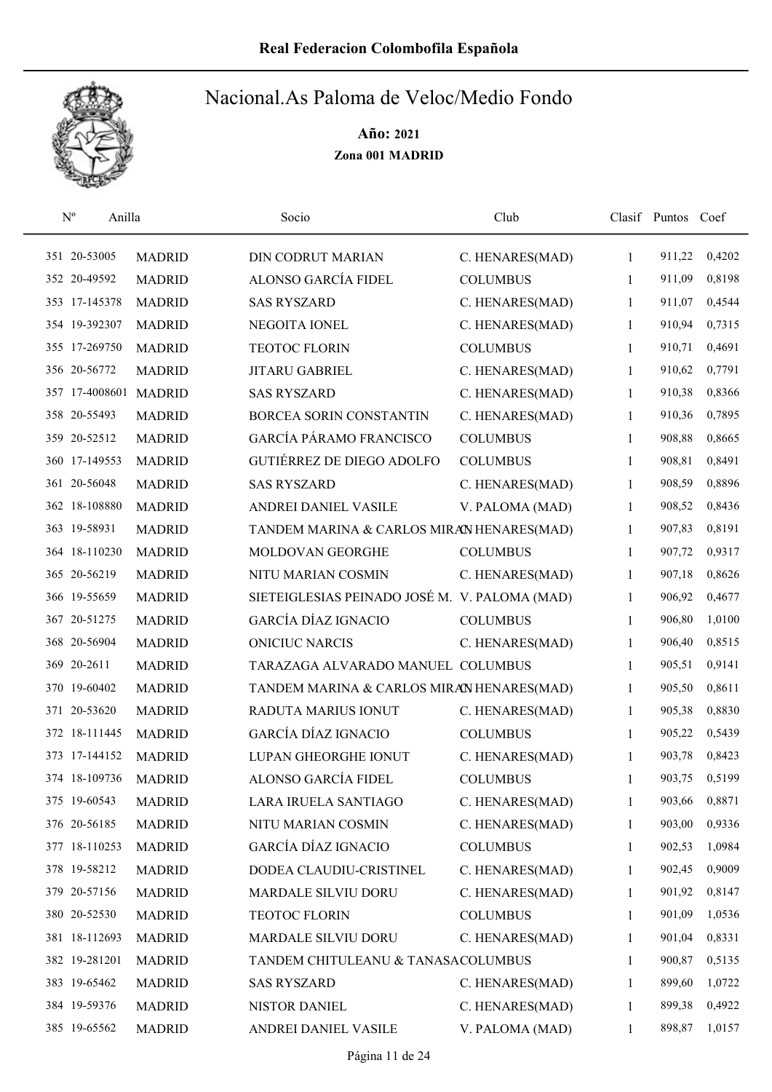

| $\mathbf{N}^{\text{o}}$<br>Anilla |               | Socio                                         | Club            |              | Clasif Puntos Coef |        |
|-----------------------------------|---------------|-----------------------------------------------|-----------------|--------------|--------------------|--------|
| 351 20-53005                      | <b>MADRID</b> | <b>DIN CODRUT MARIAN</b>                      | C. HENARES(MAD) | $\mathbf{1}$ | 911,22             | 0,4202 |
| 352 20-49592                      | <b>MADRID</b> | ALONSO GARCÍA FIDEL                           | <b>COLUMBUS</b> | 1            | 911,09             | 0,8198 |
| 353 17-145378                     | <b>MADRID</b> | <b>SAS RYSZARD</b>                            | C. HENARES(MAD) | 1            | 911,07             | 0,4544 |
| 354 19-392307                     | <b>MADRID</b> | NEGOITA IONEL                                 | C. HENARES(MAD) | 1            | 910,94             | 0,7315 |
| 355 17-269750                     | <b>MADRID</b> | <b>TEOTOC FLORIN</b>                          | <b>COLUMBUS</b> | 1            | 910,71             | 0,4691 |
| 356 20-56772                      | <b>MADRID</b> | JITARU GABRIEL                                | C. HENARES(MAD) | 1            | 910,62             | 0,7791 |
| 357 17-4008601 MADRID             |               | <b>SAS RYSZARD</b>                            | C. HENARES(MAD) | 1            | 910,38             | 0,8366 |
| 358 20-55493                      | <b>MADRID</b> | <b>BORCEA SORIN CONSTANTIN</b>                | C. HENARES(MAD) | 1            | 910,36             | 0,7895 |
| 359 20-52512                      | <b>MADRID</b> | <b>GARCÍA PÁRAMO FRANCISCO</b>                | <b>COLUMBUS</b> | 1            | 908,88             | 0,8665 |
| 360 17-149553                     | <b>MADRID</b> | <b>GUTIÉRREZ DE DIEGO ADOLFO</b>              | <b>COLUMBUS</b> | 1            | 908,81             | 0,8491 |
| 361 20-56048                      | <b>MADRID</b> | <b>SAS RYSZARD</b>                            | C. HENARES(MAD) | 1            | 908,59             | 0,8896 |
| 362 18-108880                     | <b>MADRID</b> | ANDREI DANIEL VASILE                          | V. PALOMA (MAD) | 1            | 908,52             | 0,8436 |
| 363 19-58931                      | <b>MADRID</b> | TANDEM MARINA & CARLOS MIRAN HENARES(MAD)     |                 | 1            | 907,83             | 0,8191 |
| 364 18-110230                     | <b>MADRID</b> | MOLDOVAN GEORGHE                              | <b>COLUMBUS</b> | 1            | 907,72             | 0,9317 |
| 365 20-56219                      | <b>MADRID</b> | NITU MARIAN COSMIN                            | C. HENARES(MAD) | 1            | 907,18             | 0,8626 |
| 366 19-55659                      | <b>MADRID</b> | SIETEIGLESIAS PEINADO JOSÉ M. V. PALOMA (MAD) |                 | 1            | 906,92             | 0,4677 |
| 367 20-51275                      | <b>MADRID</b> | <b>GARCÍA DÍAZ IGNACIO</b>                    | <b>COLUMBUS</b> | 1            | 906,80             | 1,0100 |
| 368 20-56904                      | <b>MADRID</b> | <b>ONICIUC NARCIS</b>                         | C. HENARES(MAD) | 1            | 906,40             | 0,8515 |
| 369 20-2611                       | <b>MADRID</b> | TARAZAGA ALVARADO MANUEL COLUMBUS             |                 | $\mathbf{1}$ | 905,51             | 0,9141 |
| 370 19-60402                      | <b>MADRID</b> | TANDEM MARINA & CARLOS MIRAN HENARES(MAD)     |                 | 1            | 905,50             | 0,8611 |
| 371 20-53620                      | <b>MADRID</b> | RADUTA MARIUS IONUT                           | C. HENARES(MAD) | 1            | 905,38             | 0,8830 |
| 372 18-111445                     | <b>MADRID</b> | <b>GARCÍA DÍAZ IGNACIO</b>                    | <b>COLUMBUS</b> | 1            | 905,22             | 0,5439 |
| 373 17-144152                     | <b>MADRID</b> | LUPAN GHEORGHE IONUT                          | C. HENARES(MAD) | 1            | 903,78             | 0,8423 |
| 374 18-109736                     | <b>MADRID</b> | ALONSO GARCÍA FIDEL                           | <b>COLUMBUS</b> | 1            | 903,75             | 0,5199 |
| 375 19-60543                      | <b>MADRID</b> | LARA IRUELA SANTIAGO                          | C. HENARES(MAD) | 1            | 903,66             | 0,8871 |
| 376 20-56185                      | <b>MADRID</b> | NITU MARIAN COSMIN                            | C. HENARES(MAD) | 1            | 903,00             | 0,9336 |
| 377 18-110253                     | <b>MADRID</b> | GARCÍA DÍAZ IGNACIO                           | <b>COLUMBUS</b> | 1            | 902,53             | 1,0984 |
| 378 19-58212                      | <b>MADRID</b> | DODEA CLAUDIU-CRISTINEL                       | C. HENARES(MAD) | 1            | 902,45             | 0,9009 |
| 379 20-57156                      | <b>MADRID</b> | MARDALE SILVIU DORU                           | C. HENARES(MAD) | 1            | 901,92             | 0,8147 |
| 380 20-52530                      | <b>MADRID</b> | <b>TEOTOC FLORIN</b>                          | <b>COLUMBUS</b> | 1            | 901,09             | 1,0536 |
| 381 18-112693                     | <b>MADRID</b> | MARDALE SILVIU DORU                           | C. HENARES(MAD) | 1            | 901,04             | 0,8331 |
| 382 19-281201                     | <b>MADRID</b> | TANDEM CHITULEANU & TANASACOLUMBUS            |                 | 1            | 900,87             | 0,5135 |
| 383 19-65462                      | <b>MADRID</b> | <b>SAS RYSZARD</b>                            | C. HENARES(MAD) | 1            | 899,60             | 1,0722 |
| 384 19-59376                      | <b>MADRID</b> | NISTOR DANIEL                                 | C. HENARES(MAD) | 1            | 899,38             | 0,4922 |
| 385 19-65562                      | <b>MADRID</b> | ANDREI DANIEL VASILE                          | V. PALOMA (MAD) | 1            | 898,87             | 1,0157 |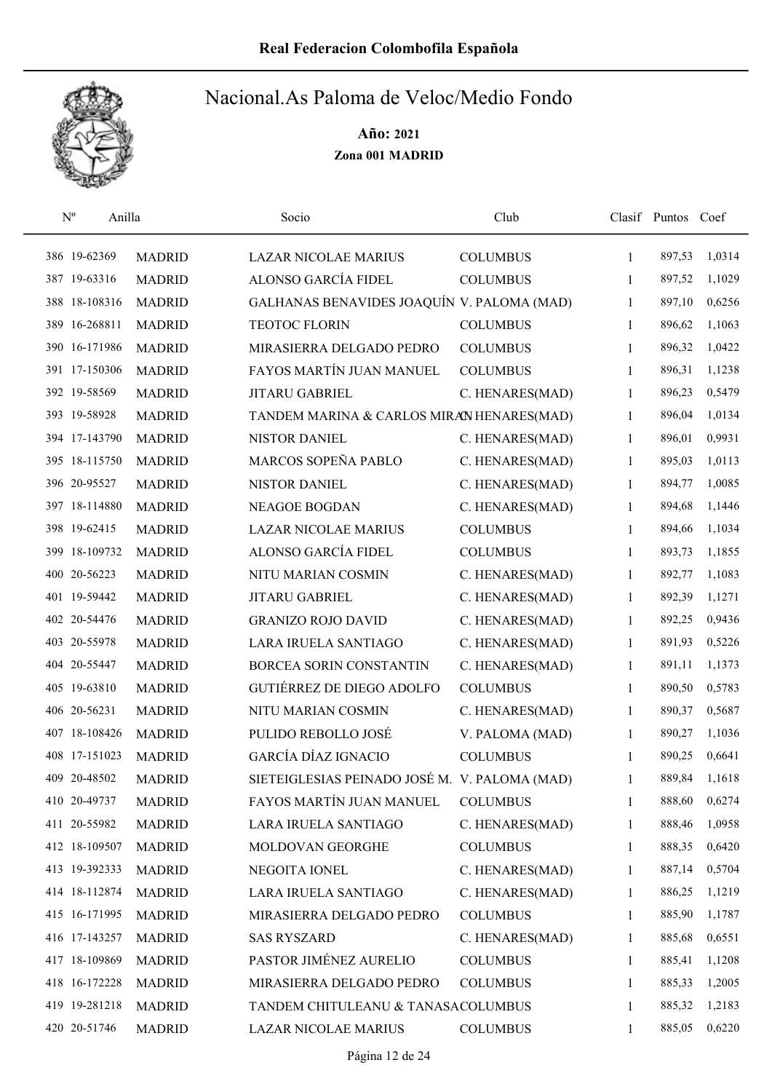

| $\mathbf{N}^{\text{o}}$ | Anilla        | Socio                                         | Club            |              | Clasif Puntos Coef |        |
|-------------------------|---------------|-----------------------------------------------|-----------------|--------------|--------------------|--------|
| 386 19-62369            | <b>MADRID</b> | <b>LAZAR NICOLAE MARIUS</b>                   | <b>COLUMBUS</b> | 1            | 897,53             | 1,0314 |
| 387 19-63316            | <b>MADRID</b> | ALONSO GARCÍA FIDEL                           | <b>COLUMBUS</b> | 1            | 897,52             | 1,1029 |
| 388 18-108316           | <b>MADRID</b> | GALHANAS BENAVIDES JOAQUÍN V. PALOMA (MAD)    |                 | 1            | 897,10             | 0,6256 |
| 389 16-268811           | <b>MADRID</b> | <b>TEOTOC FLORIN</b>                          | <b>COLUMBUS</b> | 1            | 896,62             | 1,1063 |
| 390 16-171986           | <b>MADRID</b> | MIRASIERRA DELGADO PEDRO                      | <b>COLUMBUS</b> | 1            | 896,32             | 1,0422 |
| 391 17-150306           | <b>MADRID</b> | FAYOS MARTÍN JUAN MANUEL                      | <b>COLUMBUS</b> | 1            | 896,31             | 1,1238 |
| 392 19-58569            | <b>MADRID</b> | <b>JITARU GABRIEL</b>                         | C. HENARES(MAD) | 1            | 896,23             | 0,5479 |
| 393 19-58928            | <b>MADRID</b> | TANDEM MARINA & CARLOS MIRAN HENARES(MAD)     |                 | 1            | 896,04             | 1,0134 |
| 394 17-143790           | <b>MADRID</b> | NISTOR DANIEL                                 | C. HENARES(MAD) | 1            | 896,01             | 0,9931 |
| 395 18-115750           | <b>MADRID</b> | MARCOS SOPEÑA PABLO                           | C. HENARES(MAD) | $\mathbf{1}$ | 895,03             | 1,0113 |
| 396 20-95527            | <b>MADRID</b> | NISTOR DANIEL                                 | C. HENARES(MAD) | 1            | 894,77             | 1,0085 |
| 397 18-114880           | <b>MADRID</b> | <b>NEAGOE BOGDAN</b>                          | C. HENARES(MAD) | 1            | 894,68             | 1,1446 |
| 398 19-62415            | <b>MADRID</b> | <b>LAZAR NICOLAE MARIUS</b>                   | <b>COLUMBUS</b> | 1            | 894,66             | 1,1034 |
| 399 18-109732           | <b>MADRID</b> | ALONSO GARCÍA FIDEL                           | <b>COLUMBUS</b> | 1            | 893,73             | 1,1855 |
| 400 20-56223            | <b>MADRID</b> | NITU MARIAN COSMIN                            | C. HENARES(MAD) | 1            | 892,77             | 1,1083 |
| 401 19-59442            | <b>MADRID</b> | JITARU GABRIEL                                | C. HENARES(MAD) | $\mathbf{1}$ | 892,39             | 1,1271 |
| 402 20-54476            | <b>MADRID</b> | <b>GRANIZO ROJO DAVID</b>                     | C. HENARES(MAD) | 1            | 892,25             | 0,9436 |
| 403 20-55978            | <b>MADRID</b> | LARA IRUELA SANTIAGO                          | C. HENARES(MAD) | $\mathbf{1}$ | 891,93             | 0,5226 |
| 404 20-55447            | <b>MADRID</b> | BORCEA SORIN CONSTANTIN                       | C. HENARES(MAD) | 1            | 891,11             | 1,1373 |
| 405 19-63810            | <b>MADRID</b> | <b>GUTIÉRREZ DE DIEGO ADOLFO</b>              | <b>COLUMBUS</b> | 1            | 890,50             | 0,5783 |
| 406 20-56231            | <b>MADRID</b> | NITU MARIAN COSMIN                            | C. HENARES(MAD) | 1            | 890,37             | 0,5687 |
| 407 18-108426           | <b>MADRID</b> | PULIDO REBOLLO JOSÉ                           | V. PALOMA (MAD) | 1            | 890,27             | 1,1036 |
| 408 17-151023           | <b>MADRID</b> | <b>GARCÍA DÍAZ IGNACIO</b>                    | <b>COLUMBUS</b> | 1            | 890,25             | 0,6641 |
| 409 20-48502            | <b>MADRID</b> | SIETEIGLESIAS PEINADO JOSÉ M. V. PALOMA (MAD) |                 | 1            | 889,84             | 1,1618 |
| 410 20-49737            | <b>MADRID</b> | FAYOS MARTÍN JUAN MANUEL                      | <b>COLUMBUS</b> | 1            | 888,60             | 0,6274 |
| 411 20-55982            | <b>MADRID</b> | LARA IRUELA SANTIAGO                          | C. HENARES(MAD) | 1            | 888,46             | 1,0958 |
| 412 18-109507           | <b>MADRID</b> | MOLDOVAN GEORGHE                              | <b>COLUMBUS</b> | 1            | 888,35             | 0,6420 |
| 413 19-392333           | <b>MADRID</b> | NEGOITA IONEL                                 | C. HENARES(MAD) | 1            | 887,14             | 0,5704 |
| 414 18-112874           | <b>MADRID</b> | LARA IRUELA SANTIAGO                          | C. HENARES(MAD) | 1            | 886,25             | 1,1219 |
| 415 16-171995           | <b>MADRID</b> | MIRASIERRA DELGADO PEDRO                      | <b>COLUMBUS</b> | 1            | 885,90             | 1,1787 |
| 416 17-143257           | <b>MADRID</b> | <b>SAS RYSZARD</b>                            | C. HENARES(MAD) | $\mathbf{1}$ | 885,68             | 0,6551 |
| 417 18-109869           | <b>MADRID</b> | PASTOR JIMÉNEZ AURELIO                        | <b>COLUMBUS</b> | 1            | 885,41             | 1,1208 |
| 418 16-172228           | <b>MADRID</b> | MIRASIERRA DELGADO PEDRO                      | <b>COLUMBUS</b> | 1            | 885,33             | 1,2005 |
| 419 19-281218           | <b>MADRID</b> | TANDEM CHITULEANU & TANASACOLUMBUS            |                 | 1            | 885,32             | 1,2183 |
| 420 20-51746            | <b>MADRID</b> | LAZAR NICOLAE MARIUS                          | <b>COLUMBUS</b> | 1            | 885,05             | 0,6220 |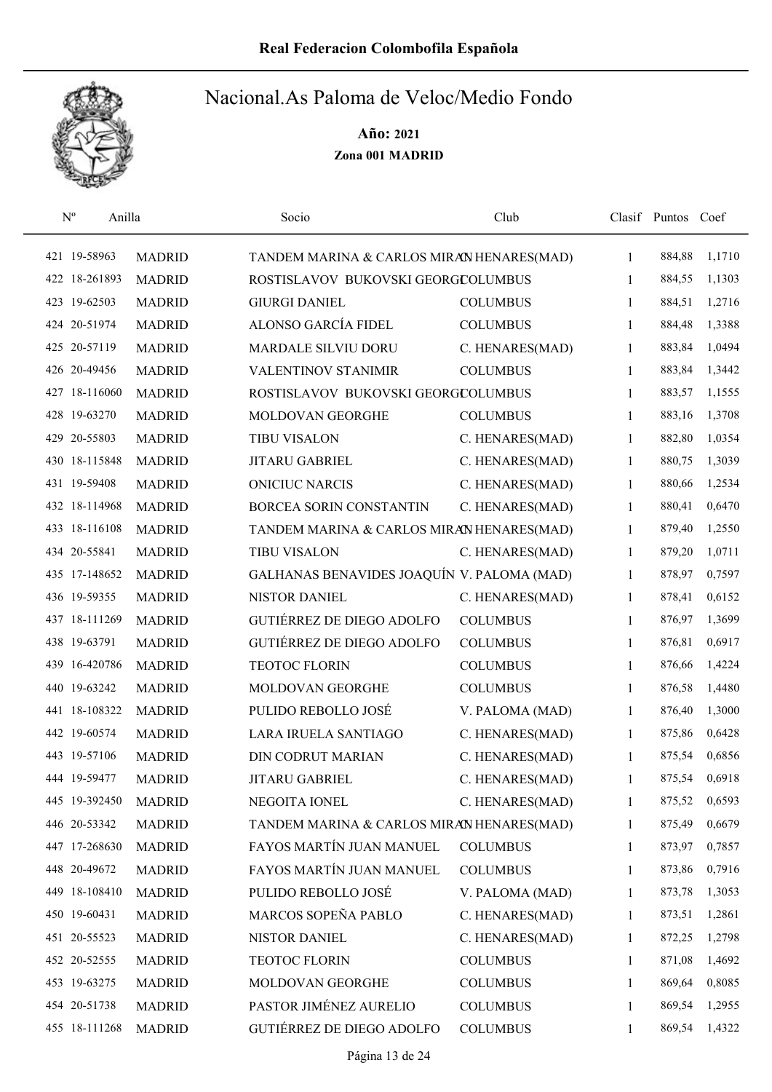

| $\rm N^o$<br>Anilla |               | Socio                                      | Club            |              | Clasif Puntos Coef |        |
|---------------------|---------------|--------------------------------------------|-----------------|--------------|--------------------|--------|
| 421 19-58963        | <b>MADRID</b> | TANDEM MARINA & CARLOS MIRAN HENARES(MAD)  |                 | $\mathbf{1}$ | 884,88             | 1,1710 |
| 422 18-261893       | <b>MADRID</b> | ROSTISLAVOV BUKOVSKI GEORGCOLUMBUS         |                 | $\mathbf{1}$ | 884,55             | 1,1303 |
| 423 19-62503        | <b>MADRID</b> | <b>GIURGI DANIEL</b>                       | <b>COLUMBUS</b> | $\mathbf{1}$ | 884,51             | 1,2716 |
| 424 20-51974        | <b>MADRID</b> | ALONSO GARCÍA FIDEL                        | <b>COLUMBUS</b> | 1            | 884,48             | 1,3388 |
| 425 20-57119        | <b>MADRID</b> | MARDALE SILVIU DORU                        | C. HENARES(MAD) | $\mathbf{1}$ | 883,84             | 1,0494 |
| 426 20-49456        | <b>MADRID</b> | <b>VALENTINOV STANIMIR</b>                 | <b>COLUMBUS</b> | $\mathbf{1}$ | 883,84             | 1,3442 |
| 427 18-116060       | <b>MADRID</b> | ROSTISLAVOV BUKOVSKI GEORGCOLUMBUS         |                 | $\mathbf{1}$ | 883,57             | 1,1555 |
| 428 19-63270        | <b>MADRID</b> | MOLDOVAN GEORGHE                           | <b>COLUMBUS</b> | 1            | 883,16             | 1,3708 |
| 429 20-55803        | <b>MADRID</b> | <b>TIBU VISALON</b>                        | C. HENARES(MAD) | 1            | 882,80             | 1,0354 |
| 430 18-115848       | <b>MADRID</b> | <b>JITARU GABRIEL</b>                      | C. HENARES(MAD) | 1            | 880,75             | 1,3039 |
| 431 19-59408        | <b>MADRID</b> | <b>ONICIUC NARCIS</b>                      | C. HENARES(MAD) | 1            | 880,66             | 1,2534 |
| 432 18-114968       | <b>MADRID</b> | BORCEA SORIN CONSTANTIN                    | C. HENARES(MAD) | 1            | 880,41             | 0,6470 |
| 433 18-116108       | <b>MADRID</b> | TANDEM MARINA & CARLOS MIRAN HENARES(MAD)  |                 | 1            | 879,40             | 1,2550 |
| 434 20-55841        | <b>MADRID</b> | <b>TIBU VISALON</b>                        | C. HENARES(MAD) | 1            | 879,20             | 1,0711 |
| 435 17-148652       | <b>MADRID</b> | GALHANAS BENAVIDES JOAQUÍN V. PALOMA (MAD) |                 | 1            | 878,97             | 0,7597 |
| 436 19-59355        | <b>MADRID</b> | <b>NISTOR DANIEL</b>                       | C. HENARES(MAD) | $\mathbf{1}$ | 878,41             | 0,6152 |
| 437 18-111269       | <b>MADRID</b> | <b>GUTIÉRREZ DE DIEGO ADOLFO</b>           | <b>COLUMBUS</b> | 1            | 876,97             | 1,3699 |
| 438 19-63791        | <b>MADRID</b> | GUTIÉRREZ DE DIEGO ADOLFO                  | <b>COLUMBUS</b> | $\mathbf{1}$ | 876,81             | 0,6917 |
| 16-420786<br>439    | <b>MADRID</b> | <b>TEOTOC FLORIN</b>                       | <b>COLUMBUS</b> | 1            | 876,66             | 1,4224 |
| 440 19-63242        | <b>MADRID</b> | MOLDOVAN GEORGHE                           | <b>COLUMBUS</b> | 1            | 876,58             | 1,4480 |
| 441 18-108322       | <b>MADRID</b> | PULIDO REBOLLO JOSÉ                        | V. PALOMA (MAD) | 1            | 876,40             | 1,3000 |
| 442 19-60574        | <b>MADRID</b> | LARA IRUELA SANTIAGO                       | C. HENARES(MAD) | 1            | 875,86             | 0,6428 |
| 443 19-57106        | <b>MADRID</b> | <b>DIN CODRUT MARIAN</b>                   | C. HENARES(MAD) | 1            | 875,54             | 0,6856 |
| 444 19-59477        | <b>MADRID</b> | <b>JITARU GABRIEL</b>                      | C. HENARES(MAD) | 1            | 875,54             | 0,6918 |
| 445 19-392450       | <b>MADRID</b> | NEGOITA IONEL                              | C. HENARES(MAD) | 1            | 875,52             | 0,6593 |
| 446 20-53342        | <b>MADRID</b> | TANDEM MARINA & CARLOS MIRAN HENARES(MAD)  |                 | 1            | 875,49             | 0,6679 |
| 447 17-268630       | <b>MADRID</b> | FAYOS MARTÍN JUAN MANUEL                   | <b>COLUMBUS</b> | 1            | 873,97             | 0,7857 |
| 448 20-49672        | <b>MADRID</b> | FAYOS MARTÍN JUAN MANUEL                   | <b>COLUMBUS</b> | 1            | 873,86             | 0,7916 |
| 449 18-108410       | <b>MADRID</b> | PULIDO REBOLLO JOSÉ                        | V. PALOMA (MAD) | 1            | 873,78             | 1,3053 |
| 450 19-60431        | <b>MADRID</b> | MARCOS SOPEÑA PABLO                        | C. HENARES(MAD) | $\mathbf{1}$ | 873,51             | 1,2861 |
| 451 20-55523        | <b>MADRID</b> | NISTOR DANIEL                              | C. HENARES(MAD) | $\mathbf{1}$ | 872,25             | 1,2798 |
| 452 20-52555        | <b>MADRID</b> | TEOTOC FLORIN                              | <b>COLUMBUS</b> | 1            | 871,08             | 1,4692 |
| 453 19-63275        | <b>MADRID</b> | MOLDOVAN GEORGHE                           | <b>COLUMBUS</b> | 1            | 869,64             | 0,8085 |
| 454 20-51738        | <b>MADRID</b> | PASTOR JIMÉNEZ AURELIO                     | <b>COLUMBUS</b> | 1            | 869,54             | 1,2955 |
| 455 18-111268       | <b>MADRID</b> | GUTIÉRREZ DE DIEGO ADOLFO                  | <b>COLUMBUS</b> | 1            | 869,54             | 1,4322 |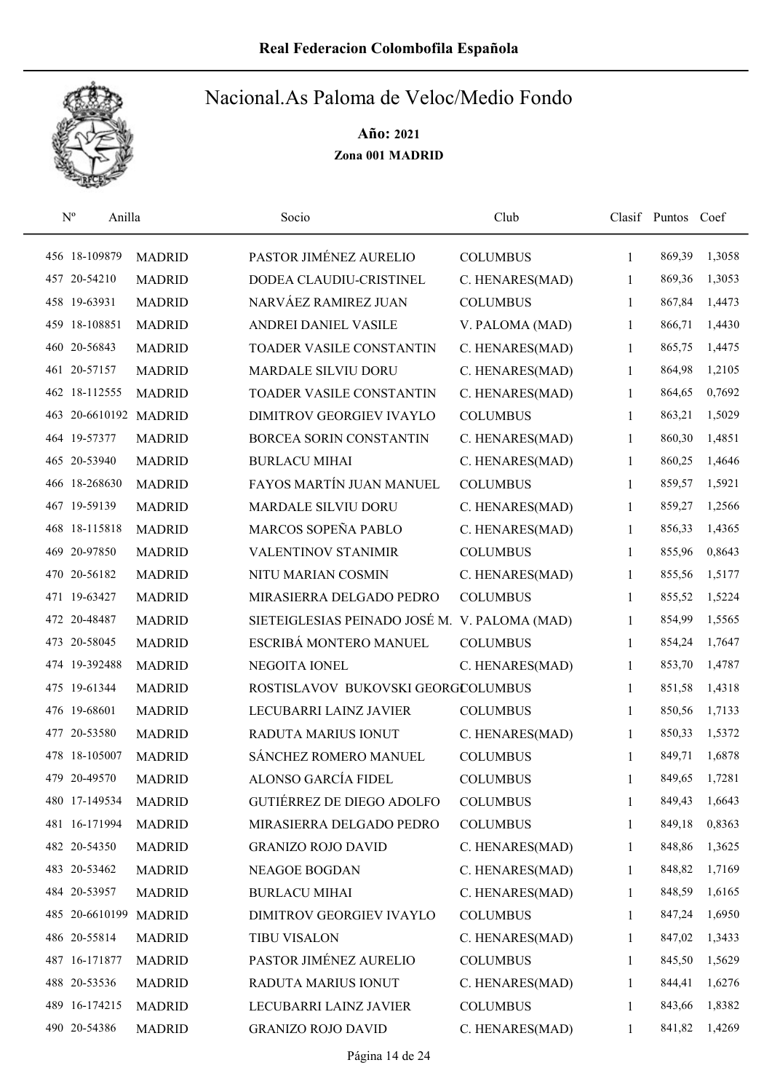

| $N^{\rm o}$    | Anilla                | Socio                                         | Club            |              | Clasif Puntos | Coef   |
|----------------|-----------------------|-----------------------------------------------|-----------------|--------------|---------------|--------|
| 456 18-109879  | <b>MADRID</b>         | PASTOR JIMÉNEZ AURELIO                        | <b>COLUMBUS</b> | 1            | 869,39        | 1,3058 |
| 457 20-54210   | <b>MADRID</b>         | DODEA CLAUDIU-CRISTINEL                       | C. HENARES(MAD) | 1            | 869,36        | 1,3053 |
| 458 19-63931   | <b>MADRID</b>         | NARVÁEZ RAMIREZ JUAN                          | <b>COLUMBUS</b> | 1            | 867,84        | 1,4473 |
| 459 18-108851  | <b>MADRID</b>         | ANDREI DANIEL VASILE                          | V. PALOMA (MAD) | 1            | 866,71        | 1,4430 |
| 460 20-56843   | <b>MADRID</b>         | TOADER VASILE CONSTANTIN                      | C. HENARES(MAD) | 1            | 865,75        | 1,4475 |
| 461 20-57157   | <b>MADRID</b>         | MARDALE SILVIU DORU                           | C. HENARES(MAD) | 1            | 864,98        | 1,2105 |
| 462 18-112555  | <b>MADRID</b>         | TOADER VASILE CONSTANTIN                      | C. HENARES(MAD) | 1            | 864,65        | 0,7692 |
|                | 463 20-6610192 MADRID | DIMITROV GEORGIEV IVAYLO                      | <b>COLUMBUS</b> | 1            | 863,21        | 1,5029 |
| 464 19-57377   | <b>MADRID</b>         | BORCEA SORIN CONSTANTIN                       | C. HENARES(MAD) | 1            | 860,30        | 1,4851 |
| 465 20-53940   | <b>MADRID</b>         | <b>BURLACU MIHAI</b>                          | C. HENARES(MAD) | 1            | 860,25        | 1,4646 |
| 466 18-268630  | <b>MADRID</b>         | FAYOS MARTÍN JUAN MANUEL                      | <b>COLUMBUS</b> | 1            | 859,57        | 1,5921 |
| 467 19-59139   | <b>MADRID</b>         | <b>MARDALE SILVIU DORU</b>                    | C. HENARES(MAD) | 1            | 859,27        | 1,2566 |
| 468 18-115818  | <b>MADRID</b>         | MARCOS SOPEÑA PABLO                           | C. HENARES(MAD) | 1            | 856,33        | 1,4365 |
| 469 20-97850   | <b>MADRID</b>         | VALENTINOV STANIMIR                           | <b>COLUMBUS</b> | 1            | 855,96        | 0,8643 |
| 470 20-56182   | <b>MADRID</b>         | NITU MARIAN COSMIN                            | C. HENARES(MAD) | $\mathbf{1}$ | 855,56        | 1,5177 |
| 471 19-63427   | <b>MADRID</b>         | MIRASIERRA DELGADO PEDRO                      | <b>COLUMBUS</b> | 1            | 855,52        | 1,5224 |
| 472 20-48487   | <b>MADRID</b>         | SIETEIGLESIAS PEINADO JOSÉ M. V. PALOMA (MAD) |                 | 1            | 854,99        | 1,5565 |
| 473 20-58045   | <b>MADRID</b>         | ESCRIBÁ MONTERO MANUEL                        | <b>COLUMBUS</b> | 1            | 854,24        | 1,7647 |
| 474 19-392488  | <b>MADRID</b>         | NEGOITA IONEL                                 | C. HENARES(MAD) | 1            | 853,70        | 1,4787 |
| 475 19-61344   | <b>MADRID</b>         | ROSTISLAVOV BUKOVSKI GEORGCOLUMBUS            |                 | 1            | 851,58        | 1,4318 |
| 476 19-68601   | <b>MADRID</b>         | LECUBARRI LAINZ JAVIER                        | <b>COLUMBUS</b> | 1            | 850,56        | 1,7133 |
| 477 20-53580   | <b>MADRID</b>         | RADUTA MARIUS IONUT                           | C. HENARES(MAD) | 1            | 850,33        | 1,5372 |
| 478 18-105007  | <b>MADRID</b>         | SÁNCHEZ ROMERO MANUEL                         | <b>COLUMBUS</b> | 1            | 849,71        | 1,6878 |
| 479 20-49570   | <b>MADRID</b>         | ALONSO GARCÍA FIDEL                           | <b>COLUMBUS</b> | 1            | 849,65        | 1,7281 |
| 480 17-149534  | <b>MADRID</b>         | GUTIÉRREZ DE DIEGO ADOLFO                     | <b>COLUMBUS</b> | 1            | 849,43        | 1,6643 |
| 481 16-171994  | <b>MADRID</b>         | MIRASIERRA DELGADO PEDRO                      | <b>COLUMBUS</b> | 1            | 849,18        | 0,8363 |
| 482 20-54350   | <b>MADRID</b>         | <b>GRANIZO ROJO DAVID</b>                     | C. HENARES(MAD) | 1            | 848,86        | 1,3625 |
| 483 20-53462   | <b>MADRID</b>         | NEAGOE BOGDAN                                 | C. HENARES(MAD) | 1            | 848,82        | 1,7169 |
| 484 20-53957   | <b>MADRID</b>         | <b>BURLACU MIHAI</b>                          | C. HENARES(MAD) | 1            | 848,59        | 1,6165 |
| 485 20-6610199 | <b>MADRID</b>         | DIMITROV GEORGIEV IVAYLO                      | <b>COLUMBUS</b> | 1            | 847,24        | 1,6950 |
| 486 20-55814   | <b>MADRID</b>         | <b>TIBU VISALON</b>                           | C. HENARES(MAD) | 1            | 847,02        | 1,3433 |
| 487 16-171877  | <b>MADRID</b>         | PASTOR JIMÉNEZ AURELIO                        | <b>COLUMBUS</b> | 1            | 845,50        | 1,5629 |
| 488 20-53536   | <b>MADRID</b>         | RADUTA MARIUS IONUT                           | C. HENARES(MAD) | 1            | 844,41        | 1,6276 |
| 489 16-174215  | <b>MADRID</b>         | LECUBARRI LAINZ JAVIER                        | <b>COLUMBUS</b> | 1            | 843,66        | 1,8382 |
| 490 20-54386   | <b>MADRID</b>         | <b>GRANIZO ROJO DAVID</b>                     | C. HENARES(MAD) | 1            | 841,82        | 1,4269 |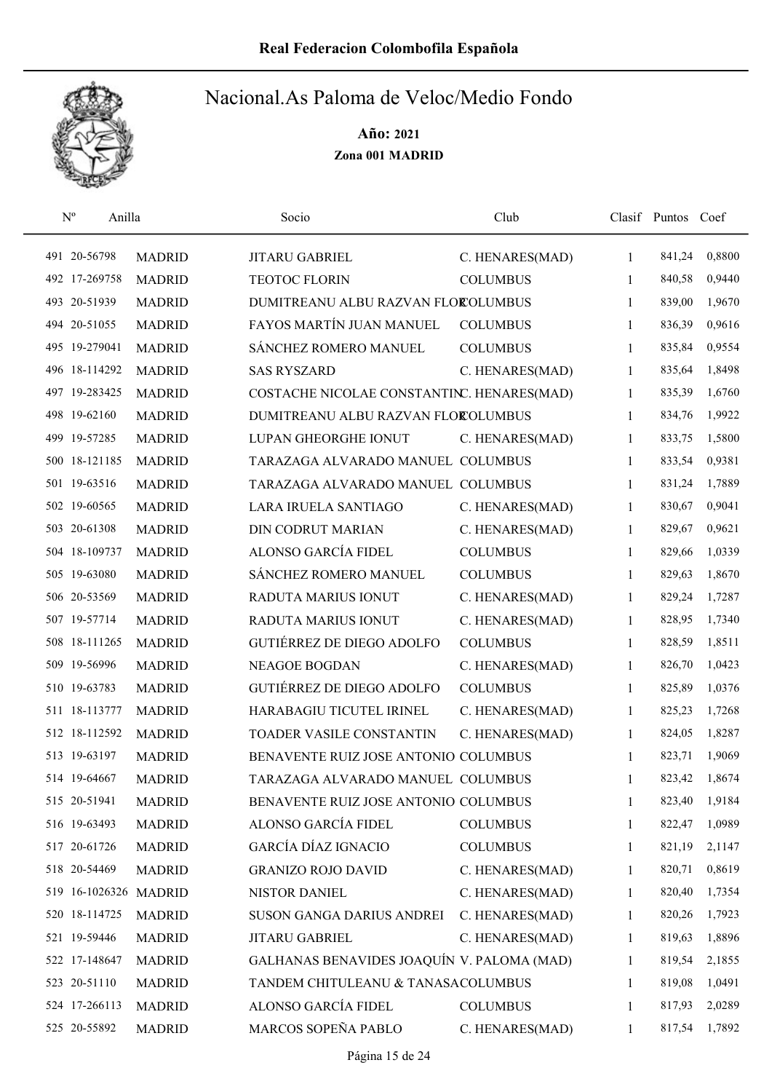

|  | $\mathbf{N}^{\text{o}}$<br>Anilla |               | Socio                                      | Club            |              | Clasif Puntos | Coef   |
|--|-----------------------------------|---------------|--------------------------------------------|-----------------|--------------|---------------|--------|
|  | 491 20-56798                      | <b>MADRID</b> | JITARU GABRIEL                             | C. HENARES(MAD) | 1            | 841,24        | 0,8800 |
|  | 492 17-269758                     | <b>MADRID</b> | <b>TEOTOC FLORIN</b>                       | <b>COLUMBUS</b> | 1            | 840,58        | 0,9440 |
|  | 493 20-51939                      | <b>MADRID</b> | DUMITREANU ALBU RAZVAN FLOROLUMBUS         |                 | 1            | 839,00        | 1,9670 |
|  | 494 20-51055                      | <b>MADRID</b> | FAYOS MARTÍN JUAN MANUEL                   | <b>COLUMBUS</b> | 1            | 836,39        | 0,9616 |
|  | 495 19-279041                     | <b>MADRID</b> | SÁNCHEZ ROMERO MANUEL                      | <b>COLUMBUS</b> | 1            | 835,84        | 0,9554 |
|  | 496 18-114292                     | <b>MADRID</b> | <b>SAS RYSZARD</b>                         | C. HENARES(MAD) | $\mathbf{1}$ | 835,64        | 1,8498 |
|  | 497 19-283425                     | <b>MADRID</b> | COSTACHE NICOLAE CONSTANTINC. HENARES(MAD) |                 | 1            | 835,39        | 1,6760 |
|  | 498 19-62160                      | <b>MADRID</b> | DUMITREANU ALBU RAZVAN FLOROLUMBUS         |                 | 1            | 834,76        | 1,9922 |
|  | 499 19-57285                      | <b>MADRID</b> | LUPAN GHEORGHE IONUT                       | C. HENARES(MAD) | 1            | 833,75        | 1,5800 |
|  | 500 18-121185                     | <b>MADRID</b> | TARAZAGA ALVARADO MANUEL COLUMBUS          |                 | 1            | 833,54        | 0,9381 |
|  | 501 19-63516                      | <b>MADRID</b> | TARAZAGA ALVARADO MANUEL COLUMBUS          |                 | 1            | 831,24        | 1,7889 |
|  | 502 19-60565                      | <b>MADRID</b> | LARA IRUELA SANTIAGO                       | C. HENARES(MAD) | $\mathbf{1}$ | 830,67        | 0,9041 |
|  | 503 20-61308                      | <b>MADRID</b> | <b>DIN CODRUT MARIAN</b>                   | C. HENARES(MAD) | 1            | 829,67        | 0,9621 |
|  | 504 18-109737                     | <b>MADRID</b> | ALONSO GARCÍA FIDEL                        | <b>COLUMBUS</b> | 1            | 829,66        | 1,0339 |
|  | 505 19-63080                      | <b>MADRID</b> | SÁNCHEZ ROMERO MANUEL                      | <b>COLUMBUS</b> | 1            | 829,63        | 1,8670 |
|  | 506 20-53569                      | <b>MADRID</b> | RADUTA MARIUS IONUT                        | C. HENARES(MAD) | 1            | 829,24        | 1,7287 |
|  | 507 19-57714                      | <b>MADRID</b> | RADUTA MARIUS IONUT                        | C. HENARES(MAD) | 1            | 828,95        | 1,7340 |
|  | 508 18-111265                     | <b>MADRID</b> | GUTIÉRREZ DE DIEGO ADOLFO                  | <b>COLUMBUS</b> | 1            | 828,59        | 1,8511 |
|  | 509 19-56996                      | <b>MADRID</b> | <b>NEAGOE BOGDAN</b>                       | C. HENARES(MAD) | 1            | 826,70        | 1,0423 |
|  | 510 19-63783                      | <b>MADRID</b> | <b>GUTIÉRREZ DE DIEGO ADOLFO</b>           | <b>COLUMBUS</b> | 1            | 825,89        | 1,0376 |
|  | 511 18-113777                     | <b>MADRID</b> | HARABAGIU TICUTEL IRINEL                   | C. HENARES(MAD) | $\mathbf{1}$ | 825,23        | 1,7268 |
|  | 512 18-112592                     | <b>MADRID</b> | TOADER VASILE CONSTANTIN                   | C. HENARES(MAD) | 1            | 824,05        | 1,8287 |
|  | 513 19-63197                      | <b>MADRID</b> | BENAVENTE RUIZ JOSE ANTONIO COLUMBUS       |                 | 1            | 823,71        | 1,9069 |
|  | 514 19-64667                      | <b>MADRID</b> | TARAZAGA ALVARADO MANUEL COLUMBUS          |                 | 1            | 823,42        | 1,8674 |
|  | 515 20-51941                      | <b>MADRID</b> | BENAVENTE RUIZ JOSE ANTONIO COLUMBUS       |                 | 1            | 823,40        | 1,9184 |
|  | 516 19-63493                      | <b>MADRID</b> | ALONSO GARCÍA FIDEL                        | <b>COLUMBUS</b> | 1            | 822,47        | 1,0989 |
|  | 517 20-61726                      | <b>MADRID</b> | <b>GARCÍA DÍAZ IGNACIO</b>                 | <b>COLUMBUS</b> | 1            | 821,19        | 2,1147 |
|  | 518 20-54469                      | <b>MADRID</b> | <b>GRANIZO ROJO DAVID</b>                  | C. HENARES(MAD) | 1            | 820,71        | 0,8619 |
|  | 519 16-1026326 MADRID             |               | NISTOR DANIEL                              | C. HENARES(MAD) | 1            | 820,40        | 1,7354 |
|  | 520 18-114725                     | <b>MADRID</b> | SUSON GANGA DARIUS ANDREI                  | C. HENARES(MAD) | 1            | 820,26        | 1,7923 |
|  | 521 19-59446                      | <b>MADRID</b> | <b>JITARU GABRIEL</b>                      | C. HENARES(MAD) | $\mathbf{1}$ | 819,63        | 1,8896 |
|  | 522 17-148647                     | <b>MADRID</b> | GALHANAS BENAVIDES JOAQUÍN V. PALOMA (MAD) |                 | 1            | 819,54        | 2,1855 |
|  | 523 20-51110                      | <b>MADRID</b> | TANDEM CHITULEANU & TANASACOLUMBUS         |                 | 1            | 819,08        | 1,0491 |
|  | 524 17-266113                     | <b>MADRID</b> | ALONSO GARCÍA FIDEL                        | <b>COLUMBUS</b> | 1            | 817,93        | 2,0289 |
|  | 525 20-55892                      | <b>MADRID</b> | MARCOS SOPEÑA PABLO                        | C. HENARES(MAD) | 1            | 817,54        | 1,7892 |
|  |                                   |               |                                            |                 |              |               |        |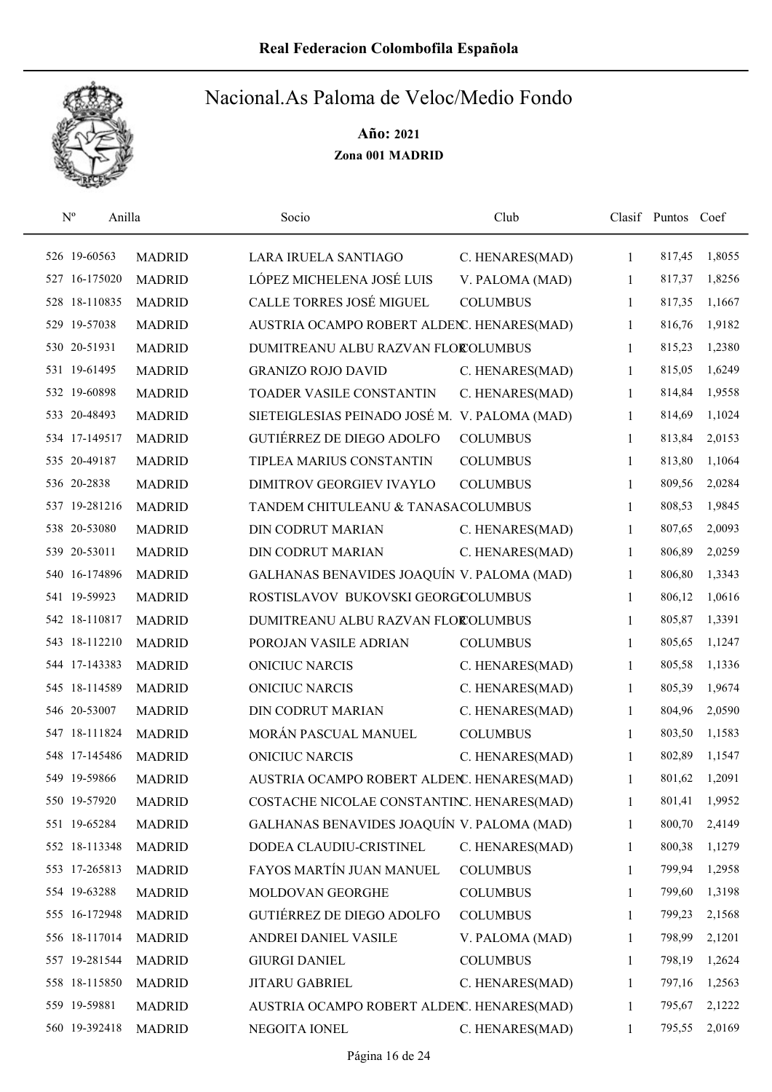

| $\mathbf{N}^{\text{o}}$ | Anilla        | Socio                                         | Club            |              | Clasif Puntos Coef |        |
|-------------------------|---------------|-----------------------------------------------|-----------------|--------------|--------------------|--------|
| 526 19-60563            | <b>MADRID</b> | LARA IRUELA SANTIAGO                          | C. HENARES(MAD) | 1            | 817,45             | 1,8055 |
| 527 16-175020           | <b>MADRID</b> | LÓPEZ MICHELENA JOSÉ LUIS                     | V. PALOMA (MAD) | 1            | 817,37             | 1,8256 |
| 528 18-110835           | <b>MADRID</b> | CALLE TORRES JOSÉ MIGUEL                      | <b>COLUMBUS</b> | 1            | 817,35             | 1,1667 |
| 529 19-57038            | <b>MADRID</b> | AUSTRIA OCAMPO ROBERT ALDENC. HENARES(MAD)    |                 | 1            | 816,76             | 1,9182 |
| 530 20-51931            | <b>MADRID</b> | DUMITREANU ALBU RAZVAN FLOROLUMBUS            |                 | 1            | 815,23             | 1,2380 |
| 531 19-61495            | <b>MADRID</b> | <b>GRANIZO ROJO DAVID</b>                     | C. HENARES(MAD) | $\mathbf{1}$ | 815,05             | 1,6249 |
| 532 19-60898            | <b>MADRID</b> | <b>TOADER VASILE CONSTANTIN</b>               | C. HENARES(MAD) | $\mathbf{1}$ | 814,84             | 1,9558 |
| 533 20-48493            | <b>MADRID</b> | SIETEIGLESIAS PEINADO JOSÉ M. V. PALOMA (MAD) |                 | $\mathbf{1}$ | 814,69             | 1,1024 |
| 534 17-149517           | <b>MADRID</b> | <b>GUTIÉRREZ DE DIEGO ADOLFO</b>              | <b>COLUMBUS</b> | 1            | 813,84             | 2,0153 |
| 535 20-49187            | <b>MADRID</b> | TIPLEA MARIUS CONSTANTIN                      | <b>COLUMBUS</b> | 1            | 813,80             | 1,1064 |
| 536 20-2838             | <b>MADRID</b> | DIMITROV GEORGIEV IVAYLO                      | <b>COLUMBUS</b> | $\mathbf{1}$ | 809,56             | 2,0284 |
| 537 19-281216           | <b>MADRID</b> | TANDEM CHITULEANU & TANASACOLUMBUS            |                 | 1            | 808,53             | 1,9845 |
| 538 20-53080            | <b>MADRID</b> | <b>DIN CODRUT MARIAN</b>                      | C. HENARES(MAD) | 1            | 807,65             | 2,0093 |
| 539 20-53011            | <b>MADRID</b> | <b>DIN CODRUT MARIAN</b>                      | C. HENARES(MAD) | 1            | 806,89             | 2,0259 |
| 540 16-174896           | <b>MADRID</b> | GALHANAS BENAVIDES JOAQUÍN V. PALOMA (MAD)    |                 | $\mathbf{1}$ | 806,80             | 1,3343 |
| 541 19-59923            | <b>MADRID</b> | ROSTISLAVOV BUKOVSKI GEORGCOLUMBUS            |                 | 1            | 806,12             | 1,0616 |
| 542 18-110817           | <b>MADRID</b> | DUMITREANU ALBU RAZVAN FLOROLUMBUS            |                 | $\mathbf{1}$ | 805,87             | 1,3391 |
| 543 18-112210           | <b>MADRID</b> | POROJAN VASILE ADRIAN                         | <b>COLUMBUS</b> | $\mathbf{1}$ | 805,65             | 1,1247 |
| 544 17-143383           | <b>MADRID</b> | <b>ONICIUC NARCIS</b>                         | C. HENARES(MAD) | 1            | 805,58             | 1,1336 |
| 545 18-114589           | <b>MADRID</b> | <b>ONICIUC NARCIS</b>                         | C. HENARES(MAD) | 1            | 805,39             | 1,9674 |
| 546 20-53007            | <b>MADRID</b> | <b>DIN CODRUT MARIAN</b>                      | C. HENARES(MAD) | 1            | 804,96             | 2,0590 |
| 547 18-111824           | <b>MADRID</b> | MORÁN PASCUAL MANUEL                          | <b>COLUMBUS</b> | 1            | 803,50             | 1,1583 |
| 548 17-145486           | <b>MADRID</b> | <b>ONICIUC NARCIS</b>                         | C. HENARES(MAD) | 1            | 802,89             | 1,1547 |
| 549 19-59866            | <b>MADRID</b> | AUSTRIA OCAMPO ROBERT ALDENC. HENARES(MAD)    |                 | 1            | 801,62             | 1,2091 |
| 550 19-57920            | <b>MADRID</b> | COSTACHE NICOLAE CONSTANTINC. HENARES(MAD)    |                 | 1            | 801,41             | 1,9952 |
| 551 19-65284            | <b>MADRID</b> | GALHANAS BENAVIDES JOAQUÍN V. PALOMA (MAD)    |                 | 1            | 800,70             | 2,4149 |
| 552 18-113348           | <b>MADRID</b> | DODEA CLAUDIU-CRISTINEL                       | C. HENARES(MAD) | 1            | 800,38             | 1,1279 |
| 553 17-265813           | <b>MADRID</b> | FAYOS MARTÍN JUAN MANUEL                      | <b>COLUMBUS</b> | 1            | 799,94             | 1,2958 |
| 554 19-63288            | <b>MADRID</b> | MOLDOVAN GEORGHE                              | <b>COLUMBUS</b> | 1            | 799,60             | 1,3198 |
| 555 16-172948           | <b>MADRID</b> | GUTIÉRREZ DE DIEGO ADOLFO                     | <b>COLUMBUS</b> | 1            | 799,23             | 2,1568 |
| 556 18-117014           | <b>MADRID</b> | ANDREI DANIEL VASILE                          | V. PALOMA (MAD) | 1            | 798,99             | 2,1201 |
| 557 19-281544           | <b>MADRID</b> | <b>GIURGI DANIEL</b>                          | <b>COLUMBUS</b> | 1            | 798,19             | 1,2624 |
| 558 18-115850           | <b>MADRID</b> | JITARU GABRIEL                                | C. HENARES(MAD) | 1            | 797,16             | 1,2563 |
| 559 19-59881            | <b>MADRID</b> | AUSTRIA OCAMPO ROBERT ALDENC. HENARES(MAD)    |                 | 1            | 795,67             | 2,1222 |
| 560 19-392418           | <b>MADRID</b> | NEGOITA IONEL                                 | C. HENARES(MAD) | 1            | 795,55             | 2,0169 |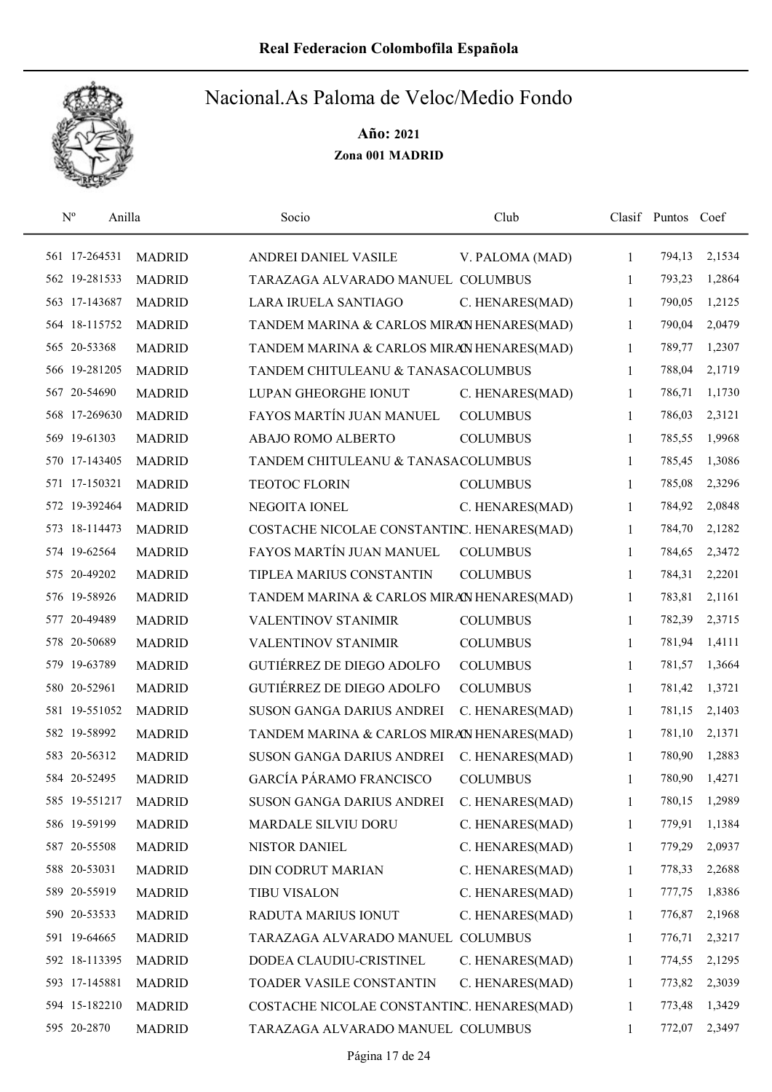

| $\mathbf{N}^{\text{o}}$ | Anilla        | Socio                                      | Club            |              | Clasif Puntos Coef |        |
|-------------------------|---------------|--------------------------------------------|-----------------|--------------|--------------------|--------|
| 561 17-264531           | <b>MADRID</b> | ANDREI DANIEL VASILE                       | V. PALOMA (MAD) | $\mathbf{1}$ | 794,13             | 2,1534 |
| 562 19-281533           | <b>MADRID</b> | TARAZAGA ALVARADO MANUEL COLUMBUS          |                 | 1            | 793,23             | 1,2864 |
| 563 17-143687           | <b>MADRID</b> | LARA IRUELA SANTIAGO                       | C. HENARES(MAD) | $\mathbf{1}$ | 790,05             | 1,2125 |
| 564 18-115752           | <b>MADRID</b> | TANDEM MARINA & CARLOS MIRAN HENARES(MAD)  |                 | 1            | 790,04             | 2,0479 |
| 565 20-53368            | <b>MADRID</b> | TANDEM MARINA & CARLOS MIRAN HENARES(MAD)  |                 | 1            | 789,77             | 1,2307 |
| 566 19-281205           | <b>MADRID</b> | TANDEM CHITULEANU & TANASACOLUMBUS         |                 | 1            | 788,04             | 2,1719 |
| 567 20-54690            | <b>MADRID</b> | LUPAN GHEORGHE IONUT                       | C. HENARES(MAD) | 1            | 786,71             | 1,1730 |
| 568 17-269630           | <b>MADRID</b> | FAYOS MARTÍN JUAN MANUEL                   | <b>COLUMBUS</b> | 1            | 786,03             | 2,3121 |
| 569 19-61303            | <b>MADRID</b> | ABAJO ROMO ALBERTO                         | <b>COLUMBUS</b> | 1            | 785,55             | 1,9968 |
| 570 17-143405           | <b>MADRID</b> | TANDEM CHITULEANU & TANASACOLUMBUS         |                 | 1            | 785,45             | 1,3086 |
| 571 17-150321           | <b>MADRID</b> | TEOTOC FLORIN                              | <b>COLUMBUS</b> | 1            | 785,08             | 2,3296 |
| 572 19-392464           | <b>MADRID</b> | NEGOITA IONEL                              | C. HENARES(MAD) | 1            | 784,92             | 2,0848 |
| 573 18-114473           | <b>MADRID</b> | COSTACHE NICOLAE CONSTANTINC. HENARES(MAD) |                 | 1            | 784,70             | 2,1282 |
| 574 19-62564            | <b>MADRID</b> | FAYOS MARTÍN JUAN MANUEL                   | <b>COLUMBUS</b> | 1            | 784,65             | 2,3472 |
| 575 20-49202            | <b>MADRID</b> | TIPLEA MARIUS CONSTANTIN                   | <b>COLUMBUS</b> | 1            | 784,31             | 2,2201 |
| 576 19-58926            | <b>MADRID</b> | TANDEM MARINA & CARLOS MIRAN HENARES(MAD)  |                 | 1            | 783,81             | 2,1161 |
| 577 20-49489            | <b>MADRID</b> | VALENTINOV STANIMIR                        | <b>COLUMBUS</b> | 1            | 782,39             | 2,3715 |
| 578 20-50689            | <b>MADRID</b> | VALENTINOV STANIMIR                        | <b>COLUMBUS</b> | 1            | 781,94             | 1,4111 |
| 579 19-63789            | <b>MADRID</b> | <b>GUTIÉRREZ DE DIEGO ADOLFO</b>           | <b>COLUMBUS</b> | 1            | 781,57             | 1,3664 |
| 580 20-52961            | <b>MADRID</b> | <b>GUTIÉRREZ DE DIEGO ADOLFO</b>           | <b>COLUMBUS</b> | 1            | 781,42             | 1,3721 |
| 581 19-551052           | <b>MADRID</b> | SUSON GANGA DARIUS ANDREI                  | C. HENARES(MAD) | 1            | 781,15             | 2,1403 |
| 582 19-58992            | <b>MADRID</b> | TANDEM MARINA & CARLOS MIRAN HENARES(MAD)  |                 | 1            | 781,10             | 2,1371 |
| 583 20-56312            | <b>MADRID</b> | <b>SUSON GANGA DARIUS ANDREI</b>           | C. HENARES(MAD) | 1            | 780,90             | 1,2883 |
| 584 20-52495            | <b>MADRID</b> | <b>GARCÍA PÁRAMO FRANCISCO</b>             | <b>COLUMBUS</b> | 1            | 780,90             | 1,4271 |
| 585 19-551217           | <b>MADRID</b> | SUSON GANGA DARIUS ANDREI                  | C. HENARES(MAD) | 1            | 780,15             | 1,2989 |
| 586 19-59199            | <b>MADRID</b> | MARDALE SILVIU DORU                        | C. HENARES(MAD) | 1            | 779,91             | 1,1384 |
| 587 20-55508            | <b>MADRID</b> | NISTOR DANIEL                              | C. HENARES(MAD) | 1            | 779,29             | 2,0937 |
| 588 20-53031            | <b>MADRID</b> | DIN CODRUT MARIAN                          | C. HENARES(MAD) | $\mathbf{1}$ | 778,33             | 2,2688 |
| 589 20-55919            | <b>MADRID</b> | <b>TIBU VISALON</b>                        | C. HENARES(MAD) | 1            | 777,75             | 1,8386 |
| 590 20-53533            | <b>MADRID</b> | RADUTA MARIUS IONUT                        | C. HENARES(MAD) | 1            | 776,87             | 2,1968 |
| 591 19-64665            | <b>MADRID</b> | TARAZAGA ALVARADO MANUEL COLUMBUS          |                 | 1            | 776,71             | 2,3217 |
| 592 18-113395           | <b>MADRID</b> | DODEA CLAUDIU-CRISTINEL                    | C. HENARES(MAD) | 1            | 774,55             | 2,1295 |
| 593 17-145881           | <b>MADRID</b> | TOADER VASILE CONSTANTIN                   | C. HENARES(MAD) | 1            | 773,82             | 2,3039 |
| 594 15-182210           | <b>MADRID</b> | COSTACHE NICOLAE CONSTANTINC. HENARES(MAD) |                 | 1            | 773,48             | 1,3429 |
| 595 20-2870             | <b>MADRID</b> | TARAZAGA ALVARADO MANUEL COLUMBUS          |                 | 1            | 772,07             | 2,3497 |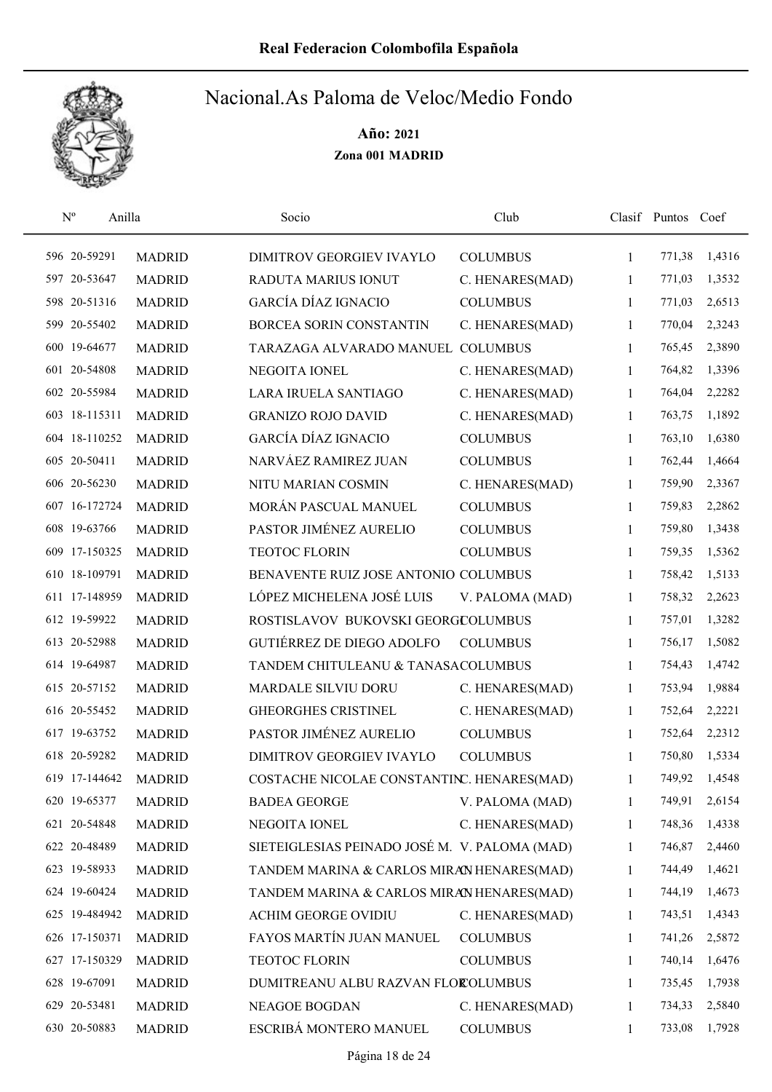

| $\mathbf{N}^{\text{o}}$<br>Anilla |               | Socio                                         | Club            |              | Clasif Puntos Coef |        |
|-----------------------------------|---------------|-----------------------------------------------|-----------------|--------------|--------------------|--------|
| 596 20-59291                      | <b>MADRID</b> | <b>DIMITROV GEORGIEV IVAYLO</b>               | <b>COLUMBUS</b> | 1            | 771,38             | 1,4316 |
| 597 20-53647                      | <b>MADRID</b> | <b>RADUTA MARIUS IONUT</b>                    | C. HENARES(MAD) | 1            | 771,03             | 1,3532 |
| 598 20-51316                      | <b>MADRID</b> | GARCÍA DÍAZ IGNACIO                           | <b>COLUMBUS</b> | 1            | 771,03             | 2,6513 |
| 599 20-55402                      | <b>MADRID</b> | BORCEA SORIN CONSTANTIN                       | C. HENARES(MAD) | 1            | 770,04             | 2,3243 |
| 600 19-64677                      | <b>MADRID</b> | TARAZAGA ALVARADO MANUEL COLUMBUS             |                 | 1            | 765,45             | 2,3890 |
| 601 20-54808                      | <b>MADRID</b> | NEGOITA IONEL                                 | C. HENARES(MAD) | 1            | 764,82             | 1,3396 |
| 602 20-55984                      | <b>MADRID</b> | LARA IRUELA SANTIAGO                          | C. HENARES(MAD) | $\mathbf{1}$ | 764,04             | 2,2282 |
| 603 18-115311                     | <b>MADRID</b> | <b>GRANIZO ROJO DAVID</b>                     | C. HENARES(MAD) | 1            | 763,75             | 1,1892 |
| 604 18-110252                     | <b>MADRID</b> | <b>GARCÍA DÍAZ IGNACIO</b>                    | <b>COLUMBUS</b> | 1            | 763,10             | 1,6380 |
| 605 20-50411                      | <b>MADRID</b> | NARVÁEZ RAMIREZ JUAN                          | <b>COLUMBUS</b> | 1            | 762,44             | 1,4664 |
| 606 20-56230                      | <b>MADRID</b> | NITU MARIAN COSMIN                            | C. HENARES(MAD) | 1            | 759,90             | 2,3367 |
| 607 16-172724                     | <b>MADRID</b> | MORÁN PASCUAL MANUEL                          | <b>COLUMBUS</b> | 1            | 759,83             | 2,2862 |
| 608 19-63766                      | <b>MADRID</b> | PASTOR JIMÉNEZ AURELIO                        | <b>COLUMBUS</b> | 1            | 759,80             | 1,3438 |
| 609 17-150325                     | <b>MADRID</b> | <b>TEOTOC FLORIN</b>                          | <b>COLUMBUS</b> | 1            | 759,35             | 1,5362 |
| 610 18-109791                     | <b>MADRID</b> | BENAVENTE RUIZ JOSE ANTONIO COLUMBUS          |                 | 1            | 758,42             | 1,5133 |
| 611 17-148959                     | <b>MADRID</b> | LÓPEZ MICHELENA JOSÉ LUIS                     | V. PALOMA (MAD) | 1            | 758,32             | 2,2623 |
| 612 19-59922                      | <b>MADRID</b> | ROSTISLAVOV BUKOVSKI GEORGCOLUMBUS            |                 | 1            | 757,01             | 1,3282 |
| 613 20-52988                      | <b>MADRID</b> | <b>GUTIÉRREZ DE DIEGO ADOLFO</b>              | <b>COLUMBUS</b> | 1            | 756,17             | 1,5082 |
| 614 19-64987                      | <b>MADRID</b> | TANDEM CHITULEANU & TANASACOLUMBUS            |                 | 1            | 754,43             | 1,4742 |
| 615 20-57152                      | <b>MADRID</b> | MARDALE SILVIU DORU                           | C. HENARES(MAD) | 1            | 753,94             | 1,9884 |
| 616 20-55452                      | <b>MADRID</b> | <b>GHEORGHES CRISTINEL</b>                    | C. HENARES(MAD) | 1            | 752,64             | 2,2221 |
| 617 19-63752                      | <b>MADRID</b> | PASTOR JIMÉNEZ AURELIO                        | <b>COLUMBUS</b> | 1            | 752,64             | 2,2312 |
| 618 20-59282                      | <b>MADRID</b> | DIMITROV GEORGIEV IVAYLO                      | <b>COLUMBUS</b> | 1            | 750,80             | 1,5334 |
| 619 17-144642                     | <b>MADRID</b> | COSTACHE NICOLAE CONSTANTINC. HENARES(MAD)    |                 | 1            | 749,92             | 1,4548 |
| 620 19-65377                      | <b>MADRID</b> | <b>BADEA GEORGE</b>                           | V. PALOMA (MAD) | 1            | 749,91             | 2,6154 |
| 621 20-54848                      | <b>MADRID</b> | NEGOITA IONEL                                 | C. HENARES(MAD) | 1            | 748,36             | 1,4338 |
| 622 20-48489                      | <b>MADRID</b> | SIETEIGLESIAS PEINADO JOSÉ M. V. PALOMA (MAD) |                 | 1            | 746,87             | 2,4460 |
| 623 19-58933                      | <b>MADRID</b> | TANDEM MARINA & CARLOS MIRAN HENARES(MAD)     |                 | 1            | 744,49             | 1,4621 |
| 624 19-60424                      | <b>MADRID</b> | TANDEM MARINA & CARLOS MIRAN HENARES(MAD)     |                 | 1            | 744,19             | 1,4673 |
| 625 19-484942                     | <b>MADRID</b> | <b>ACHIM GEORGE OVIDIU</b>                    | C. HENARES(MAD) | 1            | 743,51             | 1,4343 |
| 626 17-150371                     | <b>MADRID</b> | FAYOS MARTÍN JUAN MANUEL                      | <b>COLUMBUS</b> | 1            | 741,26             | 2,5872 |
| 627 17-150329                     | <b>MADRID</b> | TEOTOC FLORIN                                 | <b>COLUMBUS</b> | 1            | 740,14             | 1,6476 |
| 628 19-67091                      | <b>MADRID</b> | DUMITREANU ALBU RAZVAN FLOROLUMBUS            |                 | 1            | 735,45             | 1,7938 |
| 629 20-53481                      | <b>MADRID</b> | <b>NEAGOE BOGDAN</b>                          | C. HENARES(MAD) | 1            | 734,33             | 2,5840 |
| 630 20-50883                      | <b>MADRID</b> | ESCRIBÁ MONTERO MANUEL                        | <b>COLUMBUS</b> | 1            | 733,08             | 1,7928 |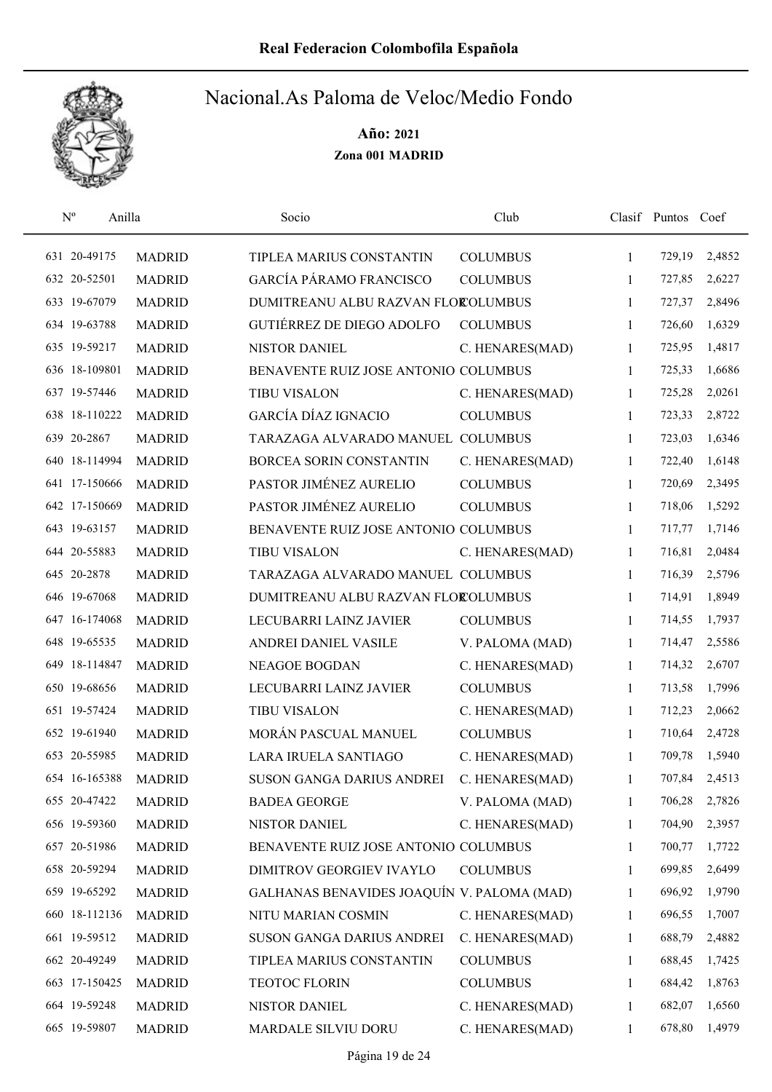

| $\mathbf{N}^{\text{o}}$ | Anilla |               | Socio                                      | Club            |              | Clasif Puntos Coef |        |
|-------------------------|--------|---------------|--------------------------------------------|-----------------|--------------|--------------------|--------|
| 631 20-49175            |        | <b>MADRID</b> | TIPLEA MARIUS CONSTANTIN                   | <b>COLUMBUS</b> | 1            | 729,19             | 2,4852 |
| 632 20-52501            |        | <b>MADRID</b> | GARCÍA PÁRAMO FRANCISCO                    | <b>COLUMBUS</b> | 1            | 727,85             | 2,6227 |
| 633 19-67079            |        | <b>MADRID</b> | DUMITREANU ALBU RAZVAN FLOROLUMBUS         |                 | $\mathbf{1}$ | 727,37             | 2,8496 |
| 634 19-63788            |        | <b>MADRID</b> | <b>GUTIÉRREZ DE DIEGO ADOLFO</b>           | <b>COLUMBUS</b> | $\mathbf{1}$ | 726,60             | 1,6329 |
| 635 19-59217            |        | <b>MADRID</b> | <b>NISTOR DANIEL</b>                       | C. HENARES(MAD) | 1            | 725,95             | 1,4817 |
| 636 18-109801           |        | <b>MADRID</b> | BENAVENTE RUIZ JOSE ANTONIO COLUMBUS       |                 | $\mathbf{1}$ | 725,33             | 1,6686 |
| 637 19-57446            |        | <b>MADRID</b> | <b>TIBU VISALON</b>                        | C. HENARES(MAD) | 1            | 725,28             | 2,0261 |
| 638 18-110222           |        | <b>MADRID</b> | <b>GARCÍA DÍAZ IGNACIO</b>                 | <b>COLUMBUS</b> | 1            | 723,33             | 2,8722 |
| 639 20-2867             |        | <b>MADRID</b> | TARAZAGA ALVARADO MANUEL COLUMBUS          |                 | 1            | 723,03             | 1,6346 |
| 640 18-114994           |        | <b>MADRID</b> | BORCEA SORIN CONSTANTIN                    | C. HENARES(MAD) | 1            | 722,40             | 1,6148 |
| 641 17-150666           |        | <b>MADRID</b> | PASTOR JIMÉNEZ AURELIO                     | <b>COLUMBUS</b> | 1            | 720,69             | 2,3495 |
| 642 17-150669           |        | <b>MADRID</b> | PASTOR JIMÉNEZ AURELIO                     | <b>COLUMBUS</b> | 1            | 718,06             | 1,5292 |
| 643 19-63157            |        | <b>MADRID</b> | BENAVENTE RUIZ JOSE ANTONIO COLUMBUS       |                 | 1            | 717,77             | 1,7146 |
| 644 20-55883            |        | <b>MADRID</b> | <b>TIBU VISALON</b>                        | C. HENARES(MAD) | 1            | 716,81             | 2,0484 |
| 645 20-2878             |        | <b>MADRID</b> | TARAZAGA ALVARADO MANUEL COLUMBUS          |                 | 1            | 716,39             | 2,5796 |
| 646 19-67068            |        | <b>MADRID</b> | DUMITREANU ALBU RAZVAN FLOROLUMBUS         |                 | 1            | 714,91             | 1,8949 |
| 647 16-174068           |        | <b>MADRID</b> | LECUBARRI LAINZ JAVIER                     | <b>COLUMBUS</b> | $\mathbf{1}$ | 714,55             | 1,7937 |
| 648 19-65535            |        | <b>MADRID</b> | ANDREI DANIEL VASILE                       | V. PALOMA (MAD) | $\mathbf{1}$ | 714,47             | 2,5586 |
| 649 18-114847           |        | <b>MADRID</b> | <b>NEAGOE BOGDAN</b>                       | C. HENARES(MAD) | 1            | 714,32             | 2,6707 |
| 650 19-68656            |        | <b>MADRID</b> | LECUBARRI LAINZ JAVIER                     | <b>COLUMBUS</b> | 1            | 713,58             | 1,7996 |
| 651 19-57424            |        | <b>MADRID</b> | <b>TIBU VISALON</b>                        | C. HENARES(MAD) | 1            | 712,23             | 2,0662 |
| 652 19-61940            |        | <b>MADRID</b> | MORÁN PASCUAL MANUEL                       | <b>COLUMBUS</b> | 1            | 710,64             | 2,4728 |
| 653 20-55985            |        | <b>MADRID</b> | LARA IRUELA SANTIAGO                       | C. HENARES(MAD) | 1            | 709,78             | 1,5940 |
| 654 16-165388           |        | <b>MADRID</b> | SUSON GANGA DARIUS ANDREI                  | C. HENARES(MAD) | 1            | 707,84             | 2,4513 |
| 655 20-47422            |        | <b>MADRID</b> | <b>BADEA GEORGE</b>                        | V. PALOMA (MAD) | 1            | 706,28             | 2,7826 |
| 656 19-59360            |        | <b>MADRID</b> | NISTOR DANIEL                              | C. HENARES(MAD) | 1            | 704,90             | 2,3957 |
| 657 20-51986            |        | <b>MADRID</b> | BENAVENTE RUIZ JOSE ANTONIO COLUMBUS       |                 | 1            | 700,77             | 1,7722 |
| 658 20-59294            |        | <b>MADRID</b> | DIMITROV GEORGIEV IVAYLO                   | <b>COLUMBUS</b> | 1            | 699,85             | 2,6499 |
| 659 19-65292            |        | <b>MADRID</b> | GALHANAS BENAVIDES JOAQUÍN V. PALOMA (MAD) |                 | 1            | 696,92             | 1,9790 |
| 660 18-112136           |        | <b>MADRID</b> | NITU MARIAN COSMIN                         | C. HENARES(MAD) | 1            | 696,55             | 1,7007 |
| 661 19-59512            |        | <b>MADRID</b> | SUSON GANGA DARIUS ANDREI                  | C. HENARES(MAD) | 1            | 688,79             | 2,4882 |
| 662 20-49249            |        | <b>MADRID</b> | TIPLEA MARIUS CONSTANTIN                   | <b>COLUMBUS</b> | 1            | 688,45             | 1,7425 |
| 663 17-150425           |        | <b>MADRID</b> | <b>TEOTOC FLORIN</b>                       | <b>COLUMBUS</b> | 1            | 684,42             | 1,8763 |
| 664 19-59248            |        | <b>MADRID</b> | NISTOR DANIEL                              | C. HENARES(MAD) | 1            | 682,07             | 1,6560 |
| 665 19-59807            |        | <b>MADRID</b> | MARDALE SILVIU DORU                        | C. HENARES(MAD) | 1            | 678,80             | 1,4979 |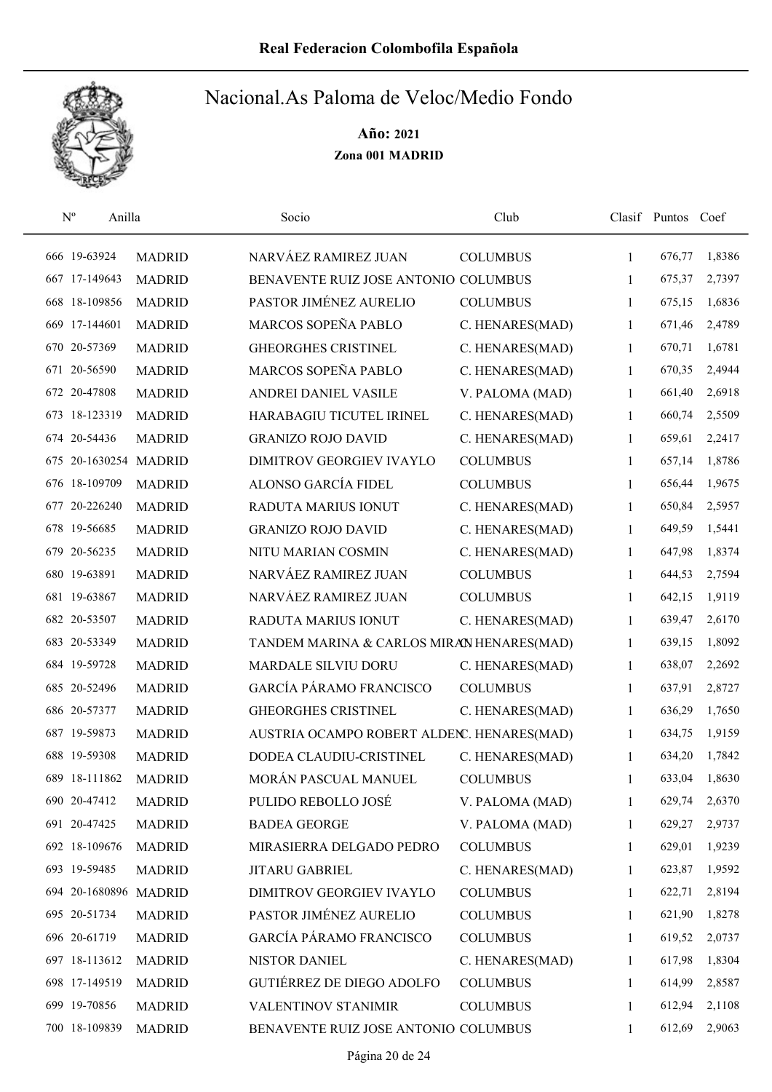

| $N^{\rm o}$ | Anilla                |               | Socio                                     | Club            |              | Clasif Puntos | Coef   |
|-------------|-----------------------|---------------|-------------------------------------------|-----------------|--------------|---------------|--------|
|             | 666 19-63924          | <b>MADRID</b> | NARVÁEZ RAMIREZ JUAN                      | <b>COLUMBUS</b> | $\mathbf{1}$ | 676,77        | 1,8386 |
|             | 667 17-149643         | <b>MADRID</b> | BENAVENTE RUIZ JOSE ANTONIO COLUMBUS      |                 | 1            | 675,37        | 2,7397 |
|             | 668 18-109856         | <b>MADRID</b> | PASTOR JIMÉNEZ AURELIO                    | <b>COLUMBUS</b> | 1            | 675,15        | 1,6836 |
|             | 669 17-144601         | <b>MADRID</b> | MARCOS SOPEÑA PABLO                       | C. HENARES(MAD) | 1            | 671,46        | 2,4789 |
|             | 670 20-57369          | <b>MADRID</b> | <b>GHEORGHES CRISTINEL</b>                | C. HENARES(MAD) | 1            | 670,71        | 1,6781 |
| 671         | 20-56590              | <b>MADRID</b> | MARCOS SOPEÑA PABLO                       | C. HENARES(MAD) | 1            | 670,35        | 2,4944 |
|             | 672 20-47808          | <b>MADRID</b> | ANDREI DANIEL VASILE                      | V. PALOMA (MAD) | 1            | 661,40        | 2,6918 |
|             | 673 18-123319         | <b>MADRID</b> | HARABAGIU TICUTEL IRINEL                  | C. HENARES(MAD) | 1            | 660,74        | 2,5509 |
|             | 674 20-54436          | <b>MADRID</b> | <b>GRANIZO ROJO DAVID</b>                 | C. HENARES(MAD) | 1            | 659,61        | 2,2417 |
|             | 675 20-1630254 MADRID |               | DIMITROV GEORGIEV IVAYLO                  | <b>COLUMBUS</b> | 1            | 657,14        | 1,8786 |
|             | 676 18-109709         | <b>MADRID</b> | ALONSO GARCÍA FIDEL                       | <b>COLUMBUS</b> | 1            | 656,44        | 1,9675 |
|             | 677 20-226240         | <b>MADRID</b> | <b>RADUTA MARIUS IONUT</b>                | C. HENARES(MAD) | 1            | 650,84        | 2,5957 |
|             | 678 19-56685          | <b>MADRID</b> | <b>GRANIZO ROJO DAVID</b>                 | C. HENARES(MAD) | 1            | 649,59        | 1,5441 |
|             | 679 20-56235          | <b>MADRID</b> | NITU MARIAN COSMIN                        | C. HENARES(MAD) | 1            | 647,98        | 1,8374 |
|             | 680 19-63891          | <b>MADRID</b> | NARVÁEZ RAMIREZ JUAN                      | <b>COLUMBUS</b> | 1            | 644,53        | 2,7594 |
|             | 681 19-63867          | <b>MADRID</b> | NARVÁEZ RAMIREZ JUAN                      | <b>COLUMBUS</b> | 1            | 642,15        | 1,9119 |
|             | 682 20-53507          | <b>MADRID</b> | RADUTA MARIUS IONUT                       | C. HENARES(MAD) | 1            | 639,47        | 2,6170 |
|             | 683 20-53349          | <b>MADRID</b> | TANDEM MARINA & CARLOS MIRAN HENARES(MAD) |                 | 1            | 639,15        | 1,8092 |
|             | 684 19-59728          | <b>MADRID</b> | MARDALE SILVIU DORU                       | C. HENARES(MAD) | 1            | 638,07        | 2,2692 |
|             | 685 20-52496          | <b>MADRID</b> | <b>GARCÍA PÁRAMO FRANCISCO</b>            | <b>COLUMBUS</b> | 1            | 637,91        | 2,8727 |
|             | 686 20-57377          | <b>MADRID</b> | <b>GHEORGHES CRISTINEL</b>                | C. HENARES(MAD) | 1            | 636,29        | 1,7650 |
|             | 687 19-59873          | <b>MADRID</b> | AUSTRIA OCAMPO ROBERT ALDEN. HENARES(MAD) |                 | 1            | 634,75        | 1,9159 |
|             | 688 19-59308          | <b>MADRID</b> | DODEA CLAUDIU-CRISTINEL                   | C. HENARES(MAD) | 1            | 634,20        | 1,7842 |
|             | 689 18-111862         | <b>MADRID</b> | MORÁN PASCUAL MANUEL                      | <b>COLUMBUS</b> | 1            | 633,04        | 1,8630 |
|             | 690 20-47412          | <b>MADRID</b> | PULIDO REBOLLO JOSÉ                       | V. PALOMA (MAD) | 1            | 629,74        | 2,6370 |
|             | 691 20-47425          | <b>MADRID</b> | <b>BADEA GEORGE</b>                       | V. PALOMA (MAD) | 1            | 629,27        | 2,9737 |
|             | 692 18-109676         | <b>MADRID</b> | MIRASIERRA DELGADO PEDRO                  | <b>COLUMBUS</b> | 1            | 629,01        | 1,9239 |
|             | 693 19-59485          | <b>MADRID</b> | <b>JITARU GABRIEL</b>                     | C. HENARES(MAD) | 1            | 623,87        | 1,9592 |
|             | 694 20-1680896 MADRID |               | DIMITROV GEORGIEV IVAYLO                  | <b>COLUMBUS</b> | 1            | 622,71        | 2,8194 |
|             | 695 20-51734          | <b>MADRID</b> | PASTOR JIMÉNEZ AURELIO                    | <b>COLUMBUS</b> | 1            | 621,90        | 1,8278 |
|             | 696 20-61719          | <b>MADRID</b> | GARCÍA PÁRAMO FRANCISCO                   | <b>COLUMBUS</b> | 1            | 619,52        | 2,0737 |
|             | 697 18-113612         | <b>MADRID</b> | <b>NISTOR DANIEL</b>                      | C. HENARES(MAD) | 1            | 617,98        | 1,8304 |
|             | 698 17-149519         | <b>MADRID</b> | <b>GUTIÉRREZ DE DIEGO ADOLFO</b>          | <b>COLUMBUS</b> | 1            | 614,99        | 2,8587 |
|             | 699 19-70856          | <b>MADRID</b> | <b>VALENTINOV STANIMIR</b>                | <b>COLUMBUS</b> | 1            | 612,94        | 2,1108 |
|             | 700 18-109839         | <b>MADRID</b> | BENAVENTE RUIZ JOSE ANTONIO COLUMBUS      |                 | 1            | 612,69        | 2,9063 |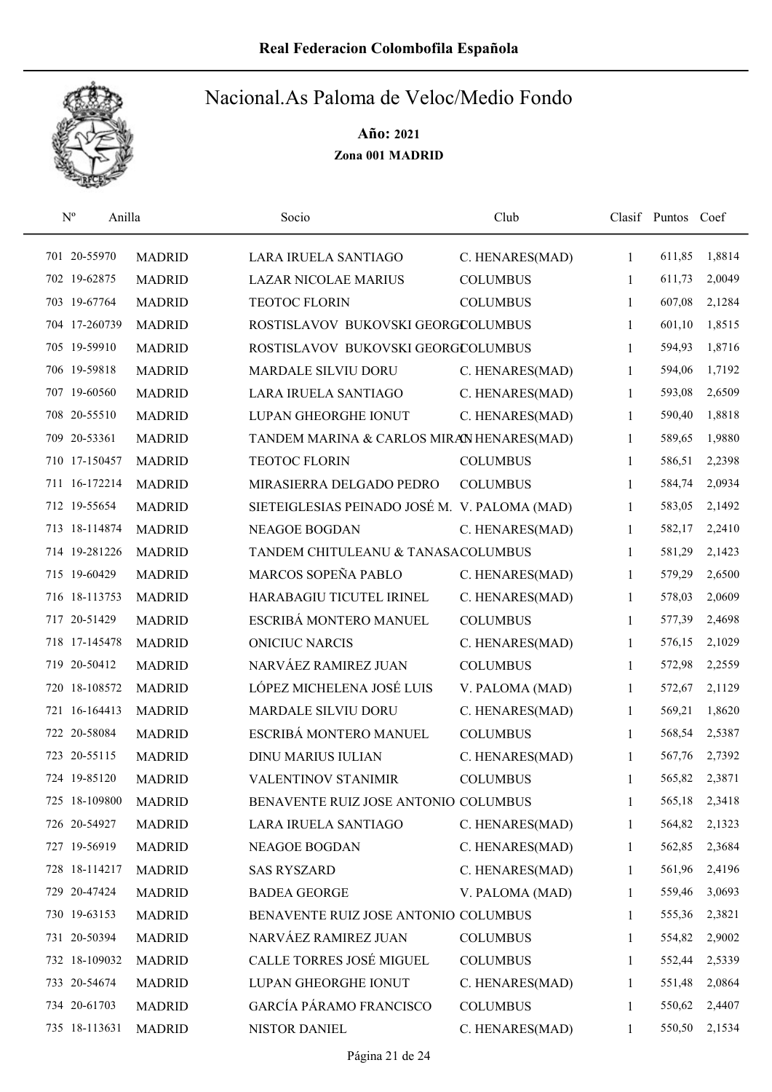

| $\mathbf{N}^{\text{o}}$ | Anilla        |               | Socio                                         | Club            |              | Clasif Puntos Coef |        |
|-------------------------|---------------|---------------|-----------------------------------------------|-----------------|--------------|--------------------|--------|
|                         | 701 20-55970  | <b>MADRID</b> | LARA IRUELA SANTIAGO                          | C. HENARES(MAD) | $\mathbf{1}$ | 611,85             | 1,8814 |
|                         | 702 19-62875  | <b>MADRID</b> | <b>LAZAR NICOLAE MARIUS</b>                   | <b>COLUMBUS</b> | 1            | 611,73             | 2,0049 |
|                         | 703 19-67764  | <b>MADRID</b> | <b>TEOTOC FLORIN</b>                          | <b>COLUMBUS</b> | $\mathbf{1}$ | 607,08             | 2,1284 |
|                         | 704 17-260739 | <b>MADRID</b> | ROSTISLAVOV BUKOVSKI GEORGCOLUMBUS            |                 | $\mathbf{1}$ | 601,10             | 1,8515 |
|                         | 705 19-59910  | <b>MADRID</b> | ROSTISLAVOV BUKOVSKI GEORGCOLUMBUS            |                 | $\mathbf{1}$ | 594,93             | 1,8716 |
|                         | 706 19-59818  | <b>MADRID</b> | MARDALE SILVIU DORU                           | C. HENARES(MAD) | 1            | 594,06             | 1,7192 |
|                         | 707 19-60560  | <b>MADRID</b> | LARA IRUELA SANTIAGO                          | C. HENARES(MAD) | 1            | 593,08             | 2,6509 |
|                         | 708 20-55510  | <b>MADRID</b> | LUPAN GHEORGHE IONUT                          | C. HENARES(MAD) | 1            | 590,40             | 1,8818 |
|                         | 709 20-53361  | <b>MADRID</b> | TANDEM MARINA & CARLOS MIRAN HENARES(MAD)     |                 | 1            | 589,65             | 1,9880 |
|                         | 710 17-150457 | <b>MADRID</b> | <b>TEOTOC FLORIN</b>                          | <b>COLUMBUS</b> | 1            | 586,51             | 2,2398 |
|                         | 711 16-172214 | <b>MADRID</b> | MIRASIERRA DELGADO PEDRO                      | <b>COLUMBUS</b> | 1            | 584,74             | 2,0934 |
|                         | 712 19-55654  | <b>MADRID</b> | SIETEIGLESIAS PEINADO JOSÉ M. V. PALOMA (MAD) |                 | 1            | 583,05             | 2,1492 |
|                         | 713 18-114874 | <b>MADRID</b> | <b>NEAGOE BOGDAN</b>                          | C. HENARES(MAD) | 1            | 582,17             | 2,2410 |
|                         | 714 19-281226 | <b>MADRID</b> | TANDEM CHITULEANU & TANASACOLUMBUS            |                 | 1            | 581,29             | 2,1423 |
|                         | 715 19-60429  | <b>MADRID</b> | MARCOS SOPEÑA PABLO                           | C. HENARES(MAD) | $\mathbf{1}$ | 579,29             | 2,6500 |
|                         | 716 18-113753 | <b>MADRID</b> | HARABAGIU TICUTEL IRINEL                      | C. HENARES(MAD) | 1            | 578,03             | 2,0609 |
|                         | 717 20-51429  | <b>MADRID</b> | ESCRIBÁ MONTERO MANUEL                        | <b>COLUMBUS</b> | 1            | 577,39             | 2,4698 |
|                         | 718 17-145478 | <b>MADRID</b> | ONICIUC NARCIS                                | C. HENARES(MAD) | 1            | 576,15             | 2,1029 |
|                         | 719 20-50412  | <b>MADRID</b> | NARVÁEZ RAMIREZ JUAN                          | <b>COLUMBUS</b> | $\mathbf{1}$ | 572,98             | 2,2559 |
|                         | 720 18-108572 | <b>MADRID</b> | LÓPEZ MICHELENA JOSÉ LUIS                     | V. PALOMA (MAD) | 1            | 572,67             | 2,1129 |
|                         | 721 16-164413 | <b>MADRID</b> | MARDALE SILVIU DORU                           | C. HENARES(MAD) | 1            | 569,21             | 1,8620 |
|                         | 722 20-58084  | <b>MADRID</b> | ESCRIBÁ MONTERO MANUEL                        | <b>COLUMBUS</b> | 1            | 568,54             | 2,5387 |
|                         | 723 20-55115  | <b>MADRID</b> | <b>DINU MARIUS IULIAN</b>                     | C. HENARES(MAD) | 1            | 567,76             | 2,7392 |
|                         | 724 19-85120  | <b>MADRID</b> | <b>VALENTINOV STANIMIR</b>                    | <b>COLUMBUS</b> | 1            | 565,82             | 2,3871 |
|                         | 725 18-109800 | <b>MADRID</b> | BENAVENTE RUIZ JOSE ANTONIO COLUMBUS          |                 | 1            | 565,18             | 2,3418 |
|                         | 726 20-54927  | <b>MADRID</b> | LARA IRUELA SANTIAGO                          | C. HENARES(MAD) | 1            | 564,82             | 2,1323 |
|                         | 727 19-56919  | <b>MADRID</b> | NEAGOE BOGDAN                                 | C. HENARES(MAD) | 1            | 562,85             | 2,3684 |
|                         | 728 18-114217 | <b>MADRID</b> | <b>SAS RYSZARD</b>                            | C. HENARES(MAD) | 1            | 561,96             | 2,4196 |
|                         | 729 20-47424  | <b>MADRID</b> | <b>BADEA GEORGE</b>                           | V. PALOMA (MAD) | 1            | 559,46             | 3,0693 |
|                         | 730 19-63153  | <b>MADRID</b> | BENAVENTE RUIZ JOSE ANTONIO COLUMBUS          |                 | $\mathbf{1}$ | 555,36             | 2,3821 |
|                         | 731 20-50394  | <b>MADRID</b> | NARVÁEZ RAMIREZ JUAN                          | <b>COLUMBUS</b> | 1            | 554,82             | 2,9002 |
|                         | 732 18-109032 | <b>MADRID</b> | CALLE TORRES JOSÉ MIGUEL                      | <b>COLUMBUS</b> | 1            | 552,44             | 2,5339 |
|                         | 733 20-54674  | <b>MADRID</b> | LUPAN GHEORGHE IONUT                          | C. HENARES(MAD) | 1            | 551,48             | 2,0864 |
|                         | 734 20-61703  | <b>MADRID</b> | <b>GARCÍA PÁRAMO FRANCISCO</b>                | <b>COLUMBUS</b> | 1            | 550,62             | 2,4407 |
|                         | 735 18-113631 | <b>MADRID</b> | NISTOR DANIEL                                 | C. HENARES(MAD) | 1            | 550,50             | 2,1534 |
|                         |               |               |                                               |                 |              |                    |        |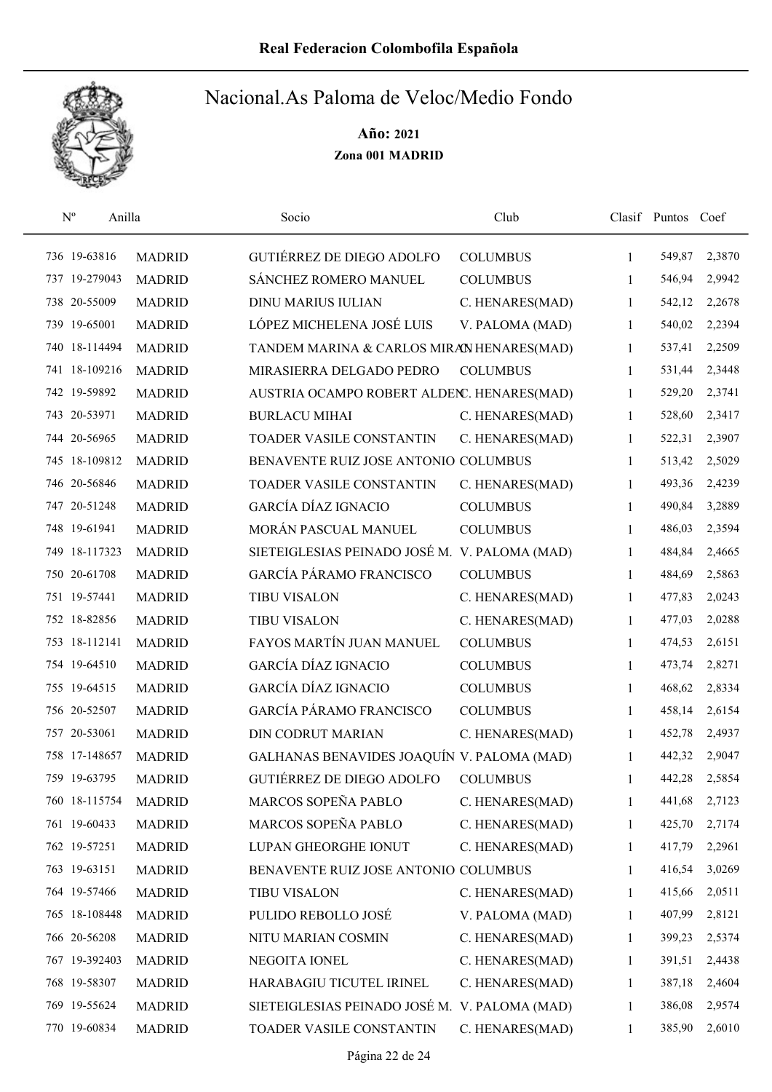

| $N^{\rm o}$   | Anilla        | Socio                                         | Club            |              | Clasif Puntos Coef |        |
|---------------|---------------|-----------------------------------------------|-----------------|--------------|--------------------|--------|
| 736 19-63816  | <b>MADRID</b> | GUTIÉRREZ DE DIEGO ADOLFO                     | <b>COLUMBUS</b> | 1            | 549,87             | 2,3870 |
| 737 19-279043 | <b>MADRID</b> | SÁNCHEZ ROMERO MANUEL                         | <b>COLUMBUS</b> | 1            | 546,94             | 2,9942 |
| 738 20-55009  | <b>MADRID</b> | <b>DINU MARIUS IULIAN</b>                     | C. HENARES(MAD) | 1            | 542,12             | 2,2678 |
| 739 19-65001  | <b>MADRID</b> | LÓPEZ MICHELENA JOSÉ LUIS                     | V. PALOMA (MAD) | 1            | 540,02             | 2,2394 |
| 740 18-114494 | <b>MADRID</b> | TANDEM MARINA & CARLOS MIRAN HENARES(MAD)     |                 | 1            | 537,41             | 2,2509 |
| 741 18-109216 | <b>MADRID</b> | MIRASIERRA DELGADO PEDRO                      | <b>COLUMBUS</b> | $\mathbf{1}$ | 531,44             | 2,3448 |
| 742 19-59892  | <b>MADRID</b> | AUSTRIA OCAMPO ROBERT ALDENC. HENARES(MAD)    |                 | 1            | 529,20             | 2,3741 |
| 743 20-53971  | <b>MADRID</b> | <b>BURLACU MIHAI</b>                          | C. HENARES(MAD) | 1            | 528,60             | 2,3417 |
| 744 20-56965  | <b>MADRID</b> | TOADER VASILE CONSTANTIN                      | C. HENARES(MAD) | 1            | 522,31             | 2,3907 |
| 745 18-109812 | <b>MADRID</b> | BENAVENTE RUIZ JOSE ANTONIO COLUMBUS          |                 | 1            | 513,42             | 2,5029 |
| 746 20-56846  | <b>MADRID</b> | TOADER VASILE CONSTANTIN                      | C. HENARES(MAD) | 1            | 493,36             | 2,4239 |
| 747 20-51248  | <b>MADRID</b> | GARCÍA DÍAZ IGNACIO                           | <b>COLUMBUS</b> | 1            | 490,84             | 3,2889 |
| 748 19-61941  | <b>MADRID</b> | MORÁN PASCUAL MANUEL                          | <b>COLUMBUS</b> | 1            | 486,03             | 2,3594 |
| 749 18-117323 | <b>MADRID</b> | SIETEIGLESIAS PEINADO JOSÉ M. V. PALOMA (MAD) |                 | 1            | 484,84             | 2,4665 |
| 750 20-61708  | <b>MADRID</b> | <b>GARCÍA PÁRAMO FRANCISCO</b>                | <b>COLUMBUS</b> | $\mathbf{1}$ | 484,69             | 2,5863 |
| 751 19-57441  | <b>MADRID</b> | <b>TIBU VISALON</b>                           | C. HENARES(MAD) | $\mathbf{1}$ | 477,83             | 2,0243 |
| 752 18-82856  | <b>MADRID</b> | <b>TIBU VISALON</b>                           | C. HENARES(MAD) | 1            | 477,03             | 2,0288 |
| 753 18-112141 | <b>MADRID</b> | FAYOS MARTÍN JUAN MANUEL                      | <b>COLUMBUS</b> | 1            | 474,53             | 2,6151 |
| 754 19-64510  | <b>MADRID</b> | GARCÍA DÍAZ IGNACIO                           | <b>COLUMBUS</b> | 1            | 473,74             | 2,8271 |
| 755 19-64515  | <b>MADRID</b> | GARCÍA DÍAZ IGNACIO                           | <b>COLUMBUS</b> | $\mathbf{1}$ | 468,62             | 2,8334 |
| 756 20-52507  | <b>MADRID</b> | <b>GARCÍA PÁRAMO FRANCISCO</b>                | <b>COLUMBUS</b> | $\mathbf{1}$ | 458,14             | 2,6154 |
| 757 20-53061  | <b>MADRID</b> | <b>DIN CODRUT MARIAN</b>                      | C. HENARES(MAD) | 1            | 452,78             | 2,4937 |
| 758 17-148657 | <b>MADRID</b> | GALHANAS BENAVIDES JOAQUÍN V. PALOMA (MAD)    |                 | 1            | 442,32             | 2,9047 |
| 759 19-63795  | <b>MADRID</b> | <b>GUTIÉRREZ DE DIEGO ADOLFO</b>              | <b>COLUMBUS</b> | 1            | 442,28             | 2,5854 |
| 760 18-115754 | <b>MADRID</b> | MARCOS SOPEÑA PABLO                           | C. HENARES(MAD) | 1            | 441,68             | 2,7123 |
| 761 19-60433  | <b>MADRID</b> | MARCOS SOPEÑA PABLO                           | C. HENARES(MAD) | 1            | 425,70             | 2,7174 |
| 762 19-57251  | <b>MADRID</b> | LUPAN GHEORGHE IONUT                          | C. HENARES(MAD) | 1            | 417,79             | 2,2961 |
| 763 19-63151  | <b>MADRID</b> | BENAVENTE RUIZ JOSE ANTONIO COLUMBUS          |                 | 1            | 416,54             | 3,0269 |
| 764 19-57466  | <b>MADRID</b> | <b>TIBU VISALON</b>                           | C. HENARES(MAD) | 1            | 415,66             | 2,0511 |
| 765 18-108448 | <b>MADRID</b> | PULIDO REBOLLO JOSÉ                           | V. PALOMA (MAD) | $\mathbf{1}$ | 407,99             | 2,8121 |
| 766 20-56208  | <b>MADRID</b> | NITU MARIAN COSMIN                            | C. HENARES(MAD) | $\mathbf{1}$ | 399,23             | 2,5374 |
| 767 19-392403 | <b>MADRID</b> | NEGOITA IONEL                                 | C. HENARES(MAD) | 1            | 391,51             | 2,4438 |
| 768 19-58307  | <b>MADRID</b> | HARABAGIU TICUTEL IRINEL                      | C. HENARES(MAD) | 1            | 387,18             | 2,4604 |
| 769 19-55624  | <b>MADRID</b> | SIETEIGLESIAS PEINADO JOSÉ M. V. PALOMA (MAD) |                 | 1            | 386,08             | 2,9574 |
| 770 19-60834  | <b>MADRID</b> | TOADER VASILE CONSTANTIN                      | C. HENARES(MAD) | 1            | 385,90             | 2,6010 |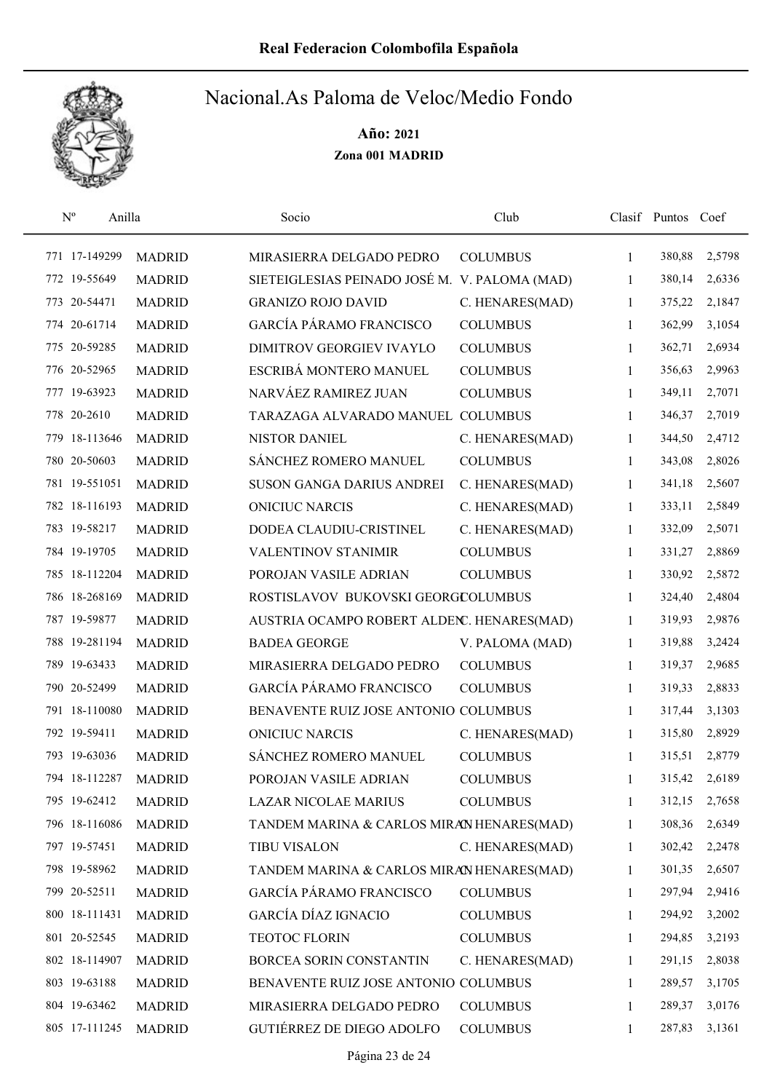

| $\mathrm{N}^{\mathrm{o}}$ | Anilla |               | Socio                                         | Club            |              | Clasif Puntos Coef |        |
|---------------------------|--------|---------------|-----------------------------------------------|-----------------|--------------|--------------------|--------|
| 771 17-149299             |        | <b>MADRID</b> | MIRASIERRA DELGADO PEDRO                      | <b>COLUMBUS</b> | 1            | 380,88             | 2,5798 |
| 772 19-55649              |        | <b>MADRID</b> | SIETEIGLESIAS PEINADO JOSÉ M. V. PALOMA (MAD) |                 | 1            | 380,14             | 2,6336 |
| 773 20-54471              |        | <b>MADRID</b> | <b>GRANIZO ROJO DAVID</b>                     | C. HENARES(MAD) | 1            | 375,22             | 2,1847 |
| 774 20-61714              |        | <b>MADRID</b> | GARCÍA PÁRAMO FRANCISCO                       | <b>COLUMBUS</b> | 1            | 362,99             | 3,1054 |
| 775 20-59285              |        | <b>MADRID</b> | DIMITROV GEORGIEV IVAYLO                      | <b>COLUMBUS</b> | 1            | 362,71             | 2,6934 |
| 776 20-52965              |        | <b>MADRID</b> | ESCRIBÁ MONTERO MANUEL                        | <b>COLUMBUS</b> | 1            | 356,63             | 2,9963 |
| 777 19-63923              |        | <b>MADRID</b> | NARVÁEZ RAMIREZ JUAN                          | <b>COLUMBUS</b> | 1            | 349,11             | 2,7071 |
| 778 20-2610               |        | <b>MADRID</b> | TARAZAGA ALVARADO MANUEL                      | <b>COLUMBUS</b> | 1            | 346,37             | 2,7019 |
| 779 18-113646             |        | <b>MADRID</b> | NISTOR DANIEL                                 | C. HENARES(MAD) | 1            | 344,50             | 2,4712 |
| 780 20-50603              |        | <b>MADRID</b> | SÁNCHEZ ROMERO MANUEL                         | <b>COLUMBUS</b> | 1            | 343,08             | 2,8026 |
| 781 19-551051             |        | <b>MADRID</b> | SUSON GANGA DARIUS ANDREI                     | C. HENARES(MAD) | 1            | 341,18             | 2,5607 |
| 782 18-116193             |        | <b>MADRID</b> | <b>ONICIUC NARCIS</b>                         | C. HENARES(MAD) | 1            | 333,11             | 2,5849 |
| 783 19-58217              |        | <b>MADRID</b> | DODEA CLAUDIU-CRISTINEL                       | C. HENARES(MAD) | 1            | 332,09             | 2,5071 |
| 784 19-19705              |        | <b>MADRID</b> | <b>VALENTINOV STANIMIR</b>                    | <b>COLUMBUS</b> | 1            | 331,27             | 2,8869 |
| 785 18-112204             |        | <b>MADRID</b> | POROJAN VASILE ADRIAN                         | <b>COLUMBUS</b> | $\mathbf{1}$ | 330,92             | 2,5872 |
| 786 18-268169             |        | <b>MADRID</b> | ROSTISLAVOV BUKOVSKI GEORGCOLUMBUS            |                 | 1            | 324,40             | 2,4804 |
| 787 19-59877              |        | <b>MADRID</b> | AUSTRIA OCAMPO ROBERT ALDENC. HENARES(MAD)    |                 | 1            | 319,93             | 2,9876 |
| 788 19-281194             |        | <b>MADRID</b> | <b>BADEA GEORGE</b>                           | V. PALOMA (MAD) | 1            | 319,88             | 3,2424 |
| 789 19-63433              |        | <b>MADRID</b> | MIRASIERRA DELGADO PEDRO                      | <b>COLUMBUS</b> | 1            | 319,37             | 2,9685 |
| 790 20-52499              |        | <b>MADRID</b> | <b>GARCÍA PÁRAMO FRANCISCO</b>                | <b>COLUMBUS</b> | 1            | 319,33             | 2,8833 |
| 791 18-110080             |        | <b>MADRID</b> | BENAVENTE RUIZ JOSE ANTONIO COLUMBUS          |                 | 1            | 317,44             | 3,1303 |
| 792 19-59411              |        | <b>MADRID</b> | <b>ONICIUC NARCIS</b>                         | C. HENARES(MAD) | 1            | 315,80             | 2,8929 |
| 793 19-63036              |        | <b>MADRID</b> | SÁNCHEZ ROMERO MANUEL                         | <b>COLUMBUS</b> | 1            | 315,51             | 2,8779 |
| 794 18-112287             |        | <b>MADRID</b> | POROJAN VASILE ADRIAN                         | <b>COLUMBUS</b> | 1            | 315,42             | 2,6189 |
| 795 19-62412              |        | <b>MADRID</b> | LAZAR NICOLAE MARIUS                          | <b>COLUMBUS</b> | 1            | 312,15             | 2,7658 |
| 796 18-116086             |        | <b>MADRID</b> | TANDEM MARINA & CARLOS MIRAN HENARES(MAD)     |                 | 1            | 308,36             | 2,6349 |
| 797 19-57451              |        | <b>MADRID</b> | <b>TIBU VISALON</b>                           | C. HENARES(MAD) | 1            | 302,42             | 2,2478 |
| 798 19-58962              |        | <b>MADRID</b> | TANDEM MARINA & CARLOS MIRAN HENARES(MAD)     |                 | 1            | 301,35             | 2,6507 |
| 799 20-52511              |        | <b>MADRID</b> | <b>GARCÍA PÁRAMO FRANCISCO</b>                | <b>COLUMBUS</b> | 1            | 297,94             | 2,9416 |
| 800 18-111431             |        | <b>MADRID</b> | GARCÍA DÍAZ IGNACIO                           | <b>COLUMBUS</b> | 1            | 294,92             | 3,2002 |
| 801 20-52545              |        | <b>MADRID</b> | TEOTOC FLORIN                                 | <b>COLUMBUS</b> | 1            | 294,85             | 3,2193 |
| 802 18-114907             |        | <b>MADRID</b> | BORCEA SORIN CONSTANTIN                       | C. HENARES(MAD) | 1            | 291,15             | 2,8038 |
| 803 19-63188              |        | <b>MADRID</b> | BENAVENTE RUIZ JOSE ANTONIO COLUMBUS          |                 | 1            | 289,57             | 3,1705 |
| 804 19-63462              |        | <b>MADRID</b> | MIRASIERRA DELGADO PEDRO                      | <b>COLUMBUS</b> | 1            | 289,37             | 3,0176 |
| 805 17-111245             |        | <b>MADRID</b> | GUTIÉRREZ DE DIEGO ADOLFO                     | <b>COLUMBUS</b> | 1            | 287,83             | 3,1361 |